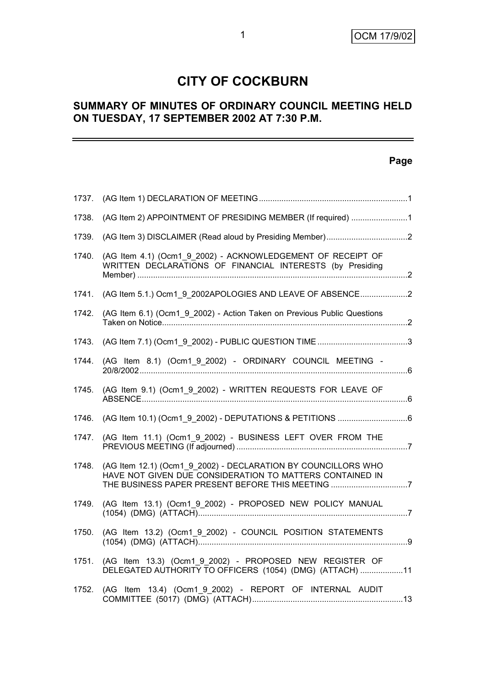# **CITY OF COCKBURN**

# **SUMMARY OF MINUTES OF ORDINARY COUNCIL MEETING HELD ON TUESDAY, 17 SEPTEMBER 2002 AT 7:30 P.M.**

# **Page**

| 1737. |                                                                                                                                                                               |  |
|-------|-------------------------------------------------------------------------------------------------------------------------------------------------------------------------------|--|
| 1738. | (AG Item 2) APPOINTMENT OF PRESIDING MEMBER (If required) 1                                                                                                                   |  |
| 1739. |                                                                                                                                                                               |  |
| 1740. | (AG Item 4.1) (Ocm1 9 2002) - ACKNOWLEDGEMENT OF RECEIPT OF<br>WRITTEN DECLARATIONS OF FINANCIAL INTERESTS (by Presiding                                                      |  |
| 1741. | (AG Item 5.1.) Ocm1 9 2002APOLOGIES AND LEAVE OF ABSENCE2                                                                                                                     |  |
| 1742. | (AG Item 6.1) (Ocm1_9_2002) - Action Taken on Previous Public Questions                                                                                                       |  |
| 1743. |                                                                                                                                                                               |  |
| 1744. | (AG Item 8.1) (Ocm1_9_2002) - ORDINARY COUNCIL MEETING -                                                                                                                      |  |
| 1745. | (AG Item 9.1) (Ocm1_9_2002) - WRITTEN REQUESTS FOR LEAVE OF                                                                                                                   |  |
| 1746. |                                                                                                                                                                               |  |
| 1747. | (AG Item 11.1) (Ocm1_9_2002) - BUSINESS LEFT OVER FROM THE                                                                                                                    |  |
| 1748. | (AG Item 12.1) (Ocm1 9 2002) - DECLARATION BY COUNCILLORS WHO<br>HAVE NOT GIVEN DUE CONSIDERATION TO MATTERS CONTAINED IN<br>THE BUSINESS PAPER PRESENT BEFORE THIS MEETING 7 |  |
| 1749. | (AG Item 13.1) (Ocm1_9_2002) - PROPOSED NEW POLICY MANUAL                                                                                                                     |  |
| 1750. | (AG Item 13.2) (Ocm1_9_2002) - COUNCIL POSITION STATEMENTS                                                                                                                    |  |
| 1751. | (AG Item 13.3) (Ocm1_9_2002) - PROPOSED NEW REGISTER OF<br>DELEGATED AUTHORITY TO OFFICERS (1054) (DMG) (ATTACH) 11                                                           |  |
| 1752. | (AG Item 13.4) (Ocm1_9_2002) - REPORT OF INTERNAL AUDIT                                                                                                                       |  |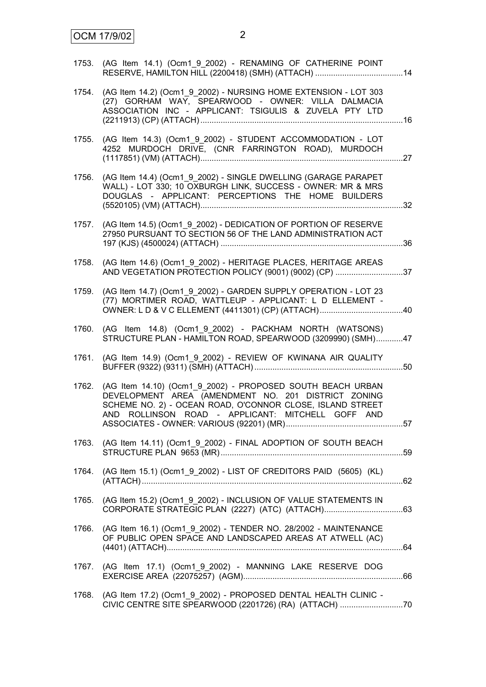|       | 1753. (AG Item 14.1) (Ocm1 9 2002) - RENAMING OF CATHERINE POINT                                                                                                                                                                    |  |
|-------|-------------------------------------------------------------------------------------------------------------------------------------------------------------------------------------------------------------------------------------|--|
| 1754. | (AG Item 14.2) (Ocm1_9_2002) - NURSING HOME EXTENSION - LOT 303<br>(27) GORHAM WAY, SPEARWOOD - OWNER: VILLA DALMACIA<br>ASSOCIATION INC - APPLICANT: TSIGULIS & ZUVELA PTY LTD                                                     |  |
| 1755. | (AG Item 14.3) (Ocm1_9_2002) - STUDENT ACCOMMODATION - LOT<br>4252 MURDOCH DRIVE, (CNR FARRINGTON ROAD), MURDOCH                                                                                                                    |  |
| 1756. | (AG Item 14.4) (Ocm1 9 2002) - SINGLE DWELLING (GARAGE PARAPET<br>WALL) - LOT 330; 10 OXBURGH LINK, SUCCESS - OWNER: MR & MRS<br>DOUGLAS - APPLICANT: PERCEPTIONS THE HOME BUILDERS                                                 |  |
| 1757. | (AG Item 14.5) (Ocm1 9 2002) - DEDICATION OF PORTION OF RESERVE<br>27950 PURSUANT TO SECTION 56 OF THE LAND ADMINISTRATION ACT                                                                                                      |  |
| 1758. | (AG Item 14.6) (Ocm1 9 2002) - HERITAGE PLACES, HERITAGE AREAS<br>AND VEGETATION PROTECTION POLICY (9001) (9002) (CP) 37                                                                                                            |  |
| 1759. | (AG Item 14.7) (Ocm1 9 2002) - GARDEN SUPPLY OPERATION - LOT 23<br>(77) MORTIMER ROAD, WATTLEUP - APPLICANT: L D ELLEMENT -                                                                                                         |  |
| 1760. | (AG Item 14.8) (Ocm1_9_2002) - PACKHAM NORTH (WATSONS)<br>STRUCTURE PLAN - HAMILTON ROAD, SPEARWOOD (3209990) (SMH)47                                                                                                               |  |
| 1761. | (AG Item 14.9) (Ocm1_9_2002) - REVIEW OF KWINANA AIR QUALITY                                                                                                                                                                        |  |
| 1762. | (AG Item 14.10) (Ocm1_9_2002) - PROPOSED SOUTH BEACH URBAN<br>DEVELOPMENT AREA (AMENDMENT NO. 201 DISTRICT ZONING<br>SCHEME NO. 2) - OCEAN ROAD, O'CONNOR CLOSE, ISLAND STREET<br>AND ROLLINSON ROAD - APPLICANT: MITCHELL GOFF AND |  |
| 1763. | (AG Item 14.11) (Ocm1 9 2002) - FINAL ADOPTION OF SOUTH BEACH                                                                                                                                                                       |  |
| 1764. | (AG Item 15.1) (Ocm1_9_2002) - LIST OF CREDITORS PAID (5605) (KL)                                                                                                                                                                   |  |
| 1765. | (AG Item 15.2) (Ocm1 9 2002) - INCLUSION OF VALUE STATEMENTS IN                                                                                                                                                                     |  |
| 1766. | (AG Item 16.1) (Ocm1 9 2002) - TENDER NO. 28/2002 - MAINTENANCE<br>OF PUBLIC OPEN SPACE AND LANDSCAPED AREAS AT ATWELL (AC)                                                                                                         |  |
| 1767. | (AG Item 17.1) (Ocm1_9_2002) - MANNING LAKE RESERVE DOG                                                                                                                                                                             |  |
| 1768. | (AG Item 17.2) (Ocm1_9_2002) - PROPOSED DENTAL HEALTH CLINIC -<br>CIVIC CENTRE SITE SPEARWOOD (2201726) (RA) (ATTACH)  70                                                                                                           |  |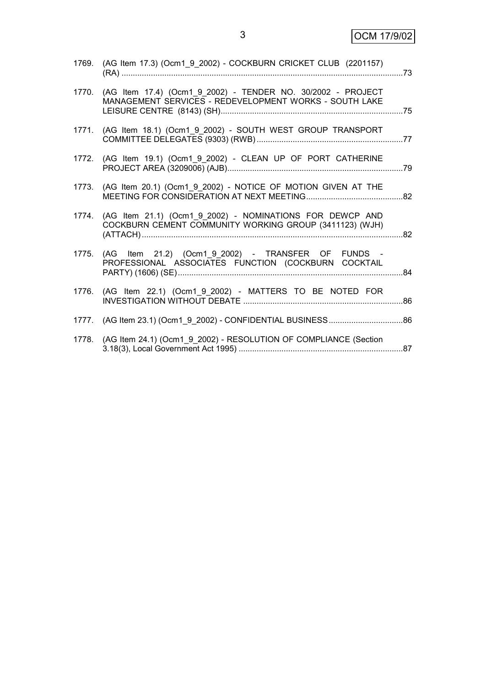3 OCM 17/9/02

|       | 1769. (AG Item 17.3) (Ocm1_9_2002) - COCKBURN CRICKET CLUB (2201157)                                                        |  |
|-------|-----------------------------------------------------------------------------------------------------------------------------|--|
|       | 1770. (AG Item 17.4) (Ocm1_9_2002) - TENDER NO. 30/2002 - PROJECT<br>MANAGEMENT SERVICES - REDEVELOPMENT WORKS - SOUTH LAKE |  |
|       | 1771. (AG Item 18.1) (Ocm1_9_2002) - SOUTH WEST GROUP TRANSPORT                                                             |  |
|       | 1772. (AG Item 19.1) (Ocm1_9_2002) - CLEAN UP OF PORT CATHERINE                                                             |  |
|       | 1773. (AG Item 20.1) (Ocm1_9_2002) - NOTICE OF MOTION GIVEN AT THE                                                          |  |
|       | 1774. (AG Item 21.1) (Ocm1_9_2002) - NOMINATIONS FOR DEWCP AND<br>COCKBURN CEMENT COMMUNITY WORKING GROUP (3411123) (WJH)   |  |
| 1775. | (AG Item 21.2) (Ocm1_9_2002) - TRANSFER OF FUNDS -<br>PROFESSIONAL ASSOCIATES FUNCTION (COCKBURN COCKTAIL                   |  |
|       | 1776. (AG Item 22.1) (Ocm1_9_2002) - MATTERS TO BE NOTED FOR                                                                |  |
|       |                                                                                                                             |  |
|       | 1778. (AG Item 24.1) (Ocm1_9_2002) - RESOLUTION OF COMPLIANCE (Section                                                      |  |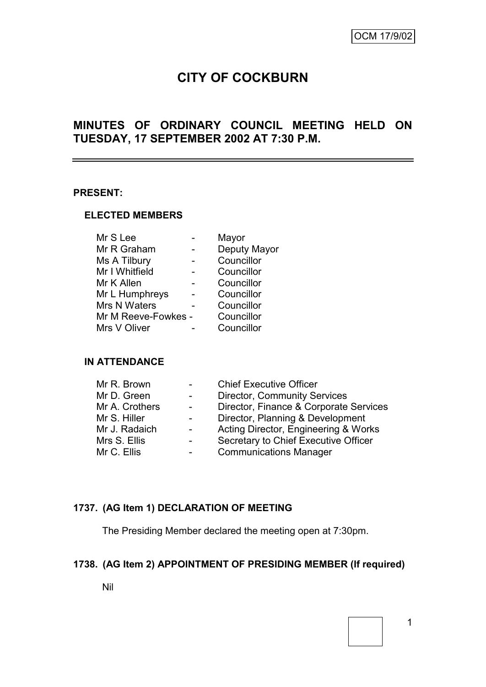# **CITY OF COCKBURN**

# **MINUTES OF ORDINARY COUNCIL MEETING HELD ON TUESDAY, 17 SEPTEMBER 2002 AT 7:30 P.M.**

#### **PRESENT:**

#### **ELECTED MEMBERS**

| Mr S Lee            | Mayor        |
|---------------------|--------------|
| Mr R Graham         | Deputy Mayor |
| Ms A Tilbury        | Councillor   |
| Mr I Whitfield      | Councillor   |
| Mr K Allen          | Councillor   |
| Mr L Humphreys      | Councillor   |
| Mrs N Waters        | Councillor   |
| Mr M Reeve-Fowkes - | Councillor   |
| Mrs V Oliver        | Councillor   |
|                     |              |

#### **IN ATTENDANCE**

|                | <b>Chief Executive Officer</b>         |
|----------------|----------------------------------------|
|                | <b>Director, Community Services</b>    |
| $\overline{a}$ | Director, Finance & Corporate Services |
| -              | Director, Planning & Development       |
|                | Acting Director, Engineering & Works   |
|                | Secretary to Chief Executive Officer   |
|                | <b>Communications Manager</b>          |
|                |                                        |

# **1737. (AG Item 1) DECLARATION OF MEETING**

The Presiding Member declared the meeting open at 7:30pm.

# **1738. (AG Item 2) APPOINTMENT OF PRESIDING MEMBER (If required)**

Nil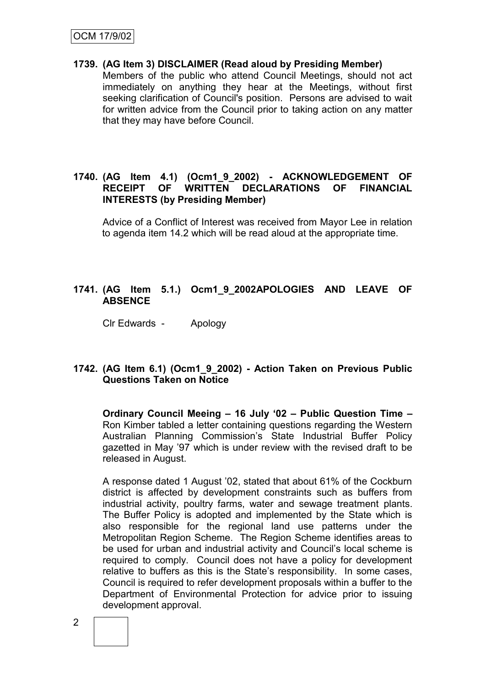#### **1739. (AG Item 3) DISCLAIMER (Read aloud by Presiding Member)** Members of the public who attend Council Meetings, should not act immediately on anything they hear at the Meetings, without first seeking clarification of Council's position. Persons are advised to wait for written advice from the Council prior to taking action on any matter that they may have before Council.

#### **1740. (AG Item 4.1) (Ocm1\_9\_2002) - ACKNOWLEDGEMENT OF RECEIPT OF WRITTEN DECLARATIONS OF FINANCIAL INTERESTS (by Presiding Member)**

Advice of a Conflict of Interest was received from Mayor Lee in relation to agenda item 14.2 which will be read aloud at the appropriate time.

# **1741. (AG Item 5.1.) Ocm1\_9\_2002APOLOGIES AND LEAVE OF ABSENCE**

Clr Edwards - Apology

# **1742. (AG Item 6.1) (Ocm1\_9\_2002) - Action Taken on Previous Public Questions Taken on Notice**

**Ordinary Council Meeing – 16 July '02 – Public Question Time –** Ron Kimber tabled a letter containing questions regarding the Western Australian Planning Commission"s State Industrial Buffer Policy gazetted in May "97 which is under review with the revised draft to be released in August.

A response dated 1 August "02, stated that about 61% of the Cockburn district is affected by development constraints such as buffers from industrial activity, poultry farms, water and sewage treatment plants. The Buffer Policy is adopted and implemented by the State which is also responsible for the regional land use patterns under the Metropolitan Region Scheme. The Region Scheme identifies areas to be used for urban and industrial activity and Council's local scheme is required to comply. Council does not have a policy for development relative to buffers as this is the State"s responsibility. In some cases, Council is required to refer development proposals within a buffer to the Department of Environmental Protection for advice prior to issuing development approval.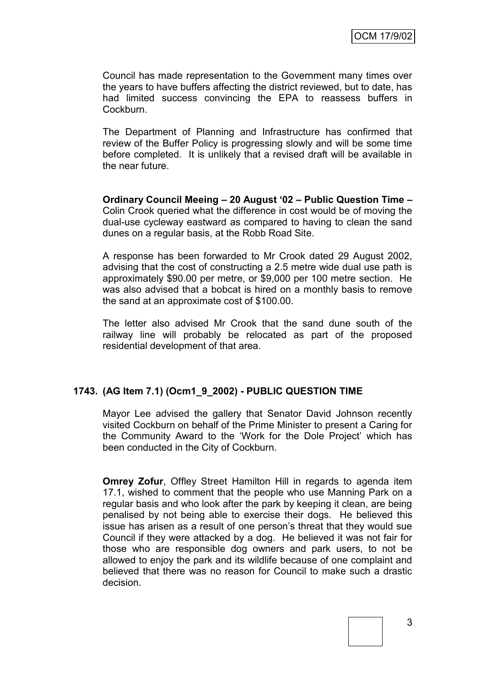Council has made representation to the Government many times over the years to have buffers affecting the district reviewed, but to date, has had limited success convincing the EPA to reassess buffers in Cockburn.

The Department of Planning and Infrastructure has confirmed that review of the Buffer Policy is progressing slowly and will be some time before completed. It is unlikely that a revised draft will be available in the near future.

**Ordinary Council Meeing – 20 August '02 – Public Question Time –** Colin Crook queried what the difference in cost would be of moving the dual-use cycleway eastward as compared to having to clean the sand dunes on a regular basis, at the Robb Road Site.

A response has been forwarded to Mr Crook dated 29 August 2002, advising that the cost of constructing a 2.5 metre wide dual use path is approximately \$90.00 per metre, or \$9,000 per 100 metre section. He was also advised that a bobcat is hired on a monthly basis to remove the sand at an approximate cost of \$100.00.

The letter also advised Mr Crook that the sand dune south of the railway line will probably be relocated as part of the proposed residential development of that area.

#### **1743. (AG Item 7.1) (Ocm1\_9\_2002) - PUBLIC QUESTION TIME**

Mayor Lee advised the gallery that Senator David Johnson recently visited Cockburn on behalf of the Prime Minister to present a Caring for the Community Award to the "Work for the Dole Project" which has been conducted in the City of Cockburn.

**Omrey Zofur, Offley Street Hamilton Hill in regards to agenda item** 17.1, wished to comment that the people who use Manning Park on a regular basis and who look after the park by keeping it clean, are being penalised by not being able to exercise their dogs. He believed this issue has arisen as a result of one person"s threat that they would sue Council if they were attacked by a dog. He believed it was not fair for those who are responsible dog owners and park users, to not be allowed to enjoy the park and its wildlife because of one complaint and believed that there was no reason for Council to make such a drastic decision.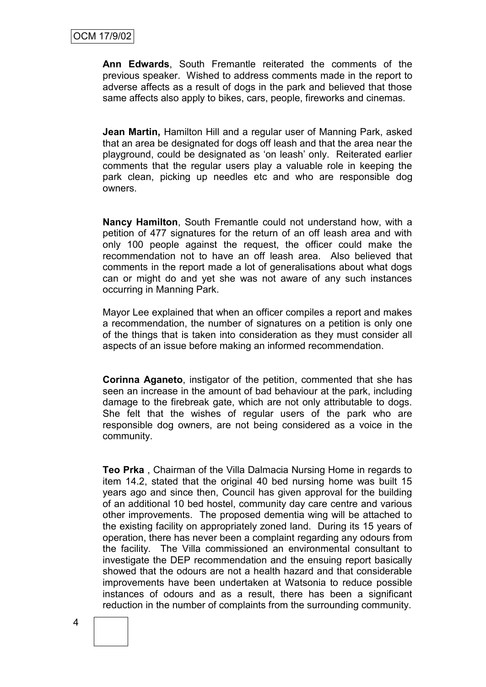**Ann Edwards**, South Fremantle reiterated the comments of the previous speaker. Wished to address comments made in the report to adverse affects as a result of dogs in the park and believed that those same affects also apply to bikes, cars, people, fireworks and cinemas.

**Jean Martin,** Hamilton Hill and a regular user of Manning Park, asked that an area be designated for dogs off leash and that the area near the playground, could be designated as "on leash" only. Reiterated earlier comments that the regular users play a valuable role in keeping the park clean, picking up needles etc and who are responsible dog owners.

**Nancy Hamilton**, South Fremantle could not understand how, with a petition of 477 signatures for the return of an off leash area and with only 100 people against the request, the officer could make the recommendation not to have an off leash area. Also believed that comments in the report made a lot of generalisations about what dogs can or might do and yet she was not aware of any such instances occurring in Manning Park.

Mayor Lee explained that when an officer compiles a report and makes a recommendation, the number of signatures on a petition is only one of the things that is taken into consideration as they must consider all aspects of an issue before making an informed recommendation.

**Corinna Aganeto**, instigator of the petition, commented that she has seen an increase in the amount of bad behaviour at the park, including damage to the firebreak gate, which are not only attributable to dogs. She felt that the wishes of regular users of the park who are responsible dog owners, are not being considered as a voice in the community.

**Teo Prka** , Chairman of the Villa Dalmacia Nursing Home in regards to item 14.2, stated that the original 40 bed nursing home was built 15 years ago and since then, Council has given approval for the building of an additional 10 bed hostel, community day care centre and various other improvements. The proposed dementia wing will be attached to the existing facility on appropriately zoned land. During its 15 years of operation, there has never been a complaint regarding any odours from the facility. The Villa commissioned an environmental consultant to investigate the DEP recommendation and the ensuing report basically showed that the odours are not a health hazard and that considerable improvements have been undertaken at Watsonia to reduce possible instances of odours and as a result, there has been a significant reduction in the number of complaints from the surrounding community.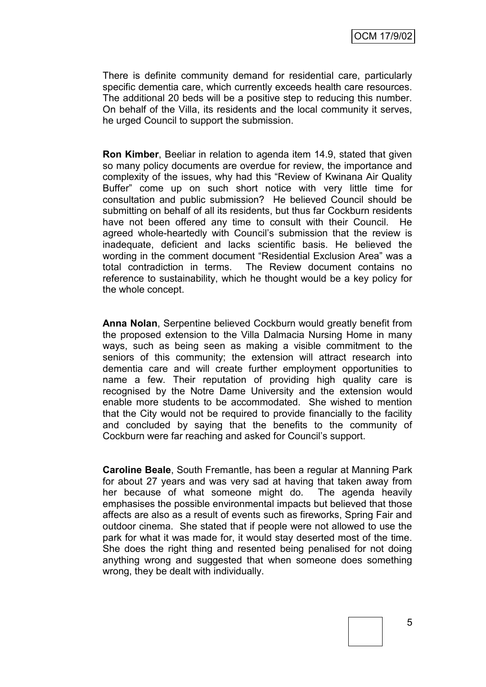There is definite community demand for residential care, particularly specific dementia care, which currently exceeds health care resources. The additional 20 beds will be a positive step to reducing this number. On behalf of the Villa, its residents and the local community it serves, he urged Council to support the submission.

**Ron Kimber**, Beeliar in relation to agenda item 14.9, stated that given so many policy documents are overdue for review, the importance and complexity of the issues, why had this "Review of Kwinana Air Quality Buffer" come up on such short notice with very little time for consultation and public submission? He believed Council should be submitting on behalf of all its residents, but thus far Cockburn residents have not been offered any time to consult with their Council. He agreed whole-heartedly with Council's submission that the review is inadequate, deficient and lacks scientific basis. He believed the wording in the comment document "Residential Exclusion Area" was a total contradiction in terms. The Review document contains no reference to sustainability, which he thought would be a key policy for the whole concept.

**Anna Nolan**, Serpentine believed Cockburn would greatly benefit from the proposed extension to the Villa Dalmacia Nursing Home in many ways, such as being seen as making a visible commitment to the seniors of this community; the extension will attract research into dementia care and will create further employment opportunities to name a few. Their reputation of providing high quality care is recognised by the Notre Dame University and the extension would enable more students to be accommodated. She wished to mention that the City would not be required to provide financially to the facility and concluded by saying that the benefits to the community of Cockburn were far reaching and asked for Council"s support.

**Caroline Beale**, South Fremantle, has been a regular at Manning Park for about 27 years and was very sad at having that taken away from her because of what someone might do. The agenda heavily emphasises the possible environmental impacts but believed that those affects are also as a result of events such as fireworks, Spring Fair and outdoor cinema. She stated that if people were not allowed to use the park for what it was made for, it would stay deserted most of the time. She does the right thing and resented being penalised for not doing anything wrong and suggested that when someone does something wrong, they be dealt with individually.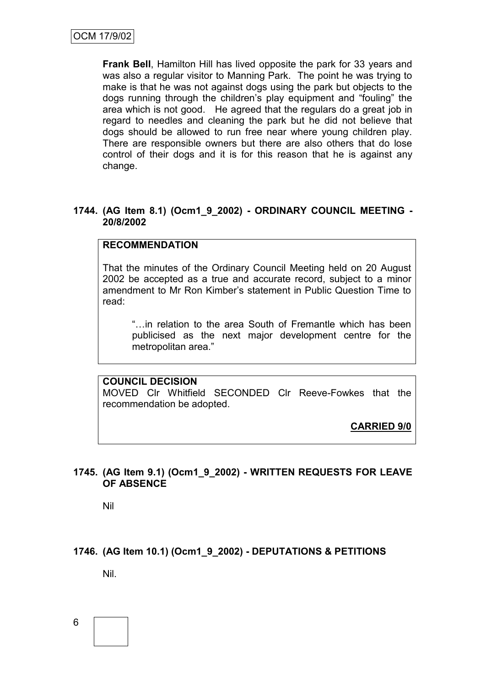**Frank Bell**, Hamilton Hill has lived opposite the park for 33 years and was also a regular visitor to Manning Park. The point he was trying to make is that he was not against dogs using the park but objects to the dogs running through the children"s play equipment and "fouling" the area which is not good. He agreed that the regulars do a great job in regard to needles and cleaning the park but he did not believe that dogs should be allowed to run free near where young children play. There are responsible owners but there are also others that do lose control of their dogs and it is for this reason that he is against any change.

### **1744. (AG Item 8.1) (Ocm1\_9\_2002) - ORDINARY COUNCIL MEETING - 20/8/2002**

# **RECOMMENDATION**

That the minutes of the Ordinary Council Meeting held on 20 August 2002 be accepted as a true and accurate record, subject to a minor amendment to Mr Ron Kimber"s statement in Public Question Time to read:

"…in relation to the area South of Fremantle which has been publicised as the next major development centre for the metropolitan area."

#### **COUNCIL DECISION**

MOVED Clr Whitfield SECONDED Clr Reeve-Fowkes that the recommendation be adopted.

**CARRIED 9/0**

#### **1745. (AG Item 9.1) (Ocm1\_9\_2002) - WRITTEN REQUESTS FOR LEAVE OF ABSENCE**

Nil

# **1746. (AG Item 10.1) (Ocm1\_9\_2002) - DEPUTATIONS & PETITIONS**

Nil.

6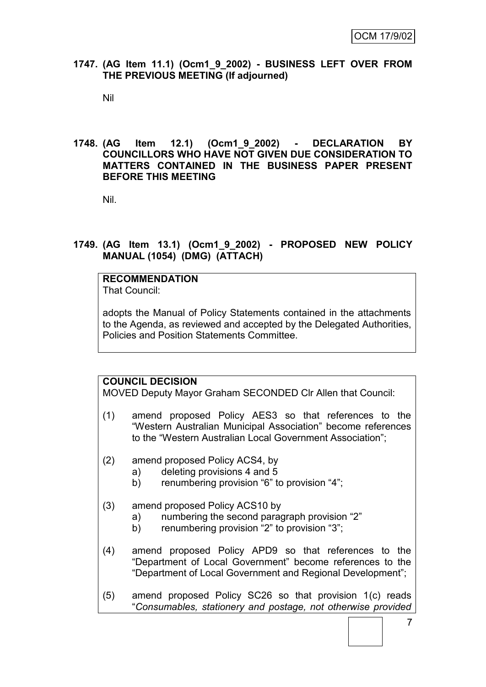**1747. (AG Item 11.1) (Ocm1\_9\_2002) - BUSINESS LEFT OVER FROM THE PREVIOUS MEETING (If adjourned)**

Nil

**1748. (AG Item 12.1) (Ocm1\_9\_2002) - DECLARATION BY COUNCILLORS WHO HAVE NOT GIVEN DUE CONSIDERATION TO MATTERS CONTAINED IN THE BUSINESS PAPER PRESENT BEFORE THIS MEETING**

Nil.

**1749. (AG Item 13.1) (Ocm1\_9\_2002) - PROPOSED NEW POLICY MANUAL (1054) (DMG) (ATTACH)**

# **RECOMMENDATION**

That Council:

adopts the Manual of Policy Statements contained in the attachments to the Agenda, as reviewed and accepted by the Delegated Authorities, Policies and Position Statements Committee.

# **COUNCIL DECISION**

MOVED Deputy Mayor Graham SECONDED Clr Allen that Council:

- (1) amend proposed Policy AES3 so that references to the "Western Australian Municipal Association" become references to the "Western Australian Local Government Association";
- (2) amend proposed Policy ACS4, by
	- a) deleting provisions 4 and 5
	- b) renumbering provision "6" to provision "4";
- (3) amend proposed Policy ACS10 by
	- a) numbering the second paragraph provision "2"
	- b) renumbering provision "2" to provision "3";
- (4) amend proposed Policy APD9 so that references to the "Department of Local Government" become references to the "Department of Local Government and Regional Development";
- (5) amend proposed Policy SC26 so that provision 1(c) reads "*Consumables, stationery and postage, not otherwise provided*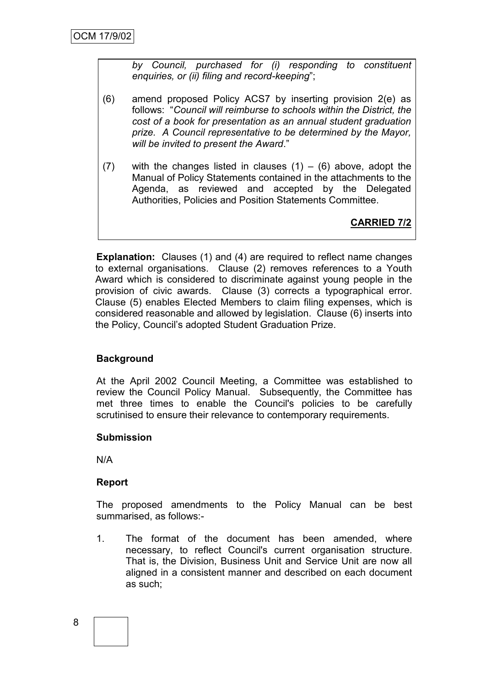*by Council, purchased for (i) responding to constituent enquiries, or (ii) filing and record-keeping*";

- (6) amend proposed Policy ACS7 by inserting provision 2(e) as follows: "*Council will reimburse to schools within the District, the cost of a book for presentation as an annual student graduation prize. A Council representative to be determined by the Mayor, will be invited to present the Award*."
- (7) with the changes listed in clauses  $(1) (6)$  above, adopt the Manual of Policy Statements contained in the attachments to the Agenda, as reviewed and accepted by the Delegated Authorities, Policies and Position Statements Committee.

**CARRIED 7/2**

**Explanation:** Clauses (1) and (4) are required to reflect name changes to external organisations. Clause (2) removes references to a Youth Award which is considered to discriminate against young people in the provision of civic awards. Clause (3) corrects a typographical error. Clause (5) enables Elected Members to claim filing expenses, which is considered reasonable and allowed by legislation. Clause (6) inserts into the Policy, Council"s adopted Student Graduation Prize.

# **Background**

At the April 2002 Council Meeting, a Committee was established to review the Council Policy Manual. Subsequently, the Committee has met three times to enable the Council's policies to be carefully scrutinised to ensure their relevance to contemporary requirements.

#### **Submission**

N/A

# **Report**

The proposed amendments to the Policy Manual can be best summarised, as follows:-

1. The format of the document has been amended, where necessary, to reflect Council's current organisation structure. That is, the Division, Business Unit and Service Unit are now all aligned in a consistent manner and described on each document as such;

8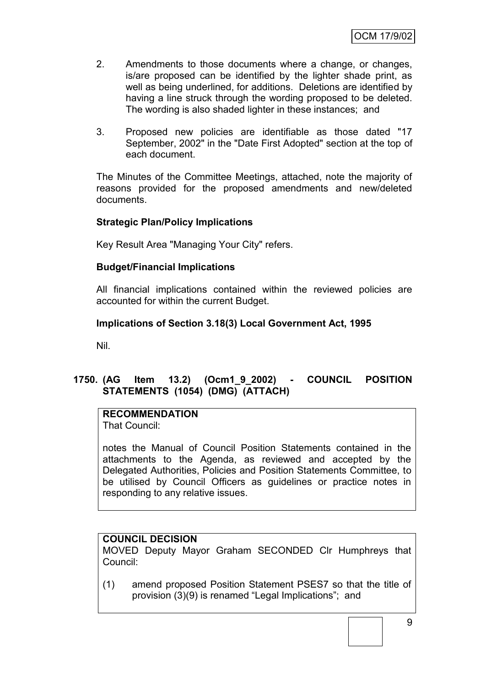- 2. Amendments to those documents where a change, or changes, is/are proposed can be identified by the lighter shade print, as well as being underlined, for additions. Deletions are identified by having a line struck through the wording proposed to be deleted. The wording is also shaded lighter in these instances; and
- 3. Proposed new policies are identifiable as those dated "17 September, 2002" in the "Date First Adopted" section at the top of each document.

The Minutes of the Committee Meetings, attached, note the majority of reasons provided for the proposed amendments and new/deleted documents.

#### **Strategic Plan/Policy Implications**

Key Result Area "Managing Your City" refers.

#### **Budget/Financial Implications**

All financial implications contained within the reviewed policies are accounted for within the current Budget.

#### **Implications of Section 3.18(3) Local Government Act, 1995**

Nil.

# **1750. (AG Item 13.2) (Ocm1\_9\_2002) - COUNCIL POSITION STATEMENTS (1054) (DMG) (ATTACH)**

# **RECOMMENDATION**

That Council:

notes the Manual of Council Position Statements contained in the attachments to the Agenda, as reviewed and accepted by the Delegated Authorities, Policies and Position Statements Committee, to be utilised by Council Officers as guidelines or practice notes in responding to any relative issues.

#### **COUNCIL DECISION**

MOVED Deputy Mayor Graham SECONDED Clr Humphreys that Council:

(1) amend proposed Position Statement PSES7 so that the title of provision (3)(9) is renamed "Legal Implications"; and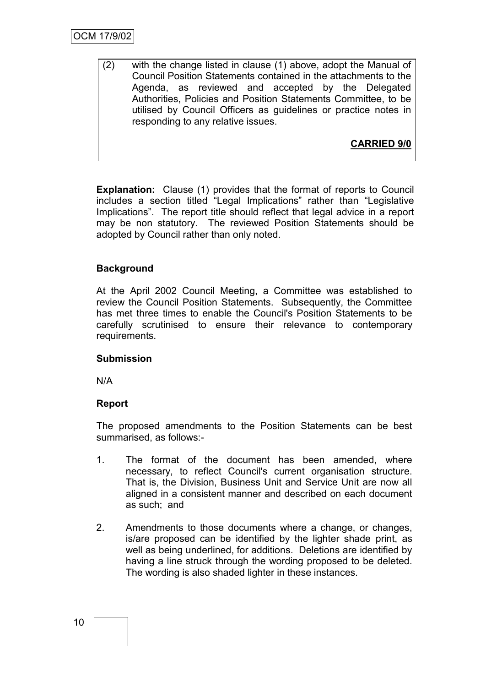(2) with the change listed in clause (1) above, adopt the Manual of Council Position Statements contained in the attachments to the Agenda, as reviewed and accepted by the Delegated Authorities, Policies and Position Statements Committee, to be utilised by Council Officers as guidelines or practice notes in responding to any relative issues.

# **CARRIED 9/0**

**Explanation:** Clause (1) provides that the format of reports to Council includes a section titled "Legal Implications" rather than "Legislative Implications". The report title should reflect that legal advice in a report may be non statutory. The reviewed Position Statements should be adopted by Council rather than only noted.

# **Background**

At the April 2002 Council Meeting, a Committee was established to review the Council Position Statements. Subsequently, the Committee has met three times to enable the Council's Position Statements to be carefully scrutinised to ensure their relevance to contemporary requirements.

#### **Submission**

N/A

#### **Report**

The proposed amendments to the Position Statements can be best summarised, as follows:-

- 1. The format of the document has been amended, where necessary, to reflect Council's current organisation structure. That is, the Division, Business Unit and Service Unit are now all aligned in a consistent manner and described on each document as such; and
- 2. Amendments to those documents where a change, or changes, is/are proposed can be identified by the lighter shade print, as well as being underlined, for additions. Deletions are identified by having a line struck through the wording proposed to be deleted. The wording is also shaded lighter in these instances.

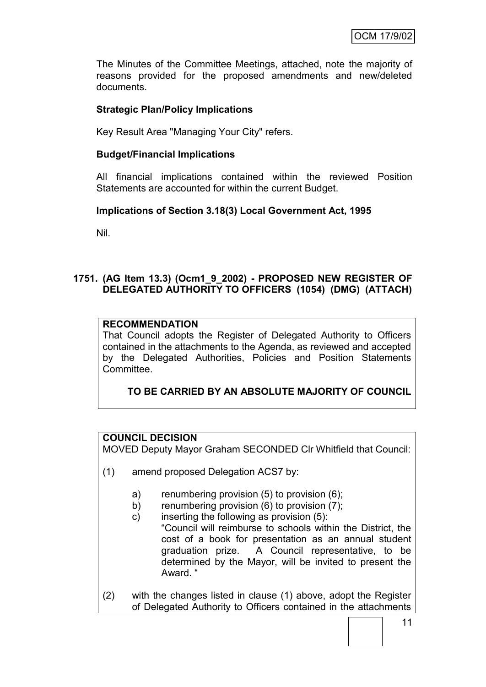The Minutes of the Committee Meetings, attached, note the majority of reasons provided for the proposed amendments and new/deleted documents.

# **Strategic Plan/Policy Implications**

Key Result Area "Managing Your City" refers.

# **Budget/Financial Implications**

All financial implications contained within the reviewed Position Statements are accounted for within the current Budget.

# **Implications of Section 3.18(3) Local Government Act, 1995**

Nil.

# **1751. (AG Item 13.3) (Ocm1\_9\_2002) - PROPOSED NEW REGISTER OF DELEGATED AUTHORITY TO OFFICERS (1054) (DMG) (ATTACH)**

# **RECOMMENDATION**

That Council adopts the Register of Delegated Authority to Officers contained in the attachments to the Agenda, as reviewed and accepted by the Delegated Authorities, Policies and Position Statements Committee.

# **TO BE CARRIED BY AN ABSOLUTE MAJORITY OF COUNCIL**

#### **COUNCIL DECISION**

MOVED Deputy Mayor Graham SECONDED Clr Whitfield that Council:

- (1) amend proposed Delegation ACS7 by:
	- a) renumbering provision (5) to provision (6);
	- b) renumbering provision (6) to provision (7);
	- c) inserting the following as provision (5):
		- "Council will reimburse to schools within the District, the cost of a book for presentation as an annual student graduation prize. A Council representative, to be determined by the Mayor, will be invited to present the Award. "
- (2) with the changes listed in clause (1) above, adopt the Register of Delegated Authority to Officers contained in the attachments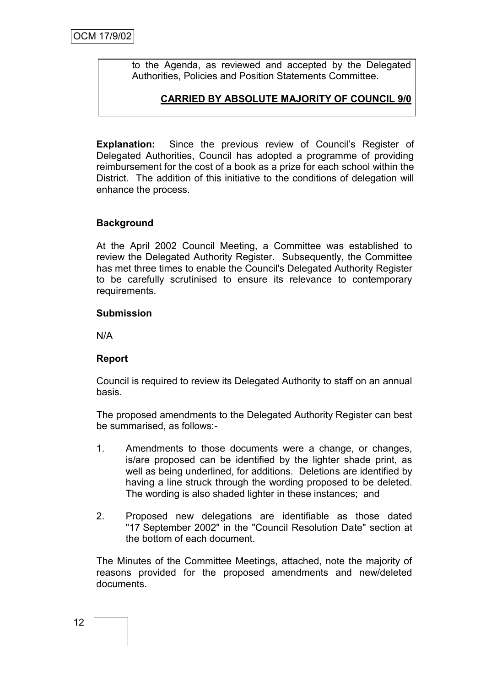to the Agenda, as reviewed and accepted by the Delegated Authorities, Policies and Position Statements Committee.

# **CARRIED BY ABSOLUTE MAJORITY OF COUNCIL 9/0**

**Explanation:** Since the previous review of Council's Register of Delegated Authorities, Council has adopted a programme of providing reimbursement for the cost of a book as a prize for each school within the District. The addition of this initiative to the conditions of delegation will enhance the process.

#### **Background**

At the April 2002 Council Meeting, a Committee was established to review the Delegated Authority Register. Subsequently, the Committee has met three times to enable the Council's Delegated Authority Register to be carefully scrutinised to ensure its relevance to contemporary requirements.

#### **Submission**

N/A

#### **Report**

Council is required to review its Delegated Authority to staff on an annual basis.

The proposed amendments to the Delegated Authority Register can best be summarised, as follows:-

- 1. Amendments to those documents were a change, or changes, is/are proposed can be identified by the lighter shade print, as well as being underlined, for additions. Deletions are identified by having a line struck through the wording proposed to be deleted. The wording is also shaded lighter in these instances; and
- 2. Proposed new delegations are identifiable as those dated "17 September 2002" in the "Council Resolution Date" section at the bottom of each document.

The Minutes of the Committee Meetings, attached, note the majority of reasons provided for the proposed amendments and new/deleted documents.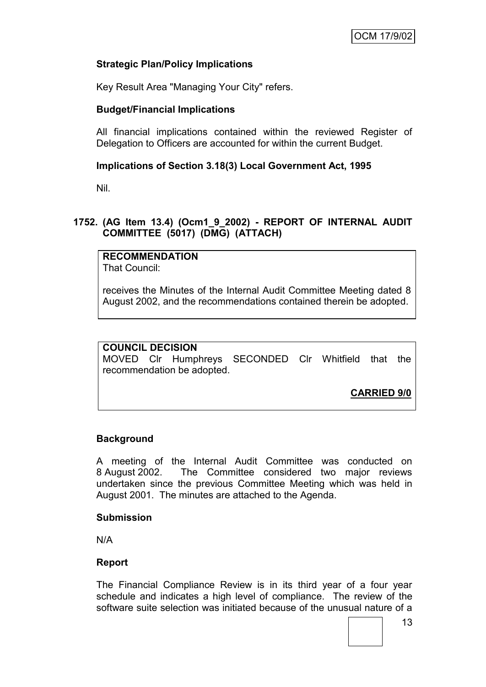# **Strategic Plan/Policy Implications**

Key Result Area "Managing Your City" refers.

# **Budget/Financial Implications**

All financial implications contained within the reviewed Register of Delegation to Officers are accounted for within the current Budget.

# **Implications of Section 3.18(3) Local Government Act, 1995**

Nil.

### **1752. (AG Item 13.4) (Ocm1\_9\_2002) - REPORT OF INTERNAL AUDIT COMMITTEE (5017) (DMG) (ATTACH)**

# **RECOMMENDATION**

That Council:

receives the Minutes of the Internal Audit Committee Meeting dated 8 August 2002, and the recommendations contained therein be adopted.

#### **COUNCIL DECISION**

MOVED Clr Humphreys SECONDED Clr Whitfield that the recommendation be adopted.

**CARRIED 9/0**

# **Background**

A meeting of the Internal Audit Committee was conducted on 8 August 2002. The Committee considered two major reviews undertaken since the previous Committee Meeting which was held in August 2001. The minutes are attached to the Agenda.

#### **Submission**

N/A

# **Report**

The Financial Compliance Review is in its third year of a four year schedule and indicates a high level of compliance. The review of the software suite selection was initiated because of the unusual nature of a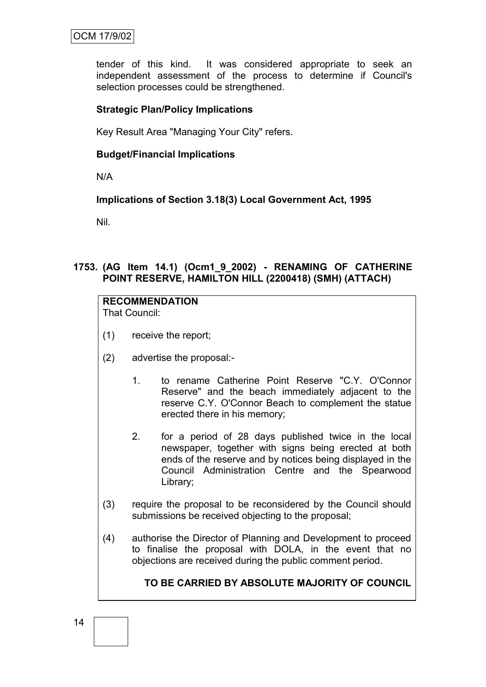tender of this kind. It was considered appropriate to seek an independent assessment of the process to determine if Council's selection processes could be strengthened.

# **Strategic Plan/Policy Implications**

Key Result Area "Managing Your City" refers.

### **Budget/Financial Implications**

N/A

**Implications of Section 3.18(3) Local Government Act, 1995**

Nil.

# **1753. (AG Item 14.1) (Ocm1\_9\_2002) - RENAMING OF CATHERINE POINT RESERVE, HAMILTON HILL (2200418) (SMH) (ATTACH)**

# **RECOMMENDATION**

That Council:

- (1) receive the report;
- (2) advertise the proposal:-
	- 1. to rename Catherine Point Reserve "C.Y. O'Connor Reserve" and the beach immediately adjacent to the reserve C.Y. O'Connor Beach to complement the statue erected there in his memory;
	- 2. for a period of 28 days published twice in the local newspaper, together with signs being erected at both ends of the reserve and by notices being displayed in the Council Administration Centre and the Spearwood Library;
- (3) require the proposal to be reconsidered by the Council should submissions be received objecting to the proposal;
- (4) authorise the Director of Planning and Development to proceed to finalise the proposal with DOLA, in the event that no objections are received during the public comment period.

**TO BE CARRIED BY ABSOLUTE MAJORITY OF COUNCIL**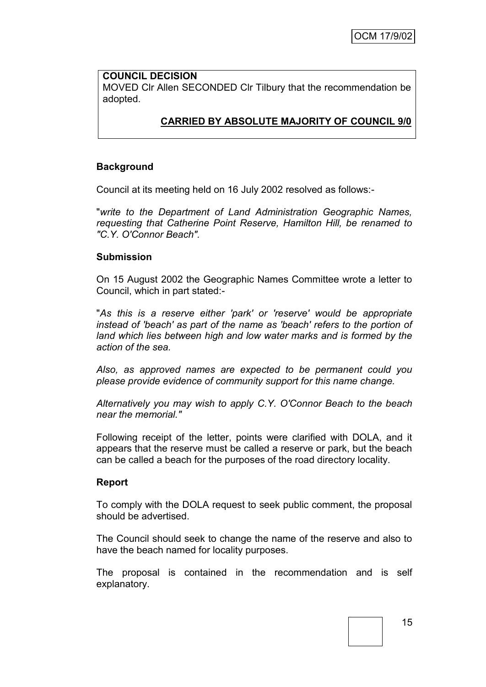# **COUNCIL DECISION**

MOVED Clr Allen SECONDED Clr Tilbury that the recommendation be adopted.

# **CARRIED BY ABSOLUTE MAJORITY OF COUNCIL 9/0**

### **Background**

Council at its meeting held on 16 July 2002 resolved as follows:-

"*write to the Department of Land Administration Geographic Names, requesting that Catherine Point Reserve, Hamilton Hill, be renamed to "C.Y. O'Connor Beach".*

#### **Submission**

On 15 August 2002 the Geographic Names Committee wrote a letter to Council, which in part stated:-

"*As this is a reserve either 'park' or 'reserve' would be appropriate instead of 'beach' as part of the name as 'beach' refers to the portion of land which lies between high and low water marks and is formed by the action of the sea.*

*Also, as approved names are expected to be permanent could you please provide evidence of community support for this name change.*

*Alternatively you may wish to apply C.Y. O'Connor Beach to the beach near the memorial."*

Following receipt of the letter, points were clarified with DOLA, and it appears that the reserve must be called a reserve or park, but the beach can be called a beach for the purposes of the road directory locality.

#### **Report**

To comply with the DOLA request to seek public comment, the proposal should be advertised.

The Council should seek to change the name of the reserve and also to have the beach named for locality purposes.

The proposal is contained in the recommendation and is self explanatory.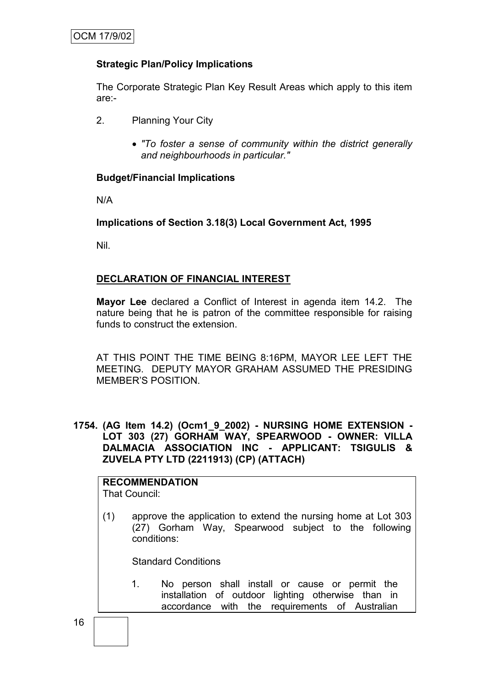# **Strategic Plan/Policy Implications**

The Corporate Strategic Plan Key Result Areas which apply to this item are:-

- 2. Planning Your City
	- *"To foster a sense of community within the district generally and neighbourhoods in particular."*

#### **Budget/Financial Implications**

N/A

**Implications of Section 3.18(3) Local Government Act, 1995**

Nil.

# **DECLARATION OF FINANCIAL INTEREST**

**Mayor Lee** declared a Conflict of Interest in agenda item 14.2. The nature being that he is patron of the committee responsible for raising funds to construct the extension.

AT THIS POINT THE TIME BEING 8:16PM, MAYOR LEE LEFT THE MEETING. DEPUTY MAYOR GRAHAM ASSUMED THE PRESIDING MEMBER"S POSITION.

**1754. (AG Item 14.2) (Ocm1\_9\_2002) - NURSING HOME EXTENSION - LOT 303 (27) GORHAM WAY, SPEARWOOD - OWNER: VILLA DALMACIA ASSOCIATION INC - APPLICANT: TSIGULIS & ZUVELA PTY LTD (2211913) (CP) (ATTACH)**

#### **RECOMMENDATION**

That Council:

(1) approve the application to extend the nursing home at Lot 303 (27) Gorham Way, Spearwood subject to the following conditions:

Standard Conditions

1. No person shall install or cause or permit the installation of outdoor lighting otherwise than in accordance with the requirements of Australian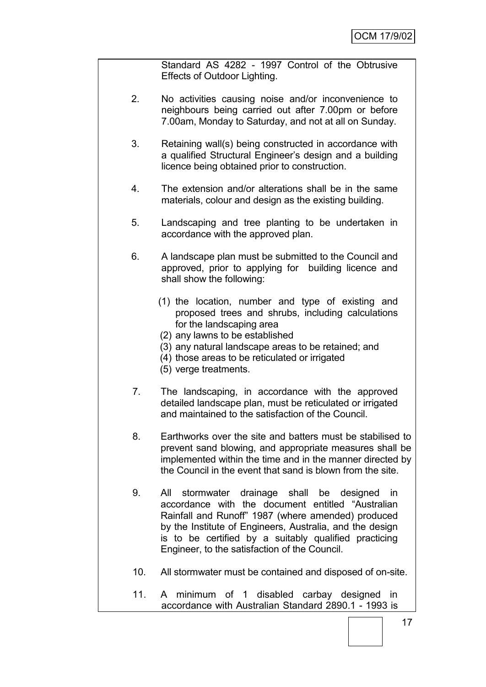Standard AS 4282 - 1997 Control of the Obtrusive Effects of Outdoor Lighting.

- 2. No activities causing noise and/or inconvenience to neighbours being carried out after 7.00pm or before 7.00am, Monday to Saturday, and not at all on Sunday.
- 3. Retaining wall(s) being constructed in accordance with a qualified Structural Engineer"s design and a building licence being obtained prior to construction.
- 4. The extension and/or alterations shall be in the same materials, colour and design as the existing building.
- 5. Landscaping and tree planting to be undertaken in accordance with the approved plan.
- 6. A landscape plan must be submitted to the Council and approved, prior to applying for building licence and shall show the following:
	- (1) the location, number and type of existing and proposed trees and shrubs, including calculations for the landscaping area
	- (2) any lawns to be established
	- (3) any natural landscape areas to be retained; and
	- (4) those areas to be reticulated or irrigated
	- (5) verge treatments.
- 7. The landscaping, in accordance with the approved detailed landscape plan, must be reticulated or irrigated and maintained to the satisfaction of the Council.
- 8. Earthworks over the site and batters must be stabilised to prevent sand blowing, and appropriate measures shall be implemented within the time and in the manner directed by the Council in the event that sand is blown from the site.
- 9. All stormwater drainage shall be designed in accordance with the document entitled "Australian Rainfall and Runoff" 1987 (where amended) produced by the Institute of Engineers, Australia, and the design is to be certified by a suitably qualified practicing Engineer, to the satisfaction of the Council.
- 10. All stormwater must be contained and disposed of on-site.
- 11. A minimum of 1 disabled carbay designed in accordance with Australian Standard 2890.1 - 1993 is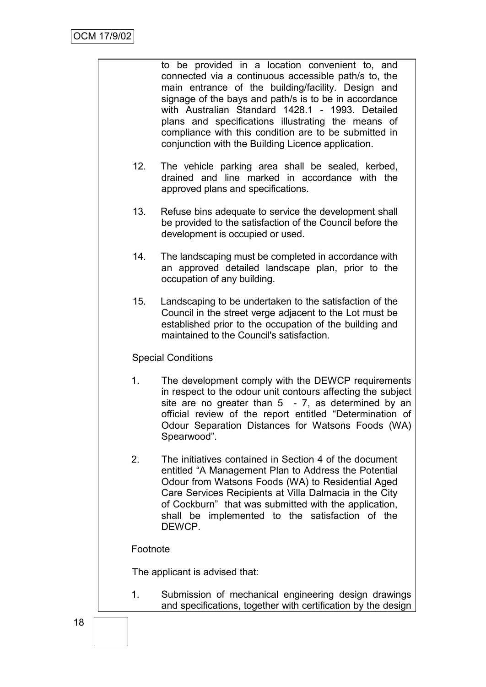to be provided in a location convenient to, and connected via a continuous accessible path/s to, the main entrance of the building/facility. Design and signage of the bays and path/s is to be in accordance with Australian Standard 1428.1 - 1993. Detailed plans and specifications illustrating the means of compliance with this condition are to be submitted in conjunction with the Building Licence application.

- 12. The vehicle parking area shall be sealed, kerbed, drained and line marked in accordance with the approved plans and specifications.
- 13. Refuse bins adequate to service the development shall be provided to the satisfaction of the Council before the development is occupied or used.
- 14. The landscaping must be completed in accordance with an approved detailed landscape plan, prior to the occupation of any building.
- 15. Landscaping to be undertaken to the satisfaction of the Council in the street verge adjacent to the Lot must be established prior to the occupation of the building and maintained to the Council's satisfaction.

# Special Conditions

- 1. The development comply with the DEWCP requirements in respect to the odour unit contours affecting the subject site are no greater than  $5 - 7$ , as determined by an official review of the report entitled "Determination of Odour Separation Distances for Watsons Foods (WA) Spearwood".
- 2. The initiatives contained in Section 4 of the document entitled "A Management Plan to Address the Potential Odour from Watsons Foods (WA) to Residential Aged Care Services Recipients at Villa Dalmacia in the City of Cockburn" that was submitted with the application, shall be implemented to the satisfaction of the DEWCP.

#### Footnote

The applicant is advised that:

1. Submission of mechanical engineering design drawings and specifications, together with certification by the design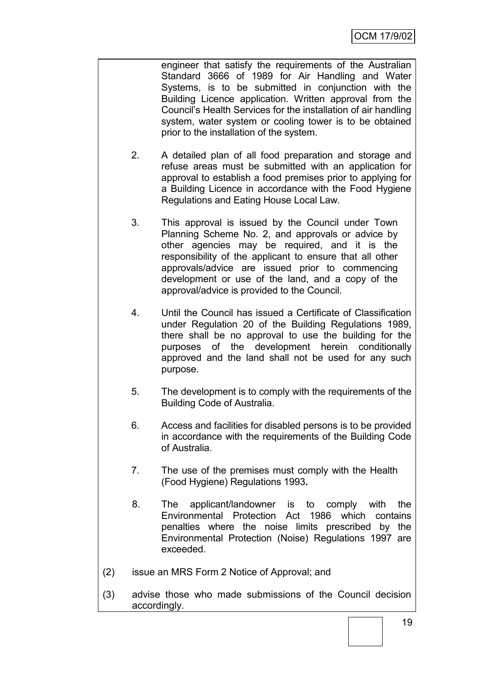engineer that satisfy the requirements of the Australian Standard 3666 of 1989 for Air Handling and Water Systems, is to be submitted in conjunction with the Building Licence application. Written approval from the Council"s Health Services for the installation of air handling system, water system or cooling tower is to be obtained prior to the installation of the system.

- 2. A detailed plan of all food preparation and storage and refuse areas must be submitted with an application for approval to establish a food premises prior to applying for a Building Licence in accordance with the Food Hygiene Regulations and Eating House Local Law.
- 3. This approval is issued by the Council under Town Planning Scheme No. 2, and approvals or advice by other agencies may be required, and it is the responsibility of the applicant to ensure that all other approvals/advice are issued prior to commencing development or use of the land, and a copy of the approval/advice is provided to the Council.
- 4. Until the Council has issued a Certificate of Classification under Regulation 20 of the Building Regulations 1989, there shall be no approval to use the building for the purposes of the development herein conditionally approved and the land shall not be used for any such purpose.
- 5. The development is to comply with the requirements of the Building Code of Australia.
- 6. Access and facilities for disabled persons is to be provided in accordance with the requirements of the Building Code of Australia.
- 7. The use of the premises must comply with the Health (Food Hygiene) Regulations 1993**.**
- 8. The applicant/landowner is to comply with the Environmental Protection Act 1986 which contains penalties where the noise limits prescribed by the Environmental Protection (Noise) Regulations 1997 are exceeded.
- (2) issue an MRS Form 2 Notice of Approval; and
- (3) advise those who made submissions of the Council decision accordingly.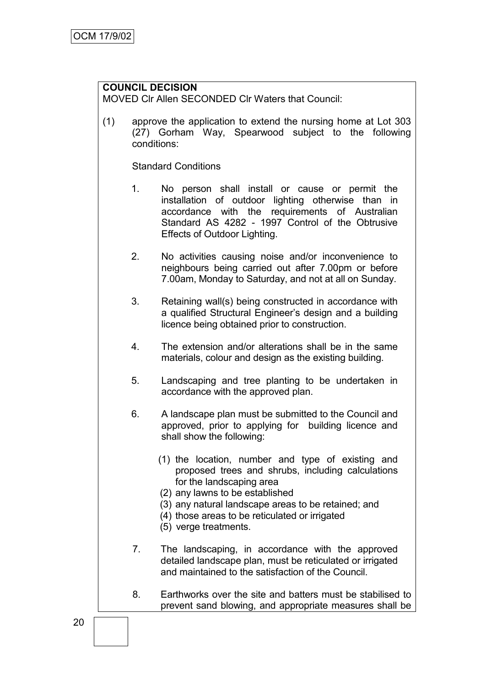# **COUNCIL DECISION**

MOVED Clr Allen SECONDED Clr Waters that Council:

(1) approve the application to extend the nursing home at Lot 303 (27) Gorham Way, Spearwood subject to the following conditions:

Standard Conditions

- 1. No person shall install or cause or permit the installation of outdoor lighting otherwise than in accordance with the requirements of Australian Standard AS 4282 - 1997 Control of the Obtrusive Effects of Outdoor Lighting.
- 2. No activities causing noise and/or inconvenience to neighbours being carried out after 7.00pm or before 7.00am, Monday to Saturday, and not at all on Sunday.
- 3. Retaining wall(s) being constructed in accordance with a qualified Structural Engineer"s design and a building licence being obtained prior to construction.
- 4. The extension and/or alterations shall be in the same materials, colour and design as the existing building.
- 5. Landscaping and tree planting to be undertaken in accordance with the approved plan.
- 6. A landscape plan must be submitted to the Council and approved, prior to applying for building licence and shall show the following:
	- (1) the location, number and type of existing and proposed trees and shrubs, including calculations for the landscaping area
	- (2) any lawns to be established
	- (3) any natural landscape areas to be retained; and
	- (4) those areas to be reticulated or irrigated
	- (5) verge treatments.
- 7. The landscaping, in accordance with the approved detailed landscape plan, must be reticulated or irrigated and maintained to the satisfaction of the Council.
- 8. Earthworks over the site and batters must be stabilised to prevent sand blowing, and appropriate measures shall be

20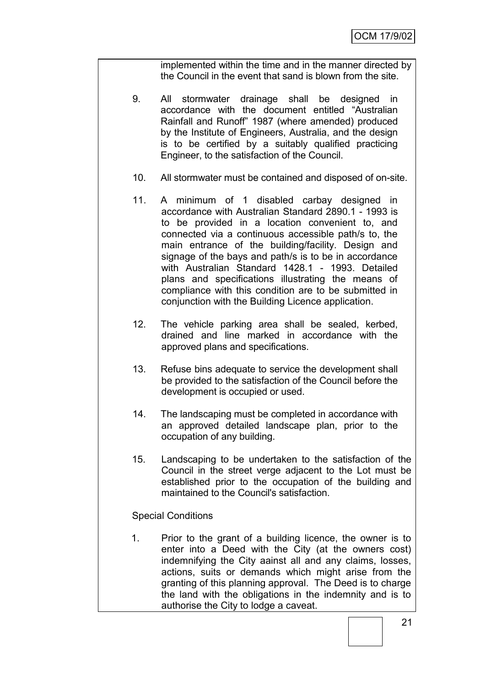implemented within the time and in the manner directed by the Council in the event that sand is blown from the site.

- 9. All stormwater drainage shall be designed in accordance with the document entitled "Australian Rainfall and Runoff" 1987 (where amended) produced by the Institute of Engineers, Australia, and the design is to be certified by a suitably qualified practicing Engineer, to the satisfaction of the Council.
- 10. All stormwater must be contained and disposed of on-site.
- 11. A minimum of 1 disabled carbay designed in accordance with Australian Standard 2890.1 - 1993 is to be provided in a location convenient to, and connected via a continuous accessible path/s to, the main entrance of the building/facility. Design and signage of the bays and path/s is to be in accordance with Australian Standard 1428.1 - 1993. Detailed plans and specifications illustrating the means of compliance with this condition are to be submitted in conjunction with the Building Licence application.
- 12. The vehicle parking area shall be sealed, kerbed, drained and line marked in accordance with the approved plans and specifications.
- 13. Refuse bins adequate to service the development shall be provided to the satisfaction of the Council before the development is occupied or used.
- 14. The landscaping must be completed in accordance with an approved detailed landscape plan, prior to the occupation of any building.
- 15. Landscaping to be undertaken to the satisfaction of the Council in the street verge adjacent to the Lot must be established prior to the occupation of the building and maintained to the Council's satisfaction.

#### Special Conditions

1. Prior to the grant of a building licence, the owner is to enter into a Deed with the City (at the owners cost) indemnifying the City aainst all and any claims, losses, actions, suits or demands which might arise from the granting of this planning approval. The Deed is to charge the land with the obligations in the indemnity and is to authorise the City to lodge a caveat.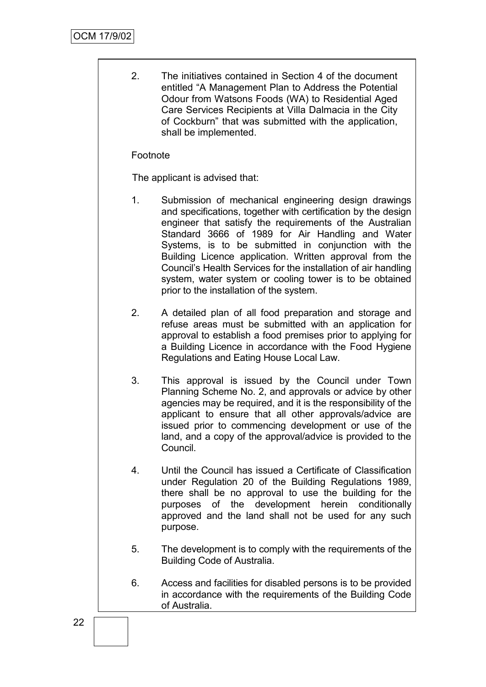2. The initiatives contained in Section 4 of the document entitled "A Management Plan to Address the Potential Odour from Watsons Foods (WA) to Residential Aged Care Services Recipients at Villa Dalmacia in the City of Cockburn" that was submitted with the application, shall be implemented.

# Footnote

The applicant is advised that:

- 1. Submission of mechanical engineering design drawings and specifications, together with certification by the design engineer that satisfy the requirements of the Australian Standard 3666 of 1989 for Air Handling and Water Systems, is to be submitted in conjunction with the Building Licence application. Written approval from the Council"s Health Services for the installation of air handling system, water system or cooling tower is to be obtained prior to the installation of the system.
- 2. A detailed plan of all food preparation and storage and refuse areas must be submitted with an application for approval to establish a food premises prior to applying for a Building Licence in accordance with the Food Hygiene Regulations and Eating House Local Law.
- 3. This approval is issued by the Council under Town Planning Scheme No. 2, and approvals or advice by other agencies may be required, and it is the responsibility of the applicant to ensure that all other approvals/advice are issued prior to commencing development or use of the land, and a copy of the approval/advice is provided to the Council.
- 4. Until the Council has issued a Certificate of Classification under Regulation 20 of the Building Regulations 1989, there shall be no approval to use the building for the purposes of the development herein conditionally approved and the land shall not be used for any such purpose.
- 5. The development is to comply with the requirements of the Building Code of Australia.
- 6. Access and facilities for disabled persons is to be provided in accordance with the requirements of the Building Code of Australia.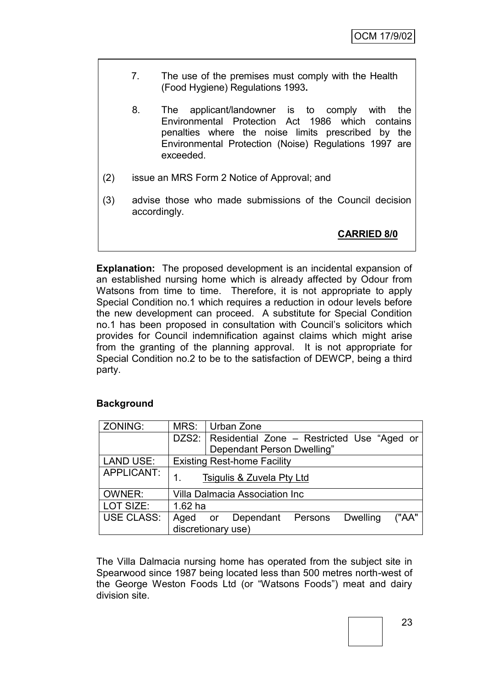- 7. The use of the premises must comply with the Health (Food Hygiene) Regulations 1993**.**
- 8. The applicant/landowner is to comply with the Environmental Protection Act 1986 which contains penalties where the noise limits prescribed by the Environmental Protection (Noise) Regulations 1997 are exceeded.
- (2) issue an MRS Form 2 Notice of Approval; and
- (3) advise those who made submissions of the Council decision accordingly.

# **CARRIED 8/0**

**Explanation:** The proposed development is an incidental expansion of an established nursing home which is already affected by Odour from Watsons from time to time. Therefore, it is not appropriate to apply Special Condition no.1 which requires a reduction in odour levels before the new development can proceed. A substitute for Special Condition no.1 has been proposed in consultation with Council"s solicitors which provides for Council indemnification against claims which might arise from the granting of the planning approval. It is not appropriate for Special Condition no.2 to be to the satisfaction of DEWCP, being a third party.

#### **Background**

| ZONING:           | MRS:<br>Urban Zone                     |                                                        |  |  |
|-------------------|----------------------------------------|--------------------------------------------------------|--|--|
|                   |                                        | DZS2: Residential Zone - Restricted Use "Aged or       |  |  |
|                   |                                        | Dependant Person Dwelling"                             |  |  |
| <b>LAND USE:</b>  | <b>Existing Rest-home Facility</b>     |                                                        |  |  |
| <b>APPLICANT:</b> |                                        | Tsigulis & Zuvela Pty Ltd                              |  |  |
| <b>OWNER:</b>     | <b>Villa Dalmacia Association Inc.</b> |                                                        |  |  |
| LOT SIZE:         | $1.62$ ha                              |                                                        |  |  |
| <b>USE CLASS:</b> |                                        | <b>Dwelling</b><br>("AA")<br>Aged or Dependant Persons |  |  |
|                   | discretionary use)                     |                                                        |  |  |

The Villa Dalmacia nursing home has operated from the subject site in Spearwood since 1987 being located less than 500 metres north-west of the George Weston Foods Ltd (or "Watsons Foods") meat and dairy division site.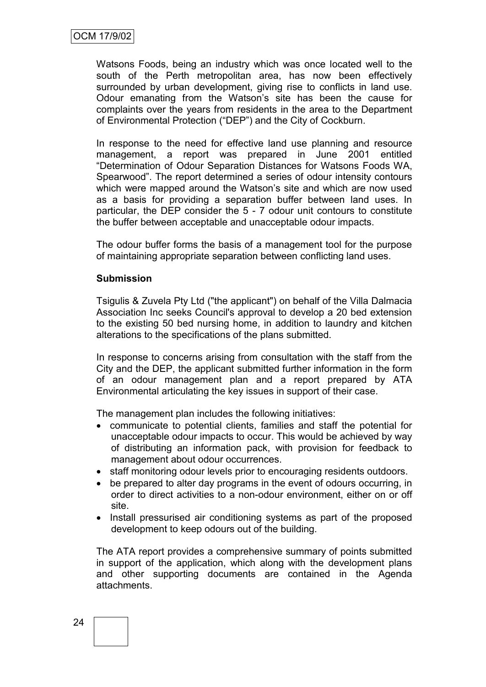Watsons Foods, being an industry which was once located well to the south of the Perth metropolitan area, has now been effectively surrounded by urban development, giving rise to conflicts in land use. Odour emanating from the Watson"s site has been the cause for complaints over the years from residents in the area to the Department of Environmental Protection ("DEP") and the City of Cockburn.

In response to the need for effective land use planning and resource management, a report was prepared in June 2001 entitled "Determination of Odour Separation Distances for Watsons Foods WA, Spearwood". The report determined a series of odour intensity contours which were mapped around the Watson's site and which are now used as a basis for providing a separation buffer between land uses. In particular, the DEP consider the 5 - 7 odour unit contours to constitute the buffer between acceptable and unacceptable odour impacts.

The odour buffer forms the basis of a management tool for the purpose of maintaining appropriate separation between conflicting land uses.

#### **Submission**

Tsigulis & Zuvela Pty Ltd ("the applicant") on behalf of the Villa Dalmacia Association Inc seeks Council's approval to develop a 20 bed extension to the existing 50 bed nursing home, in addition to laundry and kitchen alterations to the specifications of the plans submitted.

In response to concerns arising from consultation with the staff from the City and the DEP, the applicant submitted further information in the form of an odour management plan and a report prepared by ATA Environmental articulating the key issues in support of their case.

The management plan includes the following initiatives:

- communicate to potential clients, families and staff the potential for unacceptable odour impacts to occur. This would be achieved by way of distributing an information pack, with provision for feedback to management about odour occurrences.
- staff monitoring odour levels prior to encouraging residents outdoors.
- be prepared to alter day programs in the event of odours occurring, in order to direct activities to a non-odour environment, either on or off site.
- Install pressurised air conditioning systems as part of the proposed development to keep odours out of the building.

The ATA report provides a comprehensive summary of points submitted in support of the application, which along with the development plans and other supporting documents are contained in the Agenda attachments.

24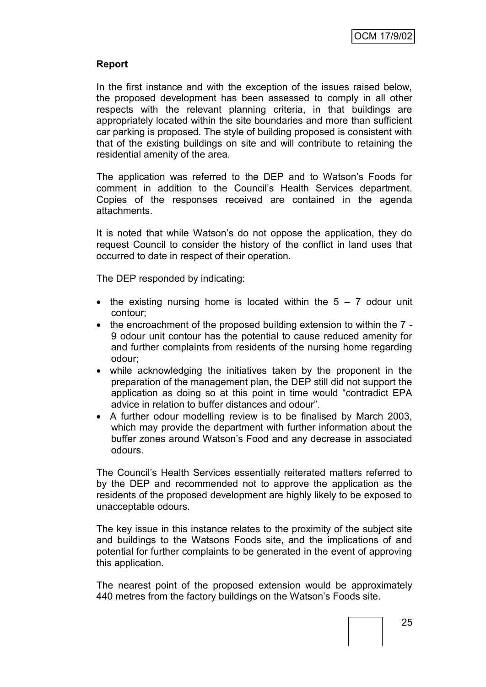#### **Report**

In the first instance and with the exception of the issues raised below, the proposed development has been assessed to comply in all other respects with the relevant planning criteria, in that buildings are appropriately located within the site boundaries and more than sufficient car parking is proposed. The style of building proposed is consistent with that of the existing buildings on site and will contribute to retaining the residential amenity of the area.

The application was referred to the DEP and to Watson"s Foods for comment in addition to the Council"s Health Services department. Copies of the responses received are contained in the agenda attachments.

It is noted that while Watson"s do not oppose the application, they do request Council to consider the history of the conflict in land uses that occurred to date in respect of their operation.

The DEP responded by indicating:

- the existing nursing home is located within the  $5 7$  odour unit contour;
- the encroachment of the proposed building extension to within the 7 -9 odour unit contour has the potential to cause reduced amenity for and further complaints from residents of the nursing home regarding odour;
- while acknowledging the initiatives taken by the proponent in the preparation of the management plan, the DEP still did not support the application as doing so at this point in time would "contradict EPA advice in relation to buffer distances and odour".
- A further odour modelling review is to be finalised by March 2003, which may provide the department with further information about the buffer zones around Watson"s Food and any decrease in associated odours.

The Council"s Health Services essentially reiterated matters referred to by the DEP and recommended not to approve the application as the residents of the proposed development are highly likely to be exposed to unacceptable odours.

The key issue in this instance relates to the proximity of the subject site and buildings to the Watsons Foods site, and the implications of and potential for further complaints to be generated in the event of approving this application.

The nearest point of the proposed extension would be approximately 440 metres from the factory buildings on the Watson"s Foods site.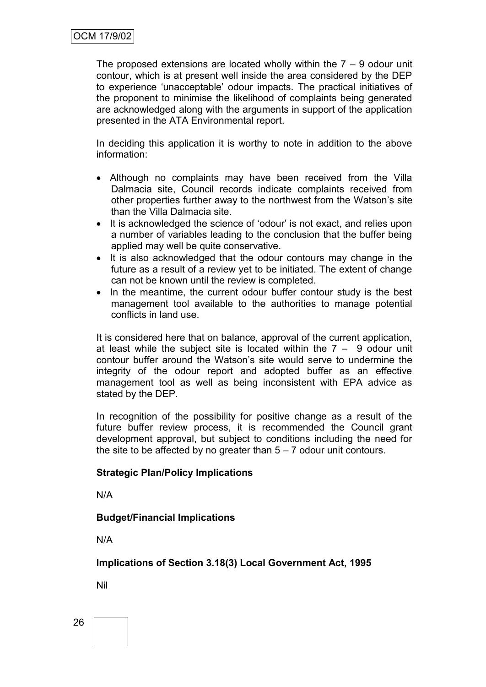The proposed extensions are located wholly within the  $7 - 9$  odour unit contour, which is at present well inside the area considered by the DEP to experience "unacceptable" odour impacts. The practical initiatives of the proponent to minimise the likelihood of complaints being generated are acknowledged along with the arguments in support of the application presented in the ATA Environmental report.

In deciding this application it is worthy to note in addition to the above information:

- Although no complaints may have been received from the Villa Dalmacia site, Council records indicate complaints received from other properties further away to the northwest from the Watson"s site than the Villa Dalmacia site.
- It is acknowledged the science of 'odour' is not exact, and relies upon a number of variables leading to the conclusion that the buffer being applied may well be quite conservative.
- It is also acknowledged that the odour contours may change in the future as a result of a review yet to be initiated. The extent of change can not be known until the review is completed.
- In the meantime, the current odour buffer contour study is the best management tool available to the authorities to manage potential conflicts in land use.

It is considered here that on balance, approval of the current application, at least while the subject site is located within the  $7 - 9$  odour unit contour buffer around the Watson"s site would serve to undermine the integrity of the odour report and adopted buffer as an effective management tool as well as being inconsistent with EPA advice as stated by the DEP.

In recognition of the possibility for positive change as a result of the future buffer review process, it is recommended the Council grant development approval, but subject to conditions including the need for the site to be affected by no greater than  $5 - 7$  odour unit contours.

#### **Strategic Plan/Policy Implications**

N/A

#### **Budget/Financial Implications**

N/A

**Implications of Section 3.18(3) Local Government Act, 1995**

Nil

26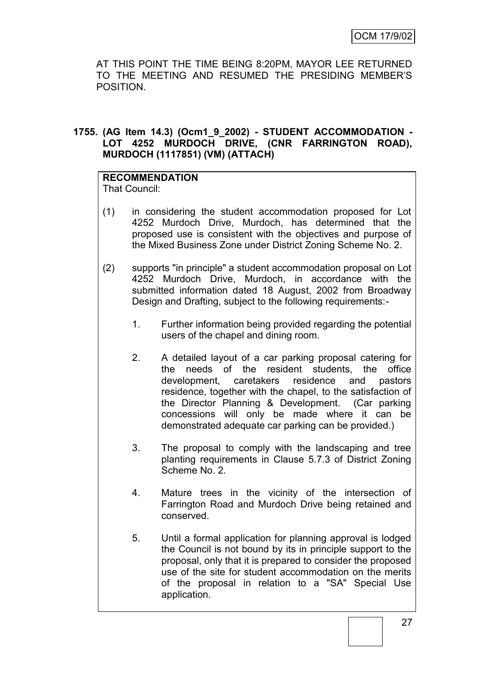AT THIS POINT THE TIME BEING 8:20PM, MAYOR LEE RETURNED TO THE MEETING AND RESUMED THE PRESIDING MEMBER"S POSITION.

# **1755. (AG Item 14.3) (Ocm1\_9\_2002) - STUDENT ACCOMMODATION - LOT 4252 MURDOCH DRIVE, (CNR FARRINGTON ROAD), MURDOCH (1117851) (VM) (ATTACH)**

#### **RECOMMENDATION** That Council:

- (1) in considering the student accommodation proposed for Lot 4252 Murdoch Drive, Murdoch, has determined that the proposed use is consistent with the objectives and purpose of the Mixed Business Zone under District Zoning Scheme No. 2.
- (2) supports "in principle" a student accommodation proposal on Lot 4252 Murdoch Drive, Murdoch, in accordance with the submitted information dated 18 August, 2002 from Broadway Design and Drafting, subject to the following requirements:-
	- 1. Further information being provided regarding the potential users of the chapel and dining room.
	- 2. A detailed layout of a car parking proposal catering for the needs of the resident students, the office development, caretakers residence and pastors residence, together with the chapel, to the satisfaction of the Director Planning & Development. (Car parking concessions will only be made where it can be demonstrated adequate car parking can be provided.)
	- 3. The proposal to comply with the landscaping and tree planting requirements in Clause 5.7.3 of District Zoning Scheme No. 2.
	- 4. Mature trees in the vicinity of the intersection of Farrington Road and Murdoch Drive being retained and conserved.
	- 5. Until a formal application for planning approval is lodged the Council is not bound by its in principle support to the proposal, only that it is prepared to consider the proposed use of the site for student accommodation on the merits of the proposal in relation to a "SA" Special Use application.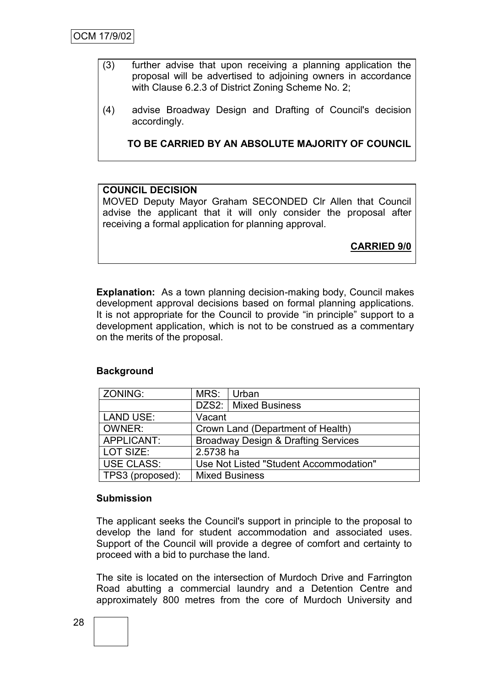- (3) further advise that upon receiving a planning application the proposal will be advertised to adjoining owners in accordance with Clause 6.2.3 of District Zoning Scheme No. 2;
- (4) advise Broadway Design and Drafting of Council's decision accordingly.

# **TO BE CARRIED BY AN ABSOLUTE MAJORITY OF COUNCIL**

#### **COUNCIL DECISION**

MOVED Deputy Mayor Graham SECONDED Clr Allen that Council advise the applicant that it will only consider the proposal after receiving a formal application for planning approval.

**CARRIED 9/0**

**Explanation:** As a town planning decision-making body, Council makes development approval decisions based on formal planning applications. It is not appropriate for the Council to provide "in principle" support to a development application, which is not to be construed as a commentary on the merits of the proposal.

#### **Background**

| ZONING:           | MRS:                              | Urban                                          |  |
|-------------------|-----------------------------------|------------------------------------------------|--|
|                   |                                   | DZS2:   Mixed Business                         |  |
| <b>LAND USE:</b>  | Vacant                            |                                                |  |
| <b>OWNER:</b>     | Crown Land (Department of Health) |                                                |  |
| APPLICANT:        |                                   | <b>Broadway Design &amp; Drafting Services</b> |  |
| LOT SIZE:         | 2.5738 ha                         |                                                |  |
| <b>USE CLASS:</b> |                                   | Use Not Listed "Student Accommodation"         |  |
| TPS3 (proposed):  |                                   | <b>Mixed Business</b>                          |  |

#### **Submission**

The applicant seeks the Council's support in principle to the proposal to develop the land for student accommodation and associated uses. Support of the Council will provide a degree of comfort and certainty to proceed with a bid to purchase the land.

The site is located on the intersection of Murdoch Drive and Farrington Road abutting a commercial laundry and a Detention Centre and approximately 800 metres from the core of Murdoch University and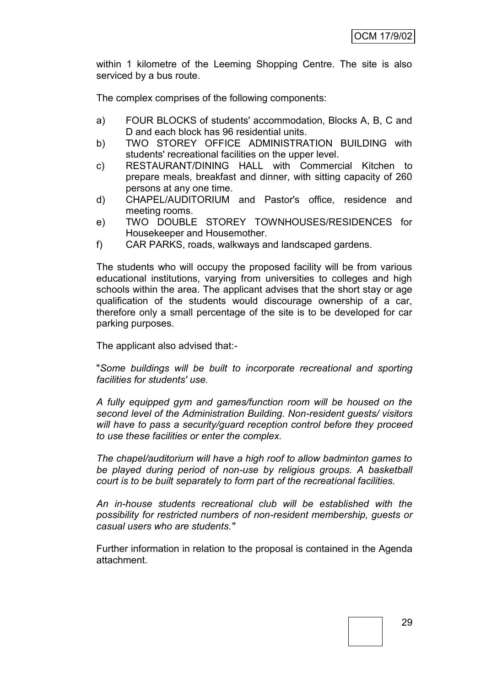within 1 kilometre of the Leeming Shopping Centre. The site is also serviced by a bus route.

The complex comprises of the following components:

- a) FOUR BLOCKS of students' accommodation, Blocks A, B, C and D and each block has 96 residential units.
- b) TWO STOREY OFFICE ADMINISTRATION BUILDING with students' recreational facilities on the upper level.
- c) RESTAURANT/DINING HALL with Commercial Kitchen to prepare meals, breakfast and dinner, with sitting capacity of 260 persons at any one time.
- d) CHAPEL/AUDITORIUM and Pastor's office, residence and meeting rooms.
- e) TWO DOUBLE STOREY TOWNHOUSES/RESIDENCES for Housekeeper and Housemother.
- f) CAR PARKS, roads, walkways and landscaped gardens.

The students who will occupy the proposed facility will be from various educational institutions, varying from universities to colleges and high schools within the area. The applicant advises that the short stay or age qualification of the students would discourage ownership of a car, therefore only a small percentage of the site is to be developed for car parking purposes.

The applicant also advised that:-

"*Some buildings will be built to incorporate recreational and sporting facilities for students' use.*

*A fully equipped gym and games/function room will be housed on the second level of the Administration Building. Non-resident guests/ visitors will have to pass a security/guard reception control before they proceed to use these facilities or enter the complex.*

*The chapel/auditorium will have a high roof to allow badminton games to be played during period of non-use by religious groups. A basketball court is to be built separately to form part of the recreational facilities.*

*An in-house students recreational club will be established with the possibility for restricted numbers of non-resident membership, guests or casual users who are students."*

Further information in relation to the proposal is contained in the Agenda attachment.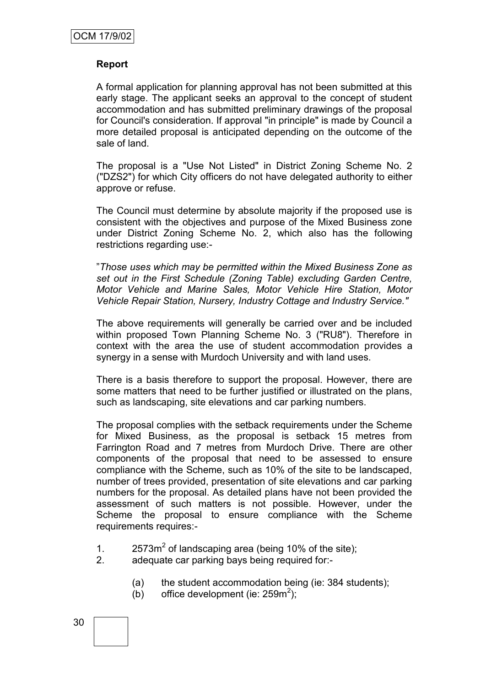#### **Report**

A formal application for planning approval has not been submitted at this early stage. The applicant seeks an approval to the concept of student accommodation and has submitted preliminary drawings of the proposal for Council's consideration. If approval "in principle" is made by Council a more detailed proposal is anticipated depending on the outcome of the sale of land.

The proposal is a "Use Not Listed" in District Zoning Scheme No. 2 ("DZS2") for which City officers do not have delegated authority to either approve or refuse.

The Council must determine by absolute majority if the proposed use is consistent with the objectives and purpose of the Mixed Business zone under District Zoning Scheme No. 2, which also has the following restrictions regarding use:-

"*Those uses which may be permitted within the Mixed Business Zone as set out in the First Schedule (Zoning Table) excluding Garden Centre, Motor Vehicle and Marine Sales, Motor Vehicle Hire Station, Motor Vehicle Repair Station, Nursery, Industry Cottage and Industry Service."*

The above requirements will generally be carried over and be included within proposed Town Planning Scheme No. 3 ("RU8"). Therefore in context with the area the use of student accommodation provides a synergy in a sense with Murdoch University and with land uses.

There is a basis therefore to support the proposal. However, there are some matters that need to be further justified or illustrated on the plans, such as landscaping, site elevations and car parking numbers.

The proposal complies with the setback requirements under the Scheme for Mixed Business, as the proposal is setback 15 metres from Farrington Road and 7 metres from Murdoch Drive. There are other components of the proposal that need to be assessed to ensure compliance with the Scheme, such as 10% of the site to be landscaped, number of trees provided, presentation of site elevations and car parking numbers for the proposal. As detailed plans have not been provided the assessment of such matters is not possible. However, under the Scheme the proposal to ensure compliance with the Scheme requirements requires:-

- 1.  $2573m^2$  of landscaping area (being 10% of the site);
- 2. adequate car parking bays being required for:-
	- (a) the student accommodation being (ie: 384 students);
	- (b) office development (ie:  $259m^2$ );

30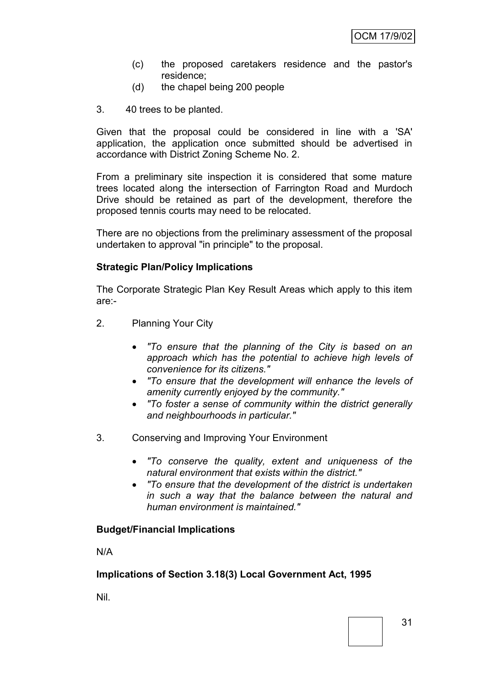- (c) the proposed caretakers residence and the pastor's residence;
- (d) the chapel being 200 people
- 3. 40 trees to be planted.

Given that the proposal could be considered in line with a 'SA' application, the application once submitted should be advertised in accordance with District Zoning Scheme No. 2.

From a preliminary site inspection it is considered that some mature trees located along the intersection of Farrington Road and Murdoch Drive should be retained as part of the development, therefore the proposed tennis courts may need to be relocated.

There are no objections from the preliminary assessment of the proposal undertaken to approval "in principle" to the proposal.

# **Strategic Plan/Policy Implications**

The Corporate Strategic Plan Key Result Areas which apply to this item are:-

- 2. Planning Your City
	- *"To ensure that the planning of the City is based on an approach which has the potential to achieve high levels of convenience for its citizens."*
	- *"To ensure that the development will enhance the levels of amenity currently enjoyed by the community."*
	- *"To foster a sense of community within the district generally and neighbourhoods in particular."*
- 3. Conserving and Improving Your Environment
	- *"To conserve the quality, extent and uniqueness of the natural environment that exists within the district."*
	- *"To ensure that the development of the district is undertaken in such a way that the balance between the natural and human environment is maintained."*

#### **Budget/Financial Implications**

N/A

# **Implications of Section 3.18(3) Local Government Act, 1995**

Nil.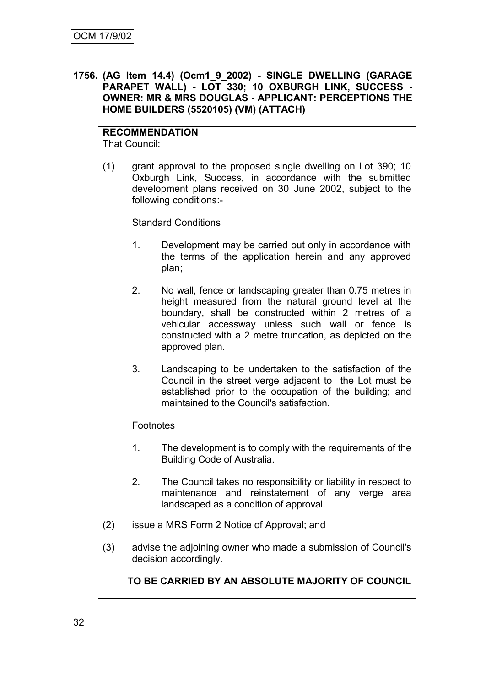**1756. (AG Item 14.4) (Ocm1\_9\_2002) - SINGLE DWELLING (GARAGE PARAPET WALL) - LOT 330; 10 OXBURGH LINK, SUCCESS - OWNER: MR & MRS DOUGLAS - APPLICANT: PERCEPTIONS THE HOME BUILDERS (5520105) (VM) (ATTACH)**

# **RECOMMENDATION**

That Council:

(1) grant approval to the proposed single dwelling on Lot 390; 10 Oxburgh Link, Success, in accordance with the submitted development plans received on 30 June 2002, subject to the following conditions:-

Standard Conditions

- 1. Development may be carried out only in accordance with the terms of the application herein and any approved plan;
- 2. No wall, fence or landscaping greater than 0.75 metres in height measured from the natural ground level at the boundary, shall be constructed within 2 metres of a vehicular accessway unless such wall or fence is constructed with a 2 metre truncation, as depicted on the approved plan.
- 3. Landscaping to be undertaken to the satisfaction of the Council in the street verge adjacent to the Lot must be established prior to the occupation of the building; and maintained to the Council's satisfaction.

#### **Footnotes**

- 1. The development is to comply with the requirements of the Building Code of Australia.
- 2. The Council takes no responsibility or liability in respect to maintenance and reinstatement of any verge area landscaped as a condition of approval.
- (2) issue a MRS Form 2 Notice of Approval; and
- (3) advise the adjoining owner who made a submission of Council's decision accordingly.

**TO BE CARRIED BY AN ABSOLUTE MAJORITY OF COUNCIL**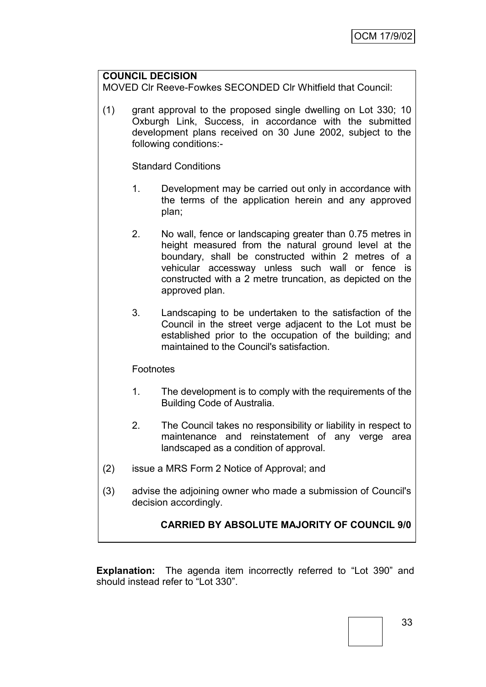## **COUNCIL DECISION**

MOVED Clr Reeve-Fowkes SECONDED Clr Whitfield that Council:

(1) grant approval to the proposed single dwelling on Lot 330; 10 Oxburgh Link, Success, in accordance with the submitted development plans received on 30 June 2002, subject to the following conditions:-

Standard Conditions

- 1. Development may be carried out only in accordance with the terms of the application herein and any approved plan;
- 2. No wall, fence or landscaping greater than 0.75 metres in height measured from the natural ground level at the boundary, shall be constructed within 2 metres of a vehicular accessway unless such wall or fence is constructed with a 2 metre truncation, as depicted on the approved plan.
- 3. Landscaping to be undertaken to the satisfaction of the Council in the street verge adjacent to the Lot must be established prior to the occupation of the building; and maintained to the Council's satisfaction.

#### Footnotes

- 1. The development is to comply with the requirements of the Building Code of Australia.
- 2. The Council takes no responsibility or liability in respect to maintenance and reinstatement of any verge area landscaped as a condition of approval.
- (2) issue a MRS Form 2 Notice of Approval; and
- (3) advise the adjoining owner who made a submission of Council's decision accordingly.

## **CARRIED BY ABSOLUTE MAJORITY OF COUNCIL 9/0**

**Explanation:** The agenda item incorrectly referred to "Lot 390" and should instead refer to "Lot 330".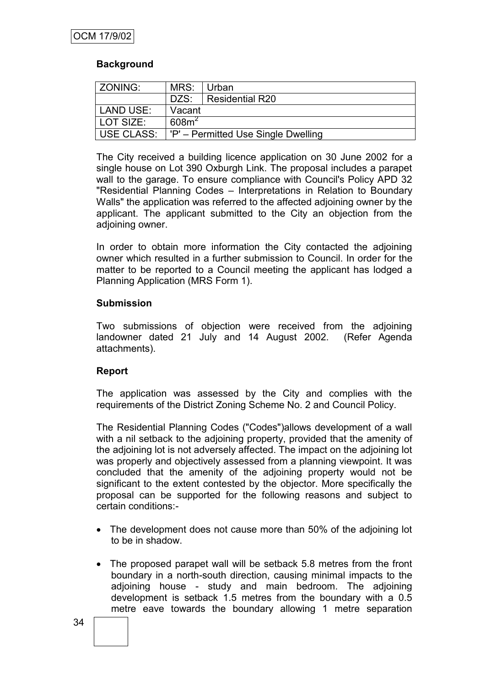## **Background**

| <b>ZONING:</b> | MRS:              | l Urban.                            |
|----------------|-------------------|-------------------------------------|
|                | DZS:              | Residential R20                     |
| LAND USE:      | Vacant            |                                     |
| LOT SIZE:      | 608m <sup>2</sup> |                                     |
| USE CLASS:     |                   | 'P' – Permitted Use Single Dwelling |

The City received a building licence application on 30 June 2002 for a single house on Lot 390 Oxburgh Link. The proposal includes a parapet wall to the garage. To ensure compliance with Council's Policy APD 32 "Residential Planning Codes – Interpretations in Relation to Boundary Walls" the application was referred to the affected adjoining owner by the applicant. The applicant submitted to the City an objection from the adjoining owner.

In order to obtain more information the City contacted the adjoining owner which resulted in a further submission to Council. In order for the matter to be reported to a Council meeting the applicant has lodged a Planning Application (MRS Form 1).

#### **Submission**

Two submissions of objection were received from the adjoining landowner dated 21 July and 14 August 2002. (Refer Agenda attachments).

## **Report**

The application was assessed by the City and complies with the requirements of the District Zoning Scheme No. 2 and Council Policy.

The Residential Planning Codes ("Codes")allows development of a wall with a nil setback to the adjoining property, provided that the amenity of the adjoining lot is not adversely affected. The impact on the adjoining lot was properly and objectively assessed from a planning viewpoint. It was concluded that the amenity of the adjoining property would not be significant to the extent contested by the objector. More specifically the proposal can be supported for the following reasons and subject to certain conditions:-

- The development does not cause more than 50% of the adjoining lot to be in shadow.
- The proposed parapet wall will be setback 5.8 metres from the front boundary in a north-south direction, causing minimal impacts to the adjoining house - study and main bedroom. The adjoining development is setback 1.5 metres from the boundary with a 0.5 metre eave towards the boundary allowing 1 metre separation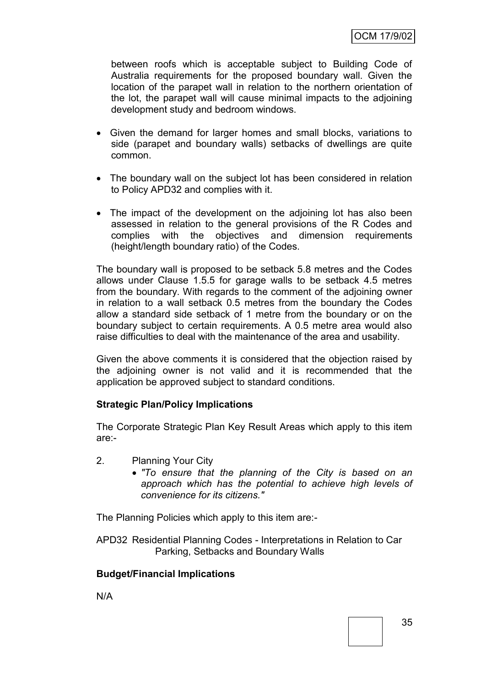between roofs which is acceptable subject to Building Code of Australia requirements for the proposed boundary wall. Given the location of the parapet wall in relation to the northern orientation of the lot, the parapet wall will cause minimal impacts to the adjoining development study and bedroom windows.

- Given the demand for larger homes and small blocks, variations to side (parapet and boundary walls) setbacks of dwellings are quite common.
- The boundary wall on the subject lot has been considered in relation to Policy APD32 and complies with it.
- The impact of the development on the adioining lot has also been assessed in relation to the general provisions of the R Codes and complies with the objectives and dimension requirements (height/length boundary ratio) of the Codes.

The boundary wall is proposed to be setback 5.8 metres and the Codes allows under Clause 1.5.5 for garage walls to be setback 4.5 metres from the boundary. With regards to the comment of the adjoining owner in relation to a wall setback 0.5 metres from the boundary the Codes allow a standard side setback of 1 metre from the boundary or on the boundary subject to certain requirements. A 0.5 metre area would also raise difficulties to deal with the maintenance of the area and usability.

Given the above comments it is considered that the objection raised by the adjoining owner is not valid and it is recommended that the application be approved subject to standard conditions.

## **Strategic Plan/Policy Implications**

The Corporate Strategic Plan Key Result Areas which apply to this item are:-

- 2. Planning Your City
	- *"To ensure that the planning of the City is based on an approach which has the potential to achieve high levels of convenience for its citizens."*

The Planning Policies which apply to this item are:-

APD32 Residential Planning Codes - Interpretations in Relation to Car Parking, Setbacks and Boundary Walls

#### **Budget/Financial Implications**

N/A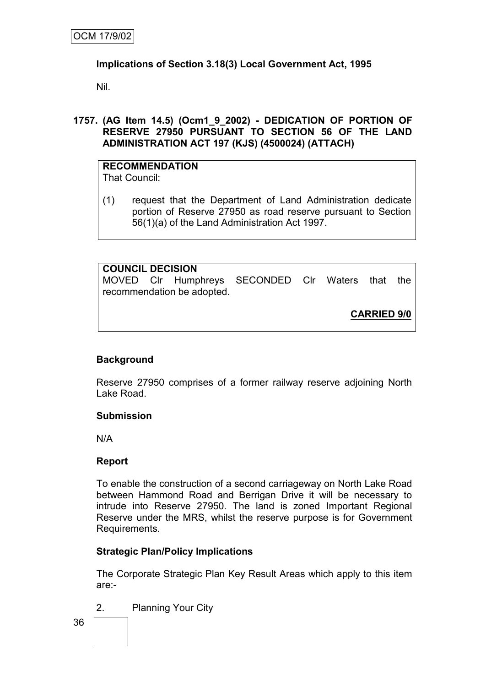## **Implications of Section 3.18(3) Local Government Act, 1995**

Nil.

#### **1757. (AG Item 14.5) (Ocm1\_9\_2002) - DEDICATION OF PORTION OF RESERVE 27950 PURSUANT TO SECTION 56 OF THE LAND ADMINISTRATION ACT 197 (KJS) (4500024) (ATTACH)**

#### **RECOMMENDATION** That Council:

(1) request that the Department of Land Administration dedicate portion of Reserve 27950 as road reserve pursuant to Section 56(1)(a) of the Land Administration Act 1997.

**COUNCIL DECISION** MOVED Clr Humphreys SECONDED Clr Waters that the recommendation be adopted.

**CARRIED 9/0**

## **Background**

Reserve 27950 comprises of a former railway reserve adjoining North Lake Road.

#### **Submission**

N/A

#### **Report**

To enable the construction of a second carriageway on North Lake Road between Hammond Road and Berrigan Drive it will be necessary to intrude into Reserve 27950. The land is zoned Important Regional Reserve under the MRS, whilst the reserve purpose is for Government Requirements.

#### **Strategic Plan/Policy Implications**

The Corporate Strategic Plan Key Result Areas which apply to this item are:-

- 2. Planning Your City
- 36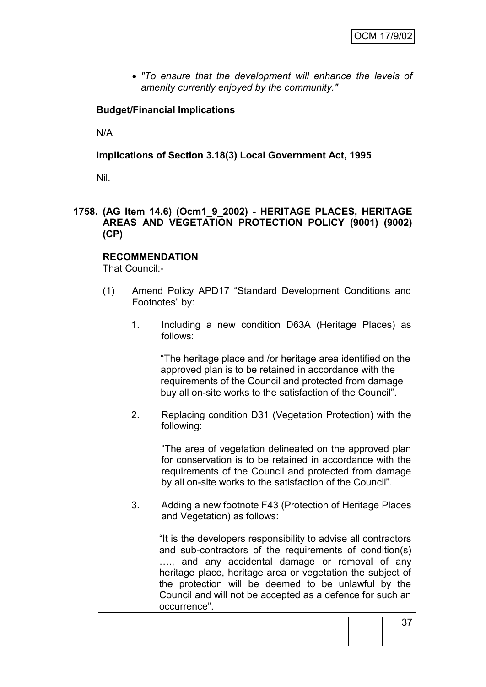*"To ensure that the development will enhance the levels of amenity currently enjoyed by the community."*

## **Budget/Financial Implications**

N/A

## **Implications of Section 3.18(3) Local Government Act, 1995**

Nil.

## **1758. (AG Item 14.6) (Ocm1\_9\_2002) - HERITAGE PLACES, HERITAGE AREAS AND VEGETATION PROTECTION POLICY (9001) (9002) (CP)**

**RECOMMENDATION** That Council:-

- (1) Amend Policy APD17 "Standard Development Conditions and Footnotes" by:
	- 1. Including a new condition D63A (Heritage Places) as follows:

"The heritage place and /or heritage area identified on the approved plan is to be retained in accordance with the requirements of the Council and protected from damage buy all on-site works to the satisfaction of the Council".

2. Replacing condition D31 (Vegetation Protection) with the following:

> "The area of vegetation delineated on the approved plan for conservation is to be retained in accordance with the requirements of the Council and protected from damage by all on-site works to the satisfaction of the Council".

3. Adding a new footnote F43 (Protection of Heritage Places and Vegetation) as follows:

"It is the developers responsibility to advise all contractors and sub-contractors of the requirements of condition(s) …., and any accidental damage or removal of any heritage place, heritage area or vegetation the subject of the protection will be deemed to be unlawful by the Council and will not be accepted as a defence for such an occurrence".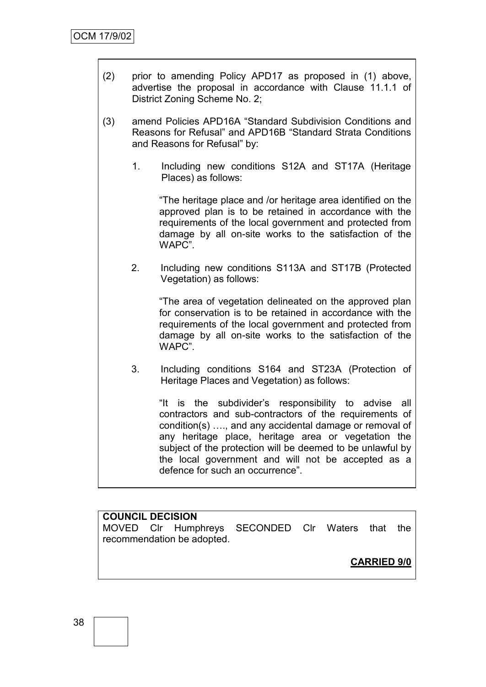- (2) prior to amending Policy APD17 as proposed in (1) above, advertise the proposal in accordance with Clause 11.1.1 of District Zoning Scheme No. 2;
- (3) amend Policies APD16A "Standard Subdivision Conditions and Reasons for Refusal" and APD16B "Standard Strata Conditions and Reasons for Refusal" by:
	- 1. Including new conditions S12A and ST17A (Heritage Places) as follows:

"The heritage place and /or heritage area identified on the approved plan is to be retained in accordance with the requirements of the local government and protected from damage by all on-site works to the satisfaction of the WAPC".

2. Including new conditions S113A and ST17B (Protected Vegetation) as follows:

> "The area of vegetation delineated on the approved plan for conservation is to be retained in accordance with the requirements of the local government and protected from damage by all on-site works to the satisfaction of the WAPC".

3. Including conditions S164 and ST23A (Protection of Heritage Places and Vegetation) as follows:

"It is the subdivider"s responsibility to advise all contractors and sub-contractors of the requirements of condition(s) …., and any accidental damage or removal of any heritage place, heritage area or vegetation the subject of the protection will be deemed to be unlawful by the local government and will not be accepted as a defence for such an occurrence".

#### **COUNCIL DECISION**

MOVED Clr Humphreys SECONDED Clr Waters that the recommendation be adopted.

**CARRIED 9/0**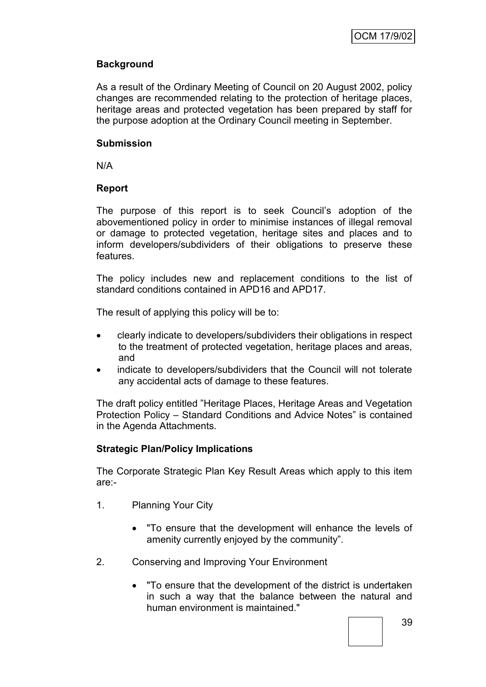## **Background**

As a result of the Ordinary Meeting of Council on 20 August 2002, policy changes are recommended relating to the protection of heritage places, heritage areas and protected vegetation has been prepared by staff for the purpose adoption at the Ordinary Council meeting in September.

#### **Submission**

N/A

#### **Report**

The purpose of this report is to seek Council's adoption of the abovementioned policy in order to minimise instances of illegal removal or damage to protected vegetation, heritage sites and places and to inform developers/subdividers of their obligations to preserve these features.

The policy includes new and replacement conditions to the list of standard conditions contained in APD16 and APD17.

The result of applying this policy will be to:

- clearly indicate to developers/subdividers their obligations in respect to the treatment of protected vegetation, heritage places and areas, and
- indicate to developers/subdividers that the Council will not tolerate any accidental acts of damage to these features.

The draft policy entitled "Heritage Places, Heritage Areas and Vegetation Protection Policy – Standard Conditions and Advice Notes" is contained in the Agenda Attachments.

#### **Strategic Plan/Policy Implications**

The Corporate Strategic Plan Key Result Areas which apply to this item are:-

- 1. Planning Your City
	- "To ensure that the development will enhance the levels of amenity currently enjoyed by the community".
- 2. Conserving and Improving Your Environment
	- "To ensure that the development of the district is undertaken in such a way that the balance between the natural and human environment is maintained."

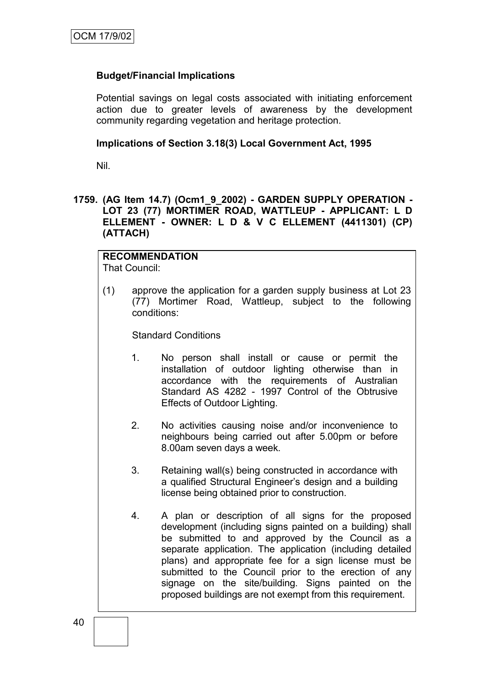## **Budget/Financial Implications**

Potential savings on legal costs associated with initiating enforcement action due to greater levels of awareness by the development community regarding vegetation and heritage protection.

#### **Implications of Section 3.18(3) Local Government Act, 1995**

Nil.

#### **1759. (AG Item 14.7) (Ocm1\_9\_2002) - GARDEN SUPPLY OPERATION - LOT 23 (77) MORTIMER ROAD, WATTLEUP - APPLICANT: L D ELLEMENT - OWNER: L D & V C ELLEMENT (4411301) (CP) (ATTACH)**

## **RECOMMENDATION**

That Council:

(1) approve the application for a garden supply business at Lot 23 (77) Mortimer Road, Wattleup, subject to the following conditions:

Standard Conditions

- 1. No person shall install or cause or permit the installation of outdoor lighting otherwise than in accordance with the requirements of Australian Standard AS 4282 - 1997 Control of the Obtrusive Effects of Outdoor Lighting.
- 2. No activities causing noise and/or inconvenience to neighbours being carried out after 5.00pm or before 8.00am seven days a week.
- 3. Retaining wall(s) being constructed in accordance with a qualified Structural Engineer"s design and a building license being obtained prior to construction.
- 4. A plan or description of all signs for the proposed development (including signs painted on a building) shall be submitted to and approved by the Council as a separate application. The application (including detailed plans) and appropriate fee for a sign license must be submitted to the Council prior to the erection of any signage on the site/building. Signs painted on the proposed buildings are not exempt from this requirement.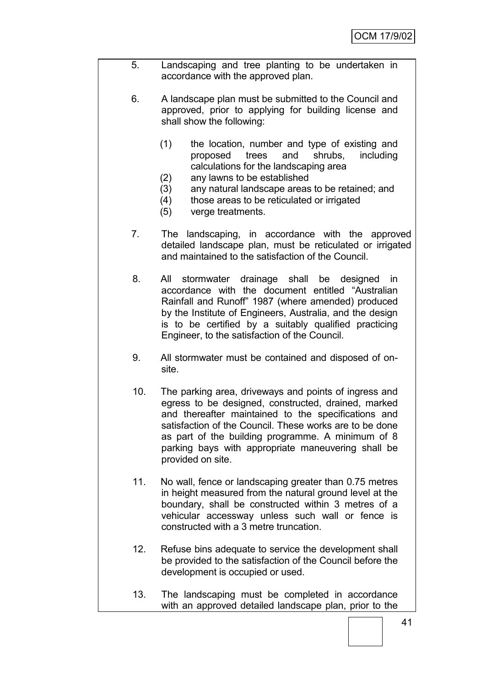| 5.  | Landscaping and tree planting to be undertaken in<br>accordance with the approved plan.                                                                                                                                                                                                                                                                        |  |  |  |  |
|-----|----------------------------------------------------------------------------------------------------------------------------------------------------------------------------------------------------------------------------------------------------------------------------------------------------------------------------------------------------------------|--|--|--|--|
| 6.  | A landscape plan must be submitted to the Council and<br>approved, prior to applying for building license and<br>shall show the following:                                                                                                                                                                                                                     |  |  |  |  |
|     | (1)<br>the location, number and type of existing and<br>trees<br>and<br>shrubs,<br>including<br>proposed<br>calculations for the landscaping area<br>any lawns to be established<br>(2)<br>(3)<br>any natural landscape areas to be retained; and<br>those areas to be reticulated or irrigated<br>(4)<br>verge treatments.<br>(5)                             |  |  |  |  |
| 7.  | The landscaping, in accordance with the approved<br>detailed landscape plan, must be reticulated or irrigated<br>and maintained to the satisfaction of the Council.                                                                                                                                                                                            |  |  |  |  |
| 8.  | stormwater drainage shall be designed<br>All<br>in<br>accordance with the document entitled "Australian<br>Rainfall and Runoff" 1987 (where amended) produced<br>by the Institute of Engineers, Australia, and the design<br>is to be certified by a suitably qualified practicing<br>Engineer, to the satisfaction of the Council.                            |  |  |  |  |
| 9.  | All stormwater must be contained and disposed of on-<br>site.                                                                                                                                                                                                                                                                                                  |  |  |  |  |
| 10. | The parking area, driveways and points of ingress and<br>egress to be designed, constructed, drained, marked<br>and thereafter maintained to the specifications and<br>satisfaction of the Council. These works are to be done<br>as part of the building programme. A minimum of 8<br>parking bays with appropriate maneuvering shall be<br>provided on site. |  |  |  |  |
| 11. | No wall, fence or landscaping greater than 0.75 metres<br>in height measured from the natural ground level at the<br>boundary, shall be constructed within 3 metres of a<br>vehicular accessway unless such wall or fence is<br>constructed with a 3 metre truncation.                                                                                         |  |  |  |  |
| 12. | Refuse bins adequate to service the development shall<br>be provided to the satisfaction of the Council before the<br>development is occupied or used.                                                                                                                                                                                                         |  |  |  |  |
| 13. | The landscaping must be completed in accordance<br>with an approved detailed landscape plan, prior to the                                                                                                                                                                                                                                                      |  |  |  |  |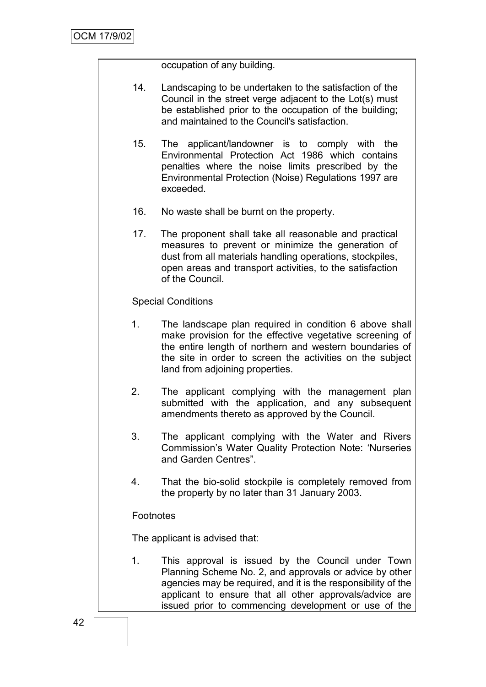occupation of any building.

- 14. Landscaping to be undertaken to the satisfaction of the Council in the street verge adjacent to the Lot(s) must be established prior to the occupation of the building; and maintained to the Council's satisfaction.
- 15. The applicant/landowner is to comply with the Environmental Protection Act 1986 which contains penalties where the noise limits prescribed by the Environmental Protection (Noise) Regulations 1997 are exceeded.
- 16. No waste shall be burnt on the property.
- 17. The proponent shall take all reasonable and practical measures to prevent or minimize the generation of dust from all materials handling operations, stockpiles, open areas and transport activities, to the satisfaction of the Council.

Special Conditions

- 1. The landscape plan required in condition 6 above shall make provision for the effective vegetative screening of the entire length of northern and western boundaries of the site in order to screen the activities on the subject land from adjoining properties.
- 2. The applicant complying with the management plan submitted with the application, and any subsequent amendments thereto as approved by the Council.
- 3. The applicant complying with the Water and Rivers Commission"s Water Quality Protection Note: "Nurseries and Garden Centres".
- 4. That the bio-solid stockpile is completely removed from the property by no later than 31 January 2003.

Footnotes

The applicant is advised that:

1. This approval is issued by the Council under Town Planning Scheme No. 2, and approvals or advice by other agencies may be required, and it is the responsibility of the applicant to ensure that all other approvals/advice are issued prior to commencing development or use of the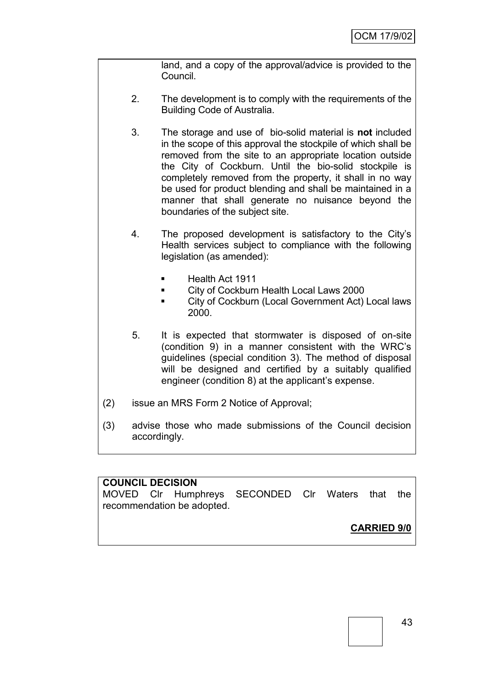land, and a copy of the approval/advice is provided to the Council.

- 2. The development is to comply with the requirements of the Building Code of Australia.
- 3. The storage and use of bio-solid material is **not** included in the scope of this approval the stockpile of which shall be removed from the site to an appropriate location outside the City of Cockburn. Until the bio-solid stockpile is completely removed from the property, it shall in no way be used for product blending and shall be maintained in a manner that shall generate no nuisance beyond the boundaries of the subject site.
- 4. The proposed development is satisfactory to the City"s Health services subject to compliance with the following legislation (as amended):
	- Health Act 1911
	- **City of Cockburn Health Local Laws 2000**
	- City of Cockburn (Local Government Act) Local laws 2000.
- 5. It is expected that stormwater is disposed of on-site (condition 9) in a manner consistent with the WRC"s guidelines (special condition 3). The method of disposal will be designed and certified by a suitably qualified engineer (condition 8) at the applicant"s expense.
- (2) issue an MRS Form 2 Notice of Approval;
- (3) advise those who made submissions of the Council decision accordingly.

#### **COUNCIL DECISION**

MOVED Clr Humphreys SECONDED Clr Waters that the recommendation be adopted.

**CARRIED 9/0**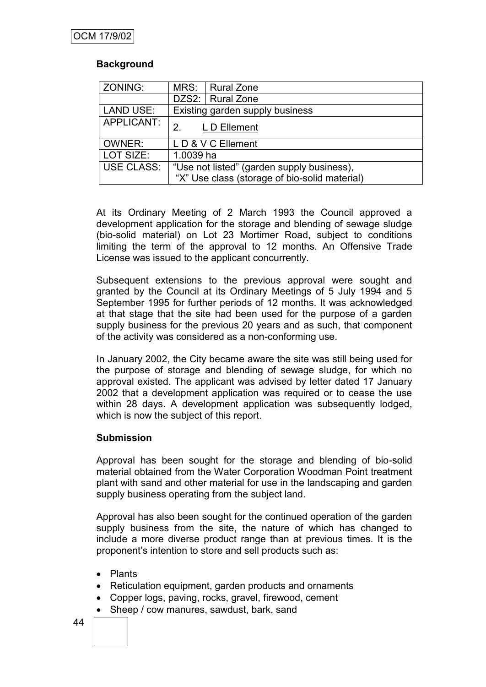## **Background**

| ZONING:           |                                               | MRS:   Rural Zone  |  |
|-------------------|-----------------------------------------------|--------------------|--|
|                   |                                               | DZS2:   Rural Zone |  |
| <b>LAND USE:</b>  | Existing garden supply business               |                    |  |
| APPLICANT:        | 2.                                            | L D Ellement       |  |
| <b>OWNER:</b>     |                                               | LD & V C Ellement  |  |
| LOT SIZE:         | 1.0039 ha                                     |                    |  |
| <b>USE CLASS:</b> | "Use not listed" (garden supply business),    |                    |  |
|                   | "X" Use class (storage of bio-solid material) |                    |  |

At its Ordinary Meeting of 2 March 1993 the Council approved a development application for the storage and blending of sewage sludge (bio-solid material) on Lot 23 Mortimer Road, subject to conditions limiting the term of the approval to 12 months. An Offensive Trade License was issued to the applicant concurrently.

Subsequent extensions to the previous approval were sought and granted by the Council at its Ordinary Meetings of 5 July 1994 and 5 September 1995 for further periods of 12 months. It was acknowledged at that stage that the site had been used for the purpose of a garden supply business for the previous 20 years and as such, that component of the activity was considered as a non-conforming use.

In January 2002, the City became aware the site was still being used for the purpose of storage and blending of sewage sludge, for which no approval existed. The applicant was advised by letter dated 17 January 2002 that a development application was required or to cease the use within 28 days. A development application was subsequently lodged, which is now the subject of this report.

#### **Submission**

Approval has been sought for the storage and blending of bio-solid material obtained from the Water Corporation Woodman Point treatment plant with sand and other material for use in the landscaping and garden supply business operating from the subject land.

Approval has also been sought for the continued operation of the garden supply business from the site, the nature of which has changed to include a more diverse product range than at previous times. It is the proponent"s intention to store and sell products such as:

- Plants
- Reticulation equipment, garden products and ornaments
- Copper logs, paving, rocks, gravel, firewood, cement
- Sheep / cow manures, sawdust, bark, sand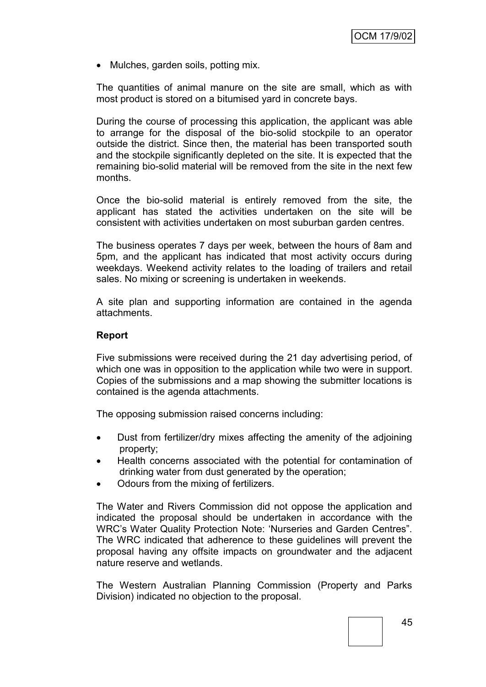• Mulches, garden soils, potting mix.

The quantities of animal manure on the site are small, which as with most product is stored on a bitumised yard in concrete bays.

During the course of processing this application, the applicant was able to arrange for the disposal of the bio-solid stockpile to an operator outside the district. Since then, the material has been transported south and the stockpile significantly depleted on the site. It is expected that the remaining bio-solid material will be removed from the site in the next few months.

Once the bio-solid material is entirely removed from the site, the applicant has stated the activities undertaken on the site will be consistent with activities undertaken on most suburban garden centres.

The business operates 7 days per week, between the hours of 8am and 5pm, and the applicant has indicated that most activity occurs during weekdays. Weekend activity relates to the loading of trailers and retail sales. No mixing or screening is undertaken in weekends.

A site plan and supporting information are contained in the agenda attachments.

## **Report**

Five submissions were received during the 21 day advertising period, of which one was in opposition to the application while two were in support. Copies of the submissions and a map showing the submitter locations is contained is the agenda attachments.

The opposing submission raised concerns including:

- Dust from fertilizer/dry mixes affecting the amenity of the adjoining property;
- Health concerns associated with the potential for contamination of drinking water from dust generated by the operation;
- Odours from the mixing of fertilizers.

The Water and Rivers Commission did not oppose the application and indicated the proposal should be undertaken in accordance with the WRC"s Water Quality Protection Note: "Nurseries and Garden Centres". The WRC indicated that adherence to these guidelines will prevent the proposal having any offsite impacts on groundwater and the adjacent nature reserve and wetlands.

The Western Australian Planning Commission (Property and Parks Division) indicated no objection to the proposal.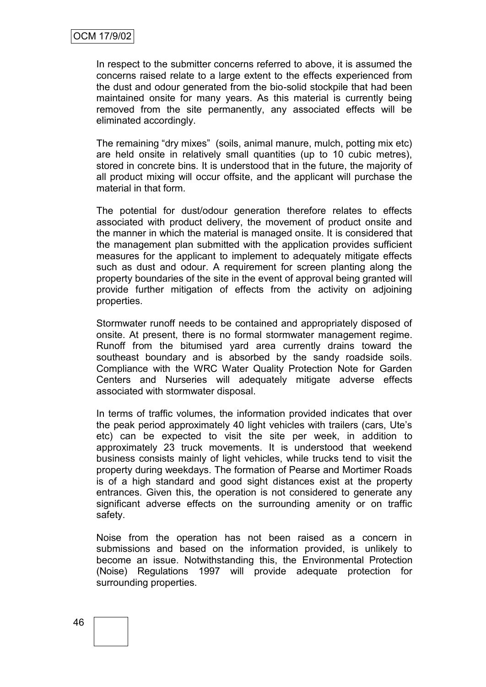In respect to the submitter concerns referred to above, it is assumed the concerns raised relate to a large extent to the effects experienced from the dust and odour generated from the bio-solid stockpile that had been maintained onsite for many years. As this material is currently being removed from the site permanently, any associated effects will be eliminated accordingly.

The remaining "dry mixes" (soils, animal manure, mulch, potting mix etc) are held onsite in relatively small quantities (up to 10 cubic metres), stored in concrete bins. It is understood that in the future, the majority of all product mixing will occur offsite, and the applicant will purchase the material in that form.

The potential for dust/odour generation therefore relates to effects associated with product delivery, the movement of product onsite and the manner in which the material is managed onsite. It is considered that the management plan submitted with the application provides sufficient measures for the applicant to implement to adequately mitigate effects such as dust and odour. A requirement for screen planting along the property boundaries of the site in the event of approval being granted will provide further mitigation of effects from the activity on adjoining properties.

Stormwater runoff needs to be contained and appropriately disposed of onsite. At present, there is no formal stormwater management regime. Runoff from the bitumised yard area currently drains toward the southeast boundary and is absorbed by the sandy roadside soils. Compliance with the WRC Water Quality Protection Note for Garden Centers and Nurseries will adequately mitigate adverse effects associated with stormwater disposal.

In terms of traffic volumes, the information provided indicates that over the peak period approximately 40 light vehicles with trailers (cars, Ute"s etc) can be expected to visit the site per week, in addition to approximately 23 truck movements. It is understood that weekend business consists mainly of light vehicles, while trucks tend to visit the property during weekdays. The formation of Pearse and Mortimer Roads is of a high standard and good sight distances exist at the property entrances. Given this, the operation is not considered to generate any significant adverse effects on the surrounding amenity or on traffic safety.

Noise from the operation has not been raised as a concern in submissions and based on the information provided, is unlikely to become an issue. Notwithstanding this, the Environmental Protection (Noise) Regulations 1997 will provide adequate protection for surrounding properties.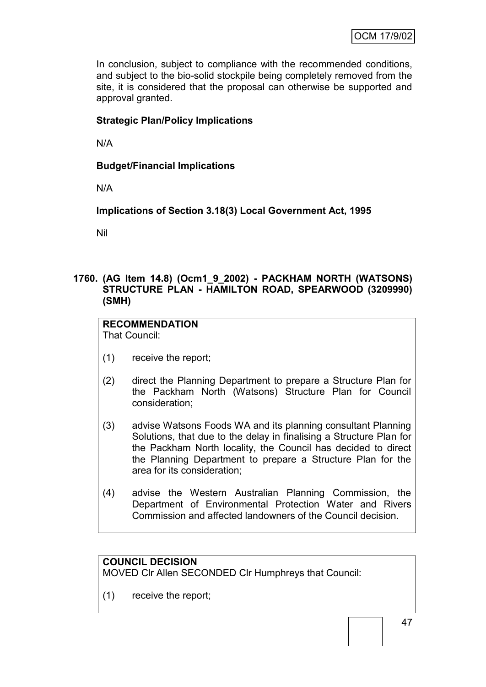In conclusion, subject to compliance with the recommended conditions, and subject to the bio-solid stockpile being completely removed from the site, it is considered that the proposal can otherwise be supported and approval granted.

## **Strategic Plan/Policy Implications**

N/A

## **Budget/Financial Implications**

N/A

**Implications of Section 3.18(3) Local Government Act, 1995**

Nil

## **1760. (AG Item 14.8) (Ocm1\_9\_2002) - PACKHAM NORTH (WATSONS) STRUCTURE PLAN - HAMILTON ROAD, SPEARWOOD (3209990) (SMH)**

## **RECOMMENDATION**

That Council:

- (1) receive the report;
- (2) direct the Planning Department to prepare a Structure Plan for the Packham North (Watsons) Structure Plan for Council consideration;
- (3) advise Watsons Foods WA and its planning consultant Planning Solutions, that due to the delay in finalising a Structure Plan for the Packham North locality, the Council has decided to direct the Planning Department to prepare a Structure Plan for the area for its consideration;
- (4) advise the Western Australian Planning Commission, the Department of Environmental Protection Water and Rivers Commission and affected landowners of the Council decision.

## **COUNCIL DECISION**

MOVED Clr Allen SECONDED Clr Humphreys that Council:

(1) receive the report;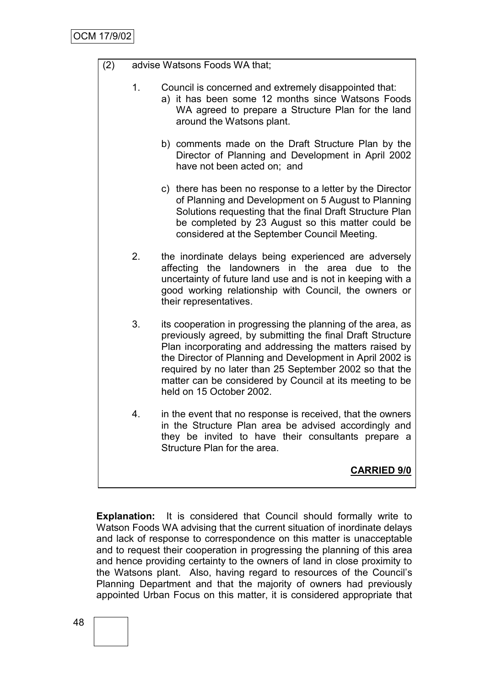- (2) advise Watsons Foods WA that;
	- 1. Council is concerned and extremely disappointed that:
		- a) it has been some 12 months since Watsons Foods WA agreed to prepare a Structure Plan for the land around the Watsons plant.
		- b) comments made on the Draft Structure Plan by the Director of Planning and Development in April 2002 have not been acted on; and
		- c) there has been no response to a letter by the Director of Planning and Development on 5 August to Planning Solutions requesting that the final Draft Structure Plan be completed by 23 August so this matter could be considered at the September Council Meeting.
	- 2. the inordinate delays being experienced are adversely affecting the landowners in the area due to the uncertainty of future land use and is not in keeping with a good working relationship with Council, the owners or their representatives.
	- 3. its cooperation in progressing the planning of the area, as previously agreed, by submitting the final Draft Structure Plan incorporating and addressing the matters raised by the Director of Planning and Development in April 2002 is required by no later than 25 September 2002 so that the matter can be considered by Council at its meeting to be held on 15 October 2002.
	- 4. in the event that no response is received, that the owners in the Structure Plan area be advised accordingly and they be invited to have their consultants prepare a Structure Plan for the area.

**CARRIED 9/0**

**Explanation:** It is considered that Council should formally write to Watson Foods WA advising that the current situation of inordinate delays and lack of response to correspondence on this matter is unacceptable and to request their cooperation in progressing the planning of this area and hence providing certainty to the owners of land in close proximity to the Watsons plant. Also, having regard to resources of the Council"s Planning Department and that the majority of owners had previously appointed Urban Focus on this matter, it is considered appropriate that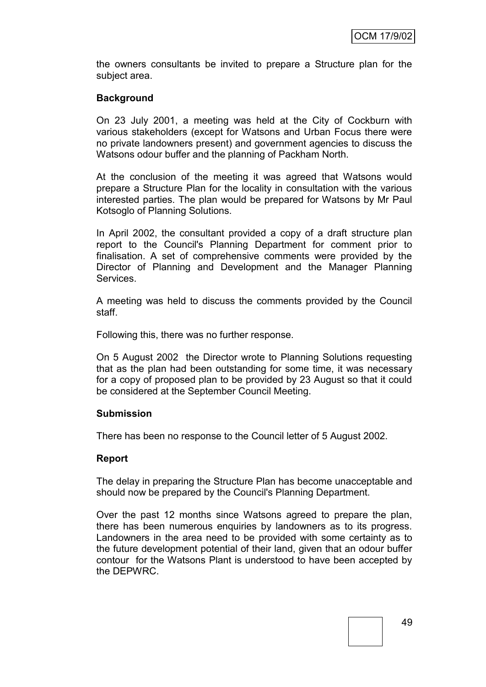the owners consultants be invited to prepare a Structure plan for the subject area.

#### **Background**

On 23 July 2001, a meeting was held at the City of Cockburn with various stakeholders (except for Watsons and Urban Focus there were no private landowners present) and government agencies to discuss the Watsons odour buffer and the planning of Packham North.

At the conclusion of the meeting it was agreed that Watsons would prepare a Structure Plan for the locality in consultation with the various interested parties. The plan would be prepared for Watsons by Mr Paul Kotsoglo of Planning Solutions.

In April 2002, the consultant provided a copy of a draft structure plan report to the Council's Planning Department for comment prior to finalisation. A set of comprehensive comments were provided by the Director of Planning and Development and the Manager Planning Services.

A meeting was held to discuss the comments provided by the Council staff.

Following this, there was no further response.

On 5 August 2002 the Director wrote to Planning Solutions requesting that as the plan had been outstanding for some time, it was necessary for a copy of proposed plan to be provided by 23 August so that it could be considered at the September Council Meeting.

#### **Submission**

There has been no response to the Council letter of 5 August 2002.

#### **Report**

The delay in preparing the Structure Plan has become unacceptable and should now be prepared by the Council's Planning Department.

Over the past 12 months since Watsons agreed to prepare the plan, there has been numerous enquiries by landowners as to its progress. Landowners in the area need to be provided with some certainty as to the future development potential of their land, given that an odour buffer contour for the Watsons Plant is understood to have been accepted by the DEPWRC.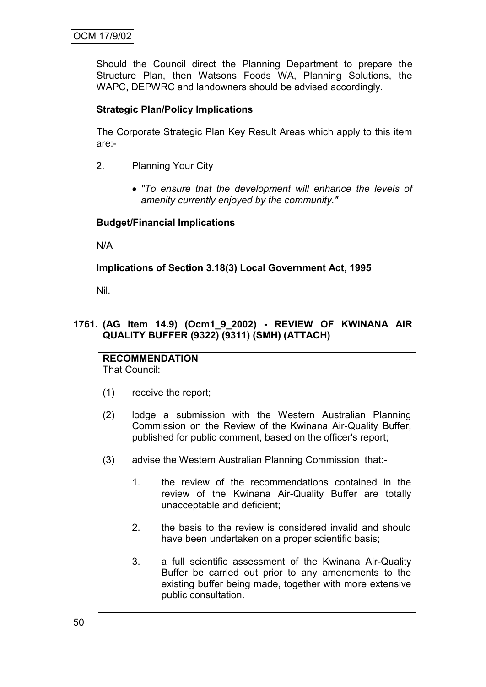Should the Council direct the Planning Department to prepare the Structure Plan, then Watsons Foods WA, Planning Solutions, the WAPC, DEPWRC and landowners should be advised accordingly.

## **Strategic Plan/Policy Implications**

The Corporate Strategic Plan Key Result Areas which apply to this item are:-

- 2. Planning Your City
	- *"To ensure that the development will enhance the levels of amenity currently enjoyed by the community."*

#### **Budget/Financial Implications**

N/A

## **Implications of Section 3.18(3) Local Government Act, 1995**

Nil.

## **1761. (AG Item 14.9) (Ocm1\_9\_2002) - REVIEW OF KWINANA AIR QUALITY BUFFER (9322) (9311) (SMH) (ATTACH)**

**RECOMMENDATION** That Council:

- (1) receive the report;
- (2) lodge a submission with the Western Australian Planning Commission on the Review of the Kwinana Air-Quality Buffer, published for public comment, based on the officer's report;
- (3) advise the Western Australian Planning Commission that:-
	- 1. the review of the recommendations contained in the review of the Kwinana Air-Quality Buffer are totally unacceptable and deficient;
	- 2. the basis to the review is considered invalid and should have been undertaken on a proper scientific basis;
	- 3. a full scientific assessment of the Kwinana Air-Quality Buffer be carried out prior to any amendments to the existing buffer being made, together with more extensive public consultation.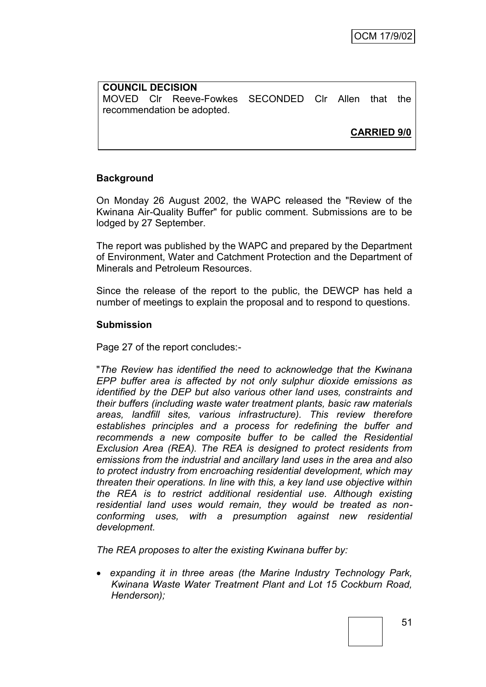**COUNCIL DECISION** MOVED Clr Reeve-Fowkes SECONDED Clr Allen that the recommendation be adopted.

**CARRIED 9/0**

#### **Background**

On Monday 26 August 2002, the WAPC released the "Review of the Kwinana Air-Quality Buffer" for public comment. Submissions are to be lodged by 27 September.

The report was published by the WAPC and prepared by the Department of Environment, Water and Catchment Protection and the Department of Minerals and Petroleum Resources.

Since the release of the report to the public, the DEWCP has held a number of meetings to explain the proposal and to respond to questions.

#### **Submission**

Page 27 of the report concludes:-

"*The Review has identified the need to acknowledge that the Kwinana EPP buffer area is affected by not only sulphur dioxide emissions as identified by the DEP but also various other land uses, constraints and their buffers (including waste water treatment plants, basic raw materials areas, landfill sites, various infrastructure). This review therefore establishes principles and a process for redefining the buffer and recommends a new composite buffer to be called the Residential Exclusion Area (REA). The REA is designed to protect residents from emissions from the industrial and ancillary land uses in the area and also to protect industry from encroaching residential development, which may threaten their operations. In line with this, a key land use objective within the REA is to restrict additional residential use. Although existing residential land uses would remain, they would be treated as nonconforming uses, with a presumption against new residential development.*

*The REA proposes to alter the existing Kwinana buffer by:*

 *expanding it in three areas (the Marine Industry Technology Park, Kwinana Waste Water Treatment Plant and Lot 15 Cockburn Road, Henderson);*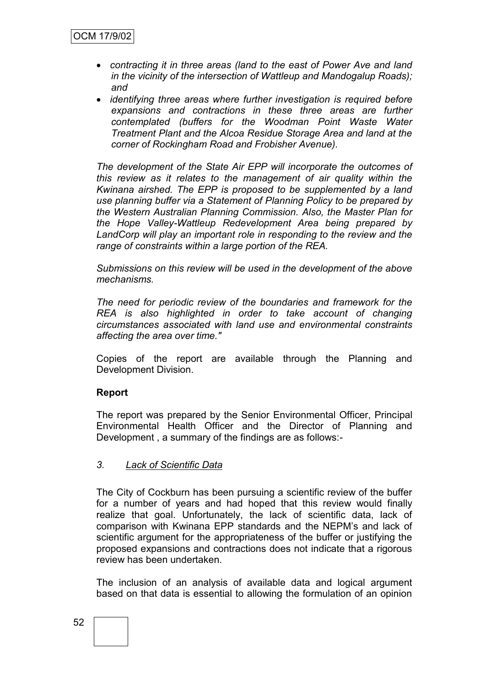- *contracting it in three areas (land to the east of Power Ave and land in the vicinity of the intersection of Wattleup and Mandogalup Roads); and*
- *identifying three areas where further investigation is required before expansions and contractions in these three areas are further contemplated (buffers for the Woodman Point Waste Water Treatment Plant and the Alcoa Residue Storage Area and land at the corner of Rockingham Road and Frobisher Avenue).*

*The development of the State Air EPP will incorporate the outcomes of this review as it relates to the management of air quality within the Kwinana airshed. The EPP is proposed to be supplemented by a land use planning buffer via a Statement of Planning Policy to be prepared by the Western Australian Planning Commission. Also, the Master Plan for the Hope Valley-Wattleup Redevelopment Area being prepared by LandCorp will play an important role in responding to the review and the range of constraints within a large portion of the REA.*

*Submissions on this review will be used in the development of the above mechanisms.*

*The need for periodic review of the boundaries and framework for the REA is also highlighted in order to take account of changing circumstances associated with land use and environmental constraints affecting the area over time."*

Copies of the report are available through the Planning and Development Division.

#### **Report**

The report was prepared by the Senior Environmental Officer, Principal Environmental Health Officer and the Director of Planning and Development , a summary of the findings are as follows:-

#### *3. Lack of Scientific Data*

The City of Cockburn has been pursuing a scientific review of the buffer for a number of years and had hoped that this review would finally realize that goal. Unfortunately, the lack of scientific data, lack of comparison with Kwinana EPP standards and the NEPM"s and lack of scientific argument for the appropriateness of the buffer or justifying the proposed expansions and contractions does not indicate that a rigorous review has been undertaken.

The inclusion of an analysis of available data and logical argument based on that data is essential to allowing the formulation of an opinion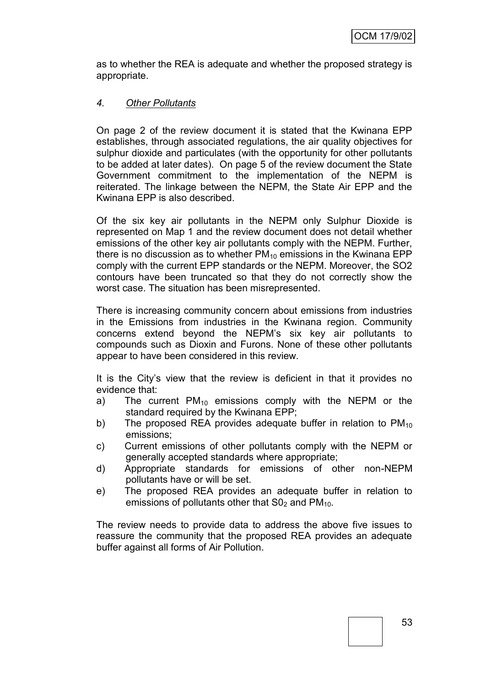as to whether the REA is adequate and whether the proposed strategy is appropriate.

## *4. Other Pollutants*

On page 2 of the review document it is stated that the Kwinana EPP establishes, through associated regulations, the air quality objectives for sulphur dioxide and particulates (with the opportunity for other pollutants to be added at later dates). On page 5 of the review document the State Government commitment to the implementation of the NEPM is reiterated. The linkage between the NEPM, the State Air EPP and the Kwinana EPP is also described.

Of the six key air pollutants in the NEPM only Sulphur Dioxide is represented on Map 1 and the review document does not detail whether emissions of the other key air pollutants comply with the NEPM. Further, there is no discussion as to whether  $PM_{10}$  emissions in the Kwinana EPP comply with the current EPP standards or the NEPM. Moreover, the SO2 contours have been truncated so that they do not correctly show the worst case. The situation has been misrepresented.

There is increasing community concern about emissions from industries in the Emissions from industries in the Kwinana region. Community concerns extend beyond the NEPM"s six key air pollutants to compounds such as Dioxin and Furons. None of these other pollutants appear to have been considered in this review.

It is the City"s view that the review is deficient in that it provides no evidence that:

- a) The current  $PM_{10}$  emissions comply with the NEPM or the standard required by the Kwinana EPP;
- b) The proposed REA provides adequate buffer in relation to  $PM_{10}$ emissions;
- c) Current emissions of other pollutants comply with the NEPM or generally accepted standards where appropriate;
- d) Appropriate standards for emissions of other non-NEPM pollutants have or will be set.
- e) The proposed REA provides an adequate buffer in relation to emissions of pollutants other that  $SO<sub>2</sub>$  and PM<sub>10</sub>.

The review needs to provide data to address the above five issues to reassure the community that the proposed REA provides an adequate buffer against all forms of Air Pollution.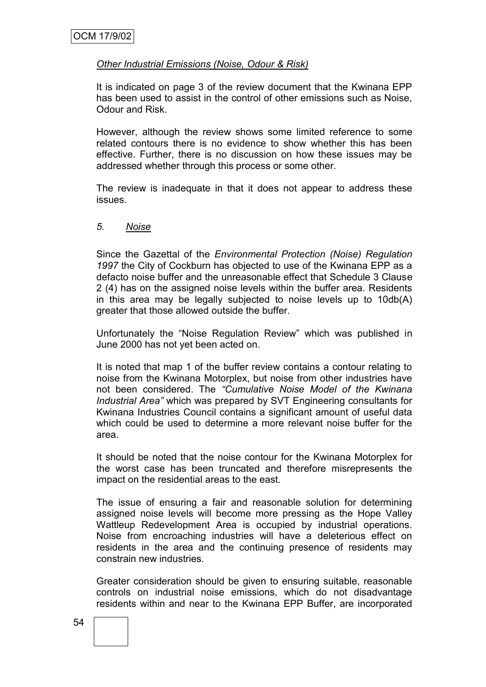#### *Other Industrial Emissions (Noise, Odour & Risk)*

It is indicated on page 3 of the review document that the Kwinana EPP has been used to assist in the control of other emissions such as Noise, Odour and Risk.

However, although the review shows some limited reference to some related contours there is no evidence to show whether this has been effective. Further, there is no discussion on how these issues may be addressed whether through this process or some other.

The review is inadequate in that it does not appear to address these issues.

#### *5. Noise*

Since the Gazettal of the *Environmental Protection (Noise) Regulation 1997* the City of Cockburn has objected to use of the Kwinana EPP as a defacto noise buffer and the unreasonable effect that Schedule 3 Clause 2 (4) has on the assigned noise levels within the buffer area. Residents in this area may be legally subjected to noise levels up to 10db(A) greater that those allowed outside the buffer.

Unfortunately the "Noise Regulation Review" which was published in June 2000 has not yet been acted on.

It is noted that map 1 of the buffer review contains a contour relating to noise from the Kwinana Motorplex, but noise from other industries have not been considered. The *"Cumulative Noise Model of the Kwinana Industrial Area"* which was prepared by SVT Engineering consultants for Kwinana Industries Council contains a significant amount of useful data which could be used to determine a more relevant noise buffer for the area.

It should be noted that the noise contour for the Kwinana Motorplex for the worst case has been truncated and therefore misrepresents the impact on the residential areas to the east.

The issue of ensuring a fair and reasonable solution for determining assigned noise levels will become more pressing as the Hope Valley Wattleup Redevelopment Area is occupied by industrial operations. Noise from encroaching industries will have a deleterious effect on residents in the area and the continuing presence of residents may constrain new industries.

Greater consideration should be given to ensuring suitable, reasonable controls on industrial noise emissions, which do not disadvantage residents within and near to the Kwinana EPP Buffer, are incorporated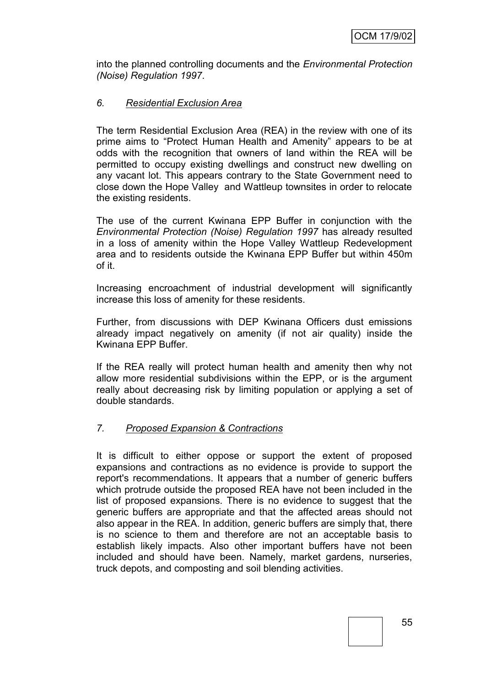into the planned controlling documents and the *Environmental Protection (Noise) Regulation 1997*.

## *6. Residential Exclusion Area*

The term Residential Exclusion Area (REA) in the review with one of its prime aims to "Protect Human Health and Amenity" appears to be at odds with the recognition that owners of land within the REA will be permitted to occupy existing dwellings and construct new dwelling on any vacant lot. This appears contrary to the State Government need to close down the Hope Valley and Wattleup townsites in order to relocate the existing residents.

The use of the current Kwinana EPP Buffer in conjunction with the *Environmental Protection (Noise) Regulation 1997* has already resulted in a loss of amenity within the Hope Valley Wattleup Redevelopment area and to residents outside the Kwinana EPP Buffer but within 450m of it.

Increasing encroachment of industrial development will significantly increase this loss of amenity for these residents.

Further, from discussions with DEP Kwinana Officers dust emissions already impact negatively on amenity (if not air quality) inside the Kwinana EPP Buffer.

If the REA really will protect human health and amenity then why not allow more residential subdivisions within the EPP, or is the argument really about decreasing risk by limiting population or applying a set of double standards.

## *7. Proposed Expansion & Contractions*

It is difficult to either oppose or support the extent of proposed expansions and contractions as no evidence is provide to support the report's recommendations. It appears that a number of generic buffers which protrude outside the proposed REA have not been included in the list of proposed expansions. There is no evidence to suggest that the generic buffers are appropriate and that the affected areas should not also appear in the REA. In addition, generic buffers are simply that, there is no science to them and therefore are not an acceptable basis to establish likely impacts. Also other important buffers have not been included and should have been. Namely, market gardens, nurseries, truck depots, and composting and soil blending activities.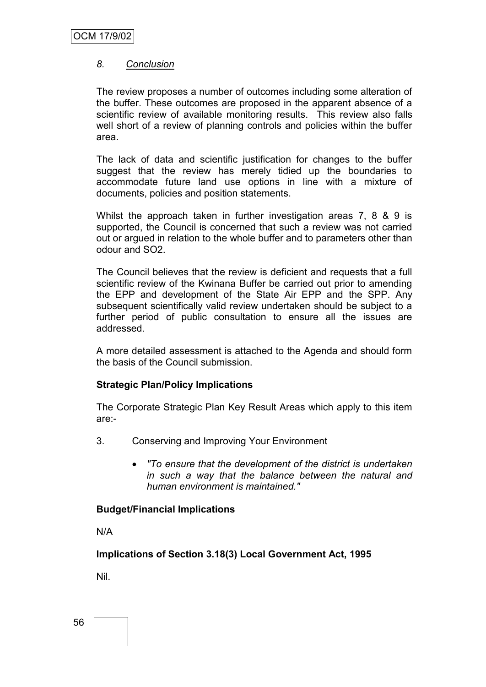## *8. Conclusion*

The review proposes a number of outcomes including some alteration of the buffer. These outcomes are proposed in the apparent absence of a scientific review of available monitoring results. This review also falls well short of a review of planning controls and policies within the buffer area.

The lack of data and scientific justification for changes to the buffer suggest that the review has merely tidied up the boundaries to accommodate future land use options in line with a mixture of documents, policies and position statements.

Whilst the approach taken in further investigation areas 7, 8 & 9 is supported, the Council is concerned that such a review was not carried out or argued in relation to the whole buffer and to parameters other than odour and SO2.

The Council believes that the review is deficient and requests that a full scientific review of the Kwinana Buffer be carried out prior to amending the EPP and development of the State Air EPP and the SPP. Any subsequent scientifically valid review undertaken should be subject to a further period of public consultation to ensure all the issues are addressed.

A more detailed assessment is attached to the Agenda and should form the basis of the Council submission.

#### **Strategic Plan/Policy Implications**

The Corporate Strategic Plan Key Result Areas which apply to this item are:-

- 3. Conserving and Improving Your Environment
	- *"To ensure that the development of the district is undertaken in such a way that the balance between the natural and human environment is maintained."*

#### **Budget/Financial Implications**

N/A

**Implications of Section 3.18(3) Local Government Act, 1995**

Nil.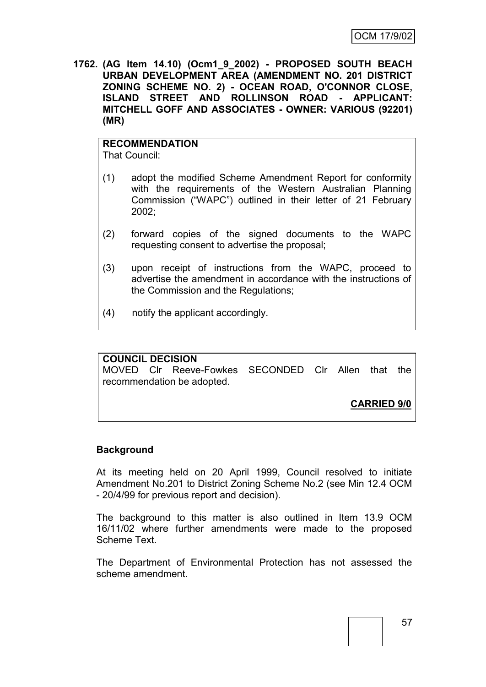**1762. (AG Item 14.10) (Ocm1\_9\_2002) - PROPOSED SOUTH BEACH URBAN DEVELOPMENT AREA (AMENDMENT NO. 201 DISTRICT ZONING SCHEME NO. 2) - OCEAN ROAD, O'CONNOR CLOSE, ISLAND STREET AND ROLLINSON ROAD - APPLICANT: MITCHELL GOFF AND ASSOCIATES - OWNER: VARIOUS (92201) (MR)**

#### **RECOMMENDATION** That Council:

- (1) adopt the modified Scheme Amendment Report for conformity with the requirements of the Western Australian Planning Commission ("WAPC") outlined in their letter of 21 February 2002;
- (2) forward copies of the signed documents to the WAPC requesting consent to advertise the proposal;
- (3) upon receipt of instructions from the WAPC, proceed to advertise the amendment in accordance with the instructions of the Commission and the Regulations;
- (4) notify the applicant accordingly.

#### **COUNCIL DECISION**

MOVED Clr Reeve-Fowkes SECONDED Clr Allen that the recommendation be adopted.

**CARRIED 9/0**

#### **Background**

At its meeting held on 20 April 1999, Council resolved to initiate Amendment No.201 to District Zoning Scheme No.2 (see Min 12.4 OCM - 20/4/99 for previous report and decision).

The background to this matter is also outlined in Item 13.9 OCM 16/11/02 where further amendments were made to the proposed Scheme Text.

The Department of Environmental Protection has not assessed the scheme amendment.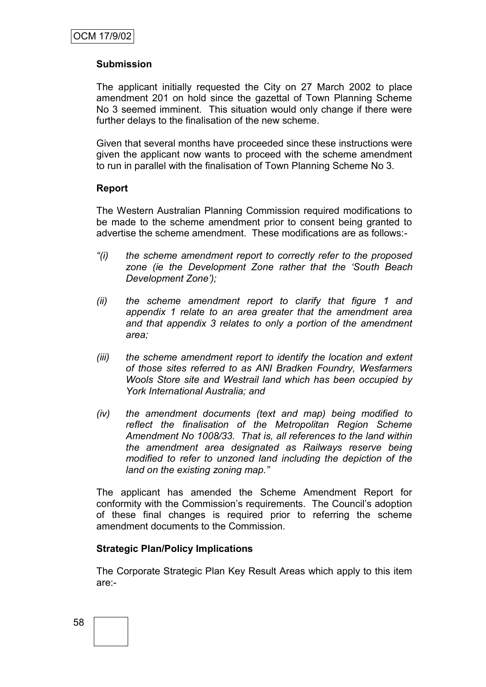#### **Submission**

The applicant initially requested the City on 27 March 2002 to place amendment 201 on hold since the gazettal of Town Planning Scheme No 3 seemed imminent. This situation would only change if there were further delays to the finalisation of the new scheme.

Given that several months have proceeded since these instructions were given the applicant now wants to proceed with the scheme amendment to run in parallel with the finalisation of Town Planning Scheme No 3.

#### **Report**

The Western Australian Planning Commission required modifications to be made to the scheme amendment prior to consent being granted to advertise the scheme amendment. These modifications are as follows:-

- *"(i) the scheme amendment report to correctly refer to the proposed zone (ie the Development Zone rather that the "South Beach Development Zone");*
- *(ii) the scheme amendment report to clarify that figure 1 and appendix 1 relate to an area greater that the amendment area and that appendix 3 relates to only a portion of the amendment area;*
- *(iii) the scheme amendment report to identify the location and extent of those sites referred to as ANI Bradken Foundry, Wesfarmers Wools Store site and Westrail land which has been occupied by York International Australia; and*
- *(iv) the amendment documents (text and map) being modified to reflect the finalisation of the Metropolitan Region Scheme Amendment No 1008/33. That is, all references to the land within the amendment area designated as Railways reserve being modified to refer to unzoned land including the depiction of the land on the existing zoning map."*

The applicant has amended the Scheme Amendment Report for conformity with the Commission"s requirements. The Council"s adoption of these final changes is required prior to referring the scheme amendment documents to the Commission.

#### **Strategic Plan/Policy Implications**

The Corporate Strategic Plan Key Result Areas which apply to this item are:-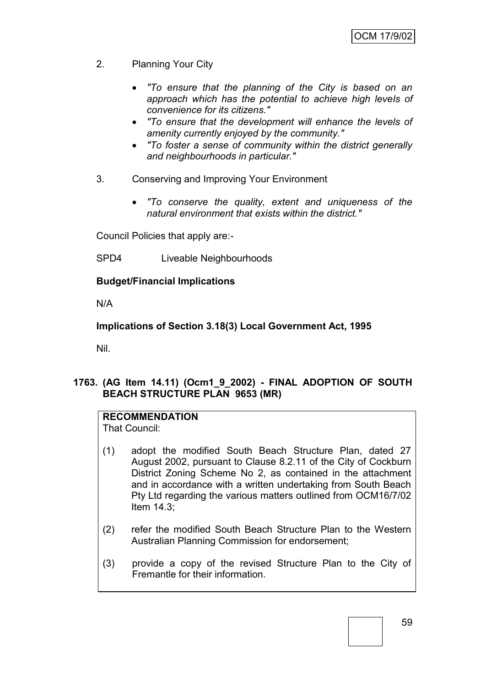- 2. Planning Your City
	- *"To ensure that the planning of the City is based on an approach which has the potential to achieve high levels of convenience for its citizens."*
	- *"To ensure that the development will enhance the levels of amenity currently enjoyed by the community."*
	- *"To foster a sense of community within the district generally and neighbourhoods in particular."*
- 3. Conserving and Improving Your Environment
	- *"To conserve the quality, extent and uniqueness of the natural environment that exists within the district."*

Council Policies that apply are:-

SPD4 Liveable Neighbourhoods

## **Budget/Financial Implications**

N/A

**Implications of Section 3.18(3) Local Government Act, 1995**

Nil.

## **1763. (AG Item 14.11) (Ocm1\_9\_2002) - FINAL ADOPTION OF SOUTH BEACH STRUCTURE PLAN 9653 (MR)**

# **RECOMMENDATION**

That Council:

- (1) adopt the modified South Beach Structure Plan, dated 27 August 2002, pursuant to Clause 8.2.11 of the City of Cockburn District Zoning Scheme No 2, as contained in the attachment and in accordance with a written undertaking from South Beach Pty Ltd regarding the various matters outlined from OCM16/7/02 Item 14.3;
- (2) refer the modified South Beach Structure Plan to the Western Australian Planning Commission for endorsement;
- (3) provide a copy of the revised Structure Plan to the City of Fremantle for their information.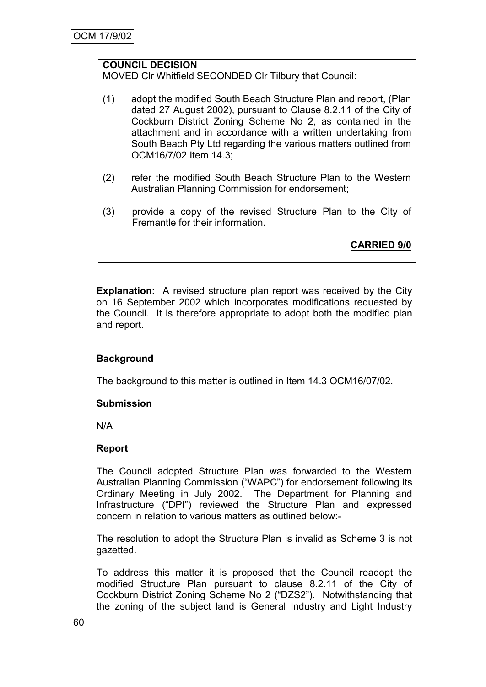## **COUNCIL DECISION**

MOVED Clr Whitfield SECONDED Clr Tilbury that Council:

- (1) adopt the modified South Beach Structure Plan and report, (Plan dated 27 August 2002), pursuant to Clause 8.2.11 of the City of Cockburn District Zoning Scheme No 2, as contained in the attachment and in accordance with a written undertaking from South Beach Pty Ltd regarding the various matters outlined from OCM16/7/02 Item 14.3;
- (2) refer the modified South Beach Structure Plan to the Western Australian Planning Commission for endorsement;
- (3) provide a copy of the revised Structure Plan to the City of Fremantle for their information.

**CARRIED 9/0**

**Explanation:** A revised structure plan report was received by the City on 16 September 2002 which incorporates modifications requested by the Council. It is therefore appropriate to adopt both the modified plan and report.

## **Background**

The background to this matter is outlined in Item 14.3 OCM16/07/02.

#### **Submission**

N/A

#### **Report**

The Council adopted Structure Plan was forwarded to the Western Australian Planning Commission ("WAPC") for endorsement following its Ordinary Meeting in July 2002. The Department for Planning and Infrastructure ("DPI") reviewed the Structure Plan and expressed concern in relation to various matters as outlined below:-

The resolution to adopt the Structure Plan is invalid as Scheme 3 is not gazetted.

To address this matter it is proposed that the Council readopt the modified Structure Plan pursuant to clause 8.2.11 of the City of Cockburn District Zoning Scheme No 2 ("DZS2"). Notwithstanding that the zoning of the subject land is General Industry and Light Industry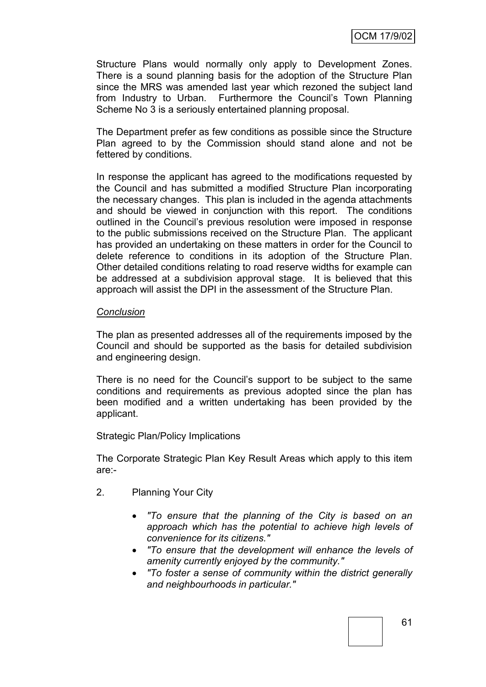Structure Plans would normally only apply to Development Zones. There is a sound planning basis for the adoption of the Structure Plan since the MRS was amended last year which rezoned the subject land from Industry to Urban. Furthermore the Council"s Town Planning Scheme No 3 is a seriously entertained planning proposal.

The Department prefer as few conditions as possible since the Structure Plan agreed to by the Commission should stand alone and not be fettered by conditions.

In response the applicant has agreed to the modifications requested by the Council and has submitted a modified Structure Plan incorporating the necessary changes. This plan is included in the agenda attachments and should be viewed in conjunction with this report. The conditions outlined in the Council"s previous resolution were imposed in response to the public submissions received on the Structure Plan. The applicant has provided an undertaking on these matters in order for the Council to delete reference to conditions in its adoption of the Structure Plan. Other detailed conditions relating to road reserve widths for example can be addressed at a subdivision approval stage. It is believed that this approach will assist the DPI in the assessment of the Structure Plan.

#### *Conclusion*

The plan as presented addresses all of the requirements imposed by the Council and should be supported as the basis for detailed subdivision and engineering design.

There is no need for the Council"s support to be subject to the same conditions and requirements as previous adopted since the plan has been modified and a written undertaking has been provided by the applicant.

Strategic Plan/Policy Implications

The Corporate Strategic Plan Key Result Areas which apply to this item are:-

- 2. Planning Your City
	- *"To ensure that the planning of the City is based on an approach which has the potential to achieve high levels of convenience for its citizens."*
	- *"To ensure that the development will enhance the levels of amenity currently enjoyed by the community."*
	- *"To foster a sense of community within the district generally and neighbourhoods in particular."*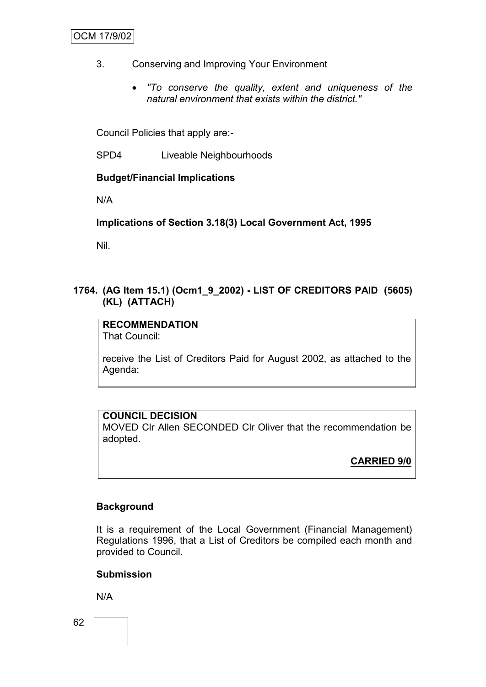## OCM 17/9/02

- 3. Conserving and Improving Your Environment
	- *"To conserve the quality, extent and uniqueness of the natural environment that exists within the district."*

Council Policies that apply are:-

SPD4 Liveable Neighbourhoods

#### **Budget/Financial Implications**

N/A

**Implications of Section 3.18(3) Local Government Act, 1995**

Nil.

## **1764. (AG Item 15.1) (Ocm1\_9\_2002) - LIST OF CREDITORS PAID (5605) (KL) (ATTACH)**

## **RECOMMENDATION**

That Council:

receive the List of Creditors Paid for August 2002, as attached to the Agenda:

## **COUNCIL DECISION** MOVED Clr Allen SECONDED Clr Oliver that the recommendation be adopted.

## **CARRIED 9/0**

#### **Background**

It is a requirement of the Local Government (Financial Management) Regulations 1996, that a List of Creditors be compiled each month and provided to Council.

#### **Submission**

N/A

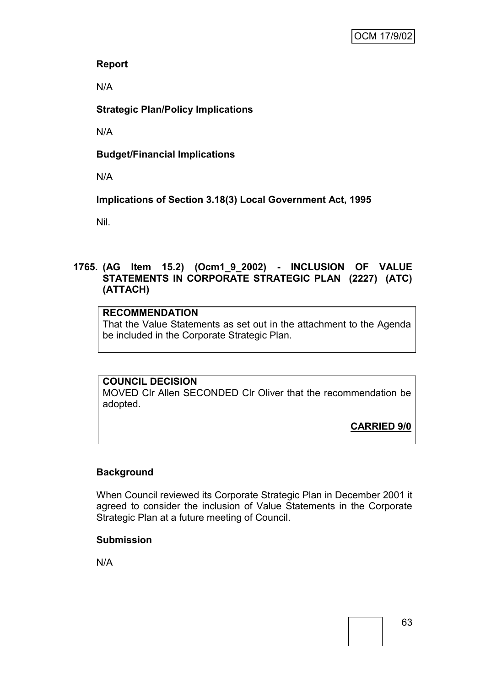## **Report**

N/A

## **Strategic Plan/Policy Implications**

N/A

## **Budget/Financial Implications**

N/A

**Implications of Section 3.18(3) Local Government Act, 1995**

Nil.

## **1765. (AG Item 15.2) (Ocm1\_9\_2002) - INCLUSION OF VALUE STATEMENTS IN CORPORATE STRATEGIC PLAN (2227) (ATC) (ATTACH)**

## **RECOMMENDATION**

That the Value Statements as set out in the attachment to the Agenda be included in the Corporate Strategic Plan.

## **COUNCIL DECISION**

MOVED Clr Allen SECONDED Clr Oliver that the recommendation be adopted.

**CARRIED 9/0**

## **Background**

When Council reviewed its Corporate Strategic Plan in December 2001 it agreed to consider the inclusion of Value Statements in the Corporate Strategic Plan at a future meeting of Council.

## **Submission**

N/A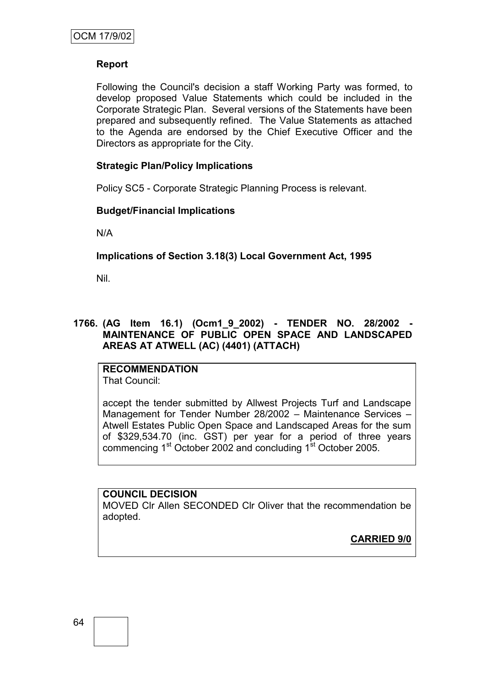## **Report**

Following the Council's decision a staff Working Party was formed, to develop proposed Value Statements which could be included in the Corporate Strategic Plan. Several versions of the Statements have been prepared and subsequently refined. The Value Statements as attached to the Agenda are endorsed by the Chief Executive Officer and the Directors as appropriate for the City.

## **Strategic Plan/Policy Implications**

Policy SC5 - Corporate Strategic Planning Process is relevant.

## **Budget/Financial Implications**

N/A

## **Implications of Section 3.18(3) Local Government Act, 1995**

Nil.

## **1766. (AG Item 16.1) (Ocm1\_9\_2002) - TENDER NO. 28/2002 - MAINTENANCE OF PUBLIC OPEN SPACE AND LANDSCAPED AREAS AT ATWELL (AC) (4401) (ATTACH)**

## **RECOMMENDATION**

That Council:

accept the tender submitted by Allwest Projects Turf and Landscape Management for Tender Number 28/2002 – Maintenance Services – Atwell Estates Public Open Space and Landscaped Areas for the sum of \$329,534.70 (inc. GST) per year for a period of three years commencing 1<sup>st</sup> October 2002 and concluding 1<sup>st</sup> October 2005.

#### **COUNCIL DECISION** MOVED Clr Allen SECONDED Clr Oliver that the recommendation be adopted.

**CARRIED 9/0**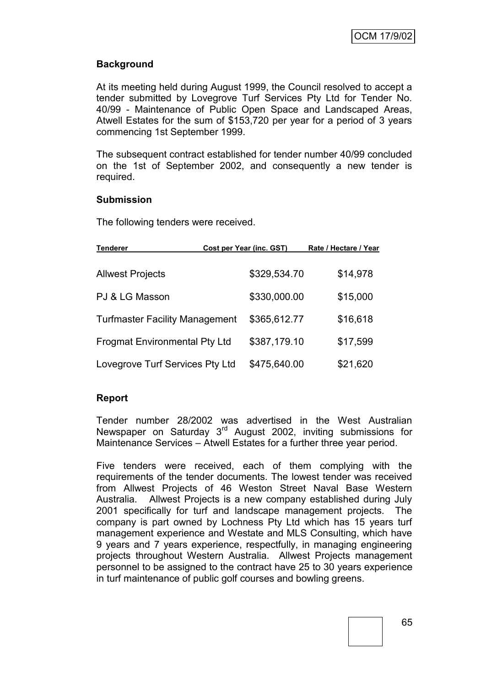## **Background**

At its meeting held during August 1999, the Council resolved to accept a tender submitted by Lovegrove Turf Services Pty Ltd for Tender No. 40/99 - Maintenance of Public Open Space and Landscaped Areas, Atwell Estates for the sum of \$153,720 per year for a period of 3 years commencing 1st September 1999.

The subsequent contract established for tender number 40/99 concluded on the 1st of September 2002, and consequently a new tender is required.

## **Submission**

The following tenders were received.

| <b>Tenderer</b>                       | Cost per Year (inc. GST) | Rate / Hectare / Year |
|---------------------------------------|--------------------------|-----------------------|
| <b>Allwest Projects</b>               | \$329,534.70             | \$14,978              |
| PJ & LG Masson                        | \$330,000.00             | \$15,000              |
| <b>Turfmaster Facility Management</b> | \$365,612.77             | \$16,618              |
| <b>Frogmat Environmental Pty Ltd</b>  | \$387,179.10             | \$17,599              |
| Lovegrove Turf Services Pty Ltd       | \$475,640.00             | \$21,620              |

## **Report**

Tender number 28/2002 was advertised in the West Australian Newspaper on Saturday 3<sup>rd</sup> August 2002, inviting submissions for Maintenance Services – Atwell Estates for a further three year period.

Five tenders were received, each of them complying with the requirements of the tender documents. The lowest tender was received from Allwest Projects of 46 Weston Street Naval Base Western Australia. Allwest Projects is a new company established during July 2001 specifically for turf and landscape management projects. The company is part owned by Lochness Pty Ltd which has 15 years turf management experience and Westate and MLS Consulting, which have 9 years and 7 years experience, respectfully, in managing engineering projects throughout Western Australia. Allwest Projects management personnel to be assigned to the contract have 25 to 30 years experience in turf maintenance of public golf courses and bowling greens.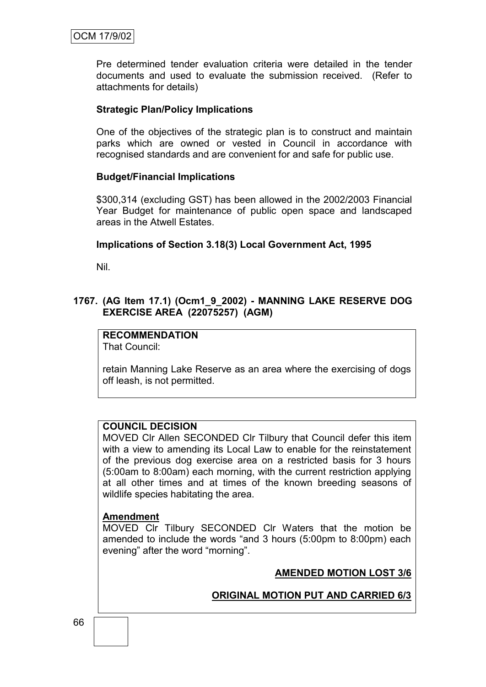Pre determined tender evaluation criteria were detailed in the tender documents and used to evaluate the submission received. (Refer to attachments for details)

#### **Strategic Plan/Policy Implications**

One of the objectives of the strategic plan is to construct and maintain parks which are owned or vested in Council in accordance with recognised standards and are convenient for and safe for public use.

#### **Budget/Financial Implications**

\$300,314 (excluding GST) has been allowed in the 2002/2003 Financial Year Budget for maintenance of public open space and landscaped areas in the Atwell Estates.

#### **Implications of Section 3.18(3) Local Government Act, 1995**

Nil.

#### **1767. (AG Item 17.1) (Ocm1\_9\_2002) - MANNING LAKE RESERVE DOG EXERCISE AREA (22075257) (AGM)**

## **RECOMMENDATION**

That Council:

retain Manning Lake Reserve as an area where the exercising of dogs off leash, is not permitted.

#### **COUNCIL DECISION**

MOVED Clr Allen SECONDED Clr Tilbury that Council defer this item with a view to amending its Local Law to enable for the reinstatement of the previous dog exercise area on a restricted basis for 3 hours (5:00am to 8:00am) each morning, with the current restriction applying at all other times and at times of the known breeding seasons of wildlife species habitating the area.

#### **Amendment**

MOVED Clr Tilbury SECONDED Clr Waters that the motion be amended to include the words "and 3 hours (5:00pm to 8:00pm) each evening" after the word "morning".

#### **AMENDED MOTION LOST 3/6**

## **ORIGINAL MOTION PUT AND CARRIED 6/3**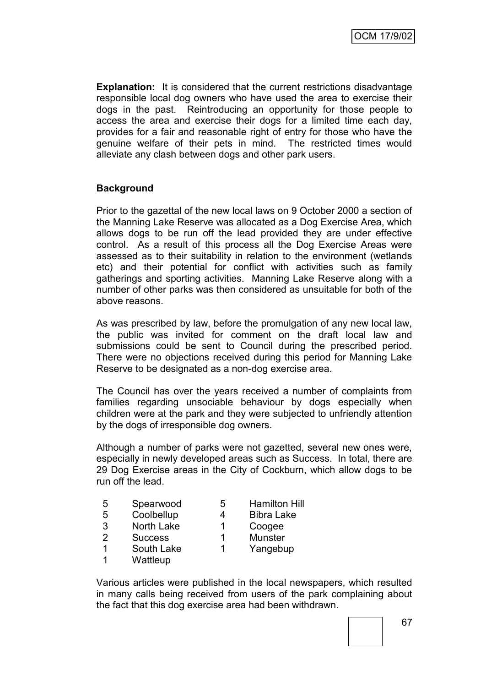**Explanation:** It is considered that the current restrictions disadvantage responsible local dog owners who have used the area to exercise their dogs in the past. Reintroducing an opportunity for those people to access the area and exercise their dogs for a limited time each day, provides for a fair and reasonable right of entry for those who have the genuine welfare of their pets in mind. The restricted times would alleviate any clash between dogs and other park users.

## **Background**

Prior to the gazettal of the new local laws on 9 October 2000 a section of the Manning Lake Reserve was allocated as a Dog Exercise Area, which allows dogs to be run off the lead provided they are under effective control. As a result of this process all the Dog Exercise Areas were assessed as to their suitability in relation to the environment (wetlands etc) and their potential for conflict with activities such as family gatherings and sporting activities. Manning Lake Reserve along with a number of other parks was then considered as unsuitable for both of the above reasons.

As was prescribed by law, before the promulgation of any new local law, the public was invited for comment on the draft local law and submissions could be sent to Council during the prescribed period. There were no objections received during this period for Manning Lake Reserve to be designated as a non-dog exercise area.

The Council has over the years received a number of complaints from families regarding unsociable behaviour by dogs especially when children were at the park and they were subjected to unfriendly attention by the dogs of irresponsible dog owners.

Although a number of parks were not gazetted, several new ones were, especially in newly developed areas such as Success. In total, there are 29 Dog Exercise areas in the City of Cockburn, which allow dogs to be run off the lead.

- 5 Spearwood 5 Hamilton Hill
	-
- 5 Coolbellup 4 Bibra Lake
- 3 North Lake 1 Coogee
- 2 Success 1 Munster
	-
- 1 South Lake 1 Yangebup
- 1 Wattleup

Various articles were published in the local newspapers, which resulted in many calls being received from users of the park complaining about the fact that this dog exercise area had been withdrawn.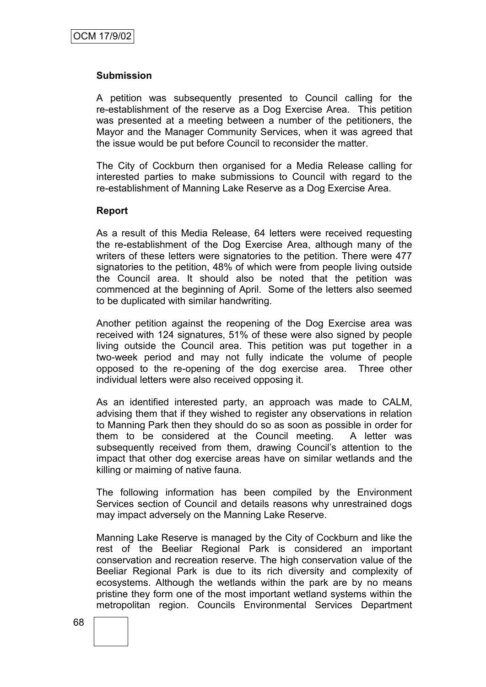#### **Submission**

A petition was subsequently presented to Council calling for the re-establishment of the reserve as a Dog Exercise Area. This petition was presented at a meeting between a number of the petitioners, the Mayor and the Manager Community Services, when it was agreed that the issue would be put before Council to reconsider the matter.

The City of Cockburn then organised for a Media Release calling for interested parties to make submissions to Council with regard to the re-establishment of Manning Lake Reserve as a Dog Exercise Area.

#### **Report**

As a result of this Media Release, 64 letters were received requesting the re-establishment of the Dog Exercise Area, although many of the writers of these letters were signatories to the petition. There were 477 signatories to the petition, 48% of which were from people living outside the Council area. It should also be noted that the petition was commenced at the beginning of April. Some of the letters also seemed to be duplicated with similar handwriting.

Another petition against the reopening of the Dog Exercise area was received with 124 signatures, 51% of these were also signed by people living outside the Council area. This petition was put together in a two-week period and may not fully indicate the volume of people opposed to the re-opening of the dog exercise area. Three other individual letters were also received opposing it.

As an identified interested party, an approach was made to CALM, advising them that if they wished to register any observations in relation to Manning Park then they should do so as soon as possible in order for them to be considered at the Council meeting. A letter was subsequently received from them, drawing Council"s attention to the impact that other dog exercise areas have on similar wetlands and the killing or maiming of native fauna.

The following information has been compiled by the Environment Services section of Council and details reasons why unrestrained dogs may impact adversely on the Manning Lake Reserve.

Manning Lake Reserve is managed by the City of Cockburn and like the rest of the Beeliar Regional Park is considered an important conservation and recreation reserve. The high conservation value of the Beeliar Regional Park is due to its rich diversity and complexity of ecosystems. Although the wetlands within the park are by no means pristine they form one of the most important wetland systems within the metropolitan region. Councils Environmental Services Department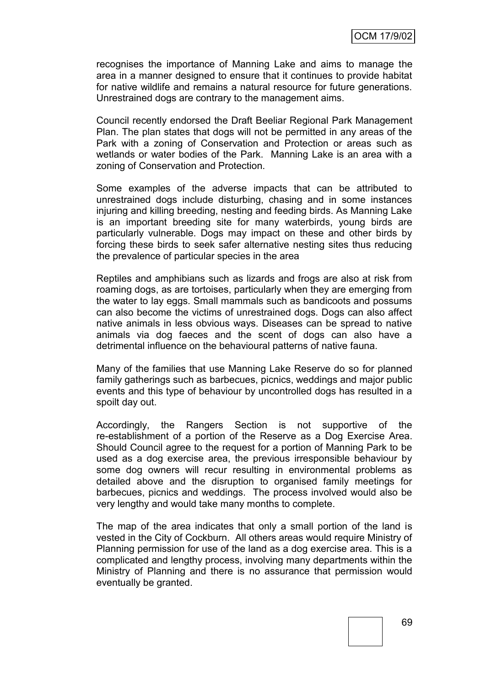recognises the importance of Manning Lake and aims to manage the area in a manner designed to ensure that it continues to provide habitat for native wildlife and remains a natural resource for future generations. Unrestrained dogs are contrary to the management aims.

Council recently endorsed the Draft Beeliar Regional Park Management Plan. The plan states that dogs will not be permitted in any areas of the Park with a zoning of Conservation and Protection or areas such as wetlands or water bodies of the Park. Manning Lake is an area with a zoning of Conservation and Protection.

Some examples of the adverse impacts that can be attributed to unrestrained dogs include disturbing, chasing and in some instances injuring and killing breeding, nesting and feeding birds. As Manning Lake is an important breeding site for many waterbirds, young birds are particularly vulnerable. Dogs may impact on these and other birds by forcing these birds to seek safer alternative nesting sites thus reducing the prevalence of particular species in the area

Reptiles and amphibians such as lizards and frogs are also at risk from roaming dogs, as are tortoises, particularly when they are emerging from the water to lay eggs. Small mammals such as bandicoots and possums can also become the victims of unrestrained dogs. Dogs can also affect native animals in less obvious ways. Diseases can be spread to native animals via dog faeces and the scent of dogs can also have a detrimental influence on the behavioural patterns of native fauna.

Many of the families that use Manning Lake Reserve do so for planned family gatherings such as barbecues, picnics, weddings and major public events and this type of behaviour by uncontrolled dogs has resulted in a spoilt day out.

Accordingly, the Rangers Section is not supportive of the re-establishment of a portion of the Reserve as a Dog Exercise Area. Should Council agree to the request for a portion of Manning Park to be used as a dog exercise area, the previous irresponsible behaviour by some dog owners will recur resulting in environmental problems as detailed above and the disruption to organised family meetings for barbecues, picnics and weddings. The process involved would also be very lengthy and would take many months to complete.

The map of the area indicates that only a small portion of the land is vested in the City of Cockburn. All others areas would require Ministry of Planning permission for use of the land as a dog exercise area. This is a complicated and lengthy process, involving many departments within the Ministry of Planning and there is no assurance that permission would eventually be granted.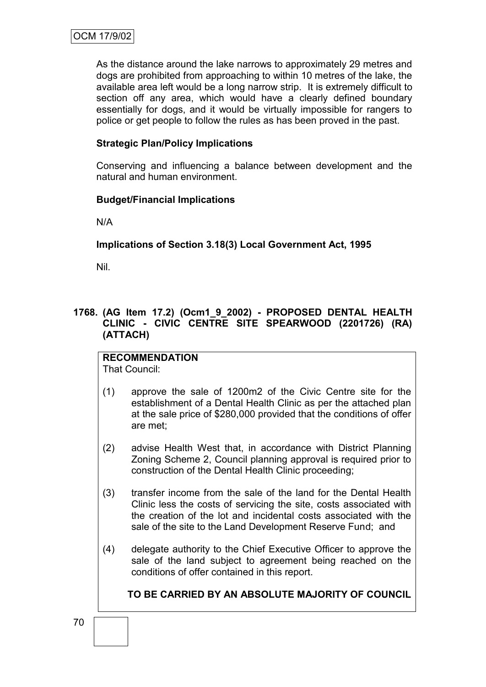As the distance around the lake narrows to approximately 29 metres and dogs are prohibited from approaching to within 10 metres of the lake, the available area left would be a long narrow strip. It is extremely difficult to section off any area, which would have a clearly defined boundary essentially for dogs, and it would be virtually impossible for rangers to police or get people to follow the rules as has been proved in the past.

# **Strategic Plan/Policy Implications**

Conserving and influencing a balance between development and the natural and human environment.

# **Budget/Financial Implications**

N/A

# **Implications of Section 3.18(3) Local Government Act, 1995**

Nil.

# **1768. (AG Item 17.2) (Ocm1\_9\_2002) - PROPOSED DENTAL HEALTH CLINIC - CIVIC CENTRE SITE SPEARWOOD (2201726) (RA) (ATTACH)**

# **RECOMMENDATION**

That Council:

- (1) approve the sale of 1200m2 of the Civic Centre site for the establishment of a Dental Health Clinic as per the attached plan at the sale price of \$280,000 provided that the conditions of offer are met;
- (2) advise Health West that, in accordance with District Planning Zoning Scheme 2, Council planning approval is required prior to construction of the Dental Health Clinic proceeding;
- (3) transfer income from the sale of the land for the Dental Health Clinic less the costs of servicing the site, costs associated with the creation of the lot and incidental costs associated with the sale of the site to the Land Development Reserve Fund; and
- (4) delegate authority to the Chief Executive Officer to approve the sale of the land subject to agreement being reached on the conditions of offer contained in this report.

# **TO BE CARRIED BY AN ABSOLUTE MAJORITY OF COUNCIL**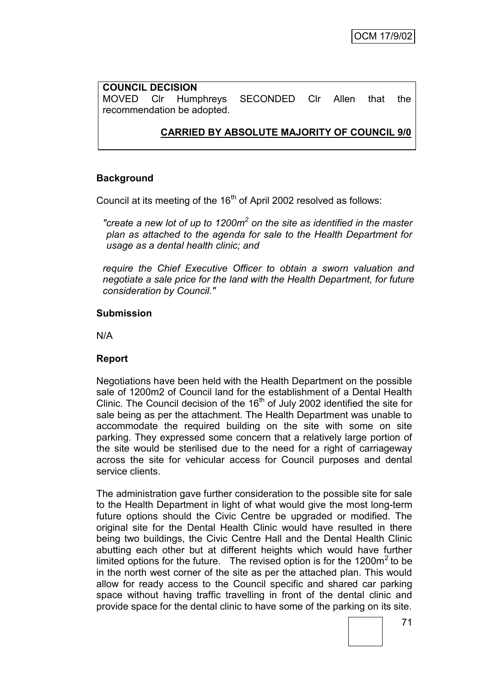**COUNCIL DECISION** MOVED Clr Humphreys SECONDED Clr Allen that the recommendation be adopted.

# **CARRIED BY ABSOLUTE MAJORITY OF COUNCIL 9/0**

# **Background**

Council at its meeting of the 16<sup>th</sup> of April 2002 resolved as follows:

*"create a new lot of up to 1200m<sup>2</sup> on the site as identified in the master plan as attached to the agenda for sale to the Health Department for usage as a dental health clinic; and*

*require the Chief Executive Officer to obtain a sworn valuation and negotiate a sale price for the land with the Health Department, for future consideration by Council."*

#### **Submission**

N/A

# **Report**

Negotiations have been held with the Health Department on the possible sale of 1200m2 of Council land for the establishment of a Dental Health Clinic. The Council decision of the  $16<sup>th</sup>$  of July 2002 identified the site for sale being as per the attachment. The Health Department was unable to accommodate the required building on the site with some on site parking. They expressed some concern that a relatively large portion of the site would be sterilised due to the need for a right of carriageway across the site for vehicular access for Council purposes and dental service clients.

The administration gave further consideration to the possible site for sale to the Health Department in light of what would give the most long-term future options should the Civic Centre be upgraded or modified. The original site for the Dental Health Clinic would have resulted in there being two buildings, the Civic Centre Hall and the Dental Health Clinic abutting each other but at different heights which would have further limited options for the future. The revised option is for the  $1200m<sup>2</sup>$  to be in the north west corner of the site as per the attached plan. This would allow for ready access to the Council specific and shared car parking space without having traffic travelling in front of the dental clinic and provide space for the dental clinic to have some of the parking on its site.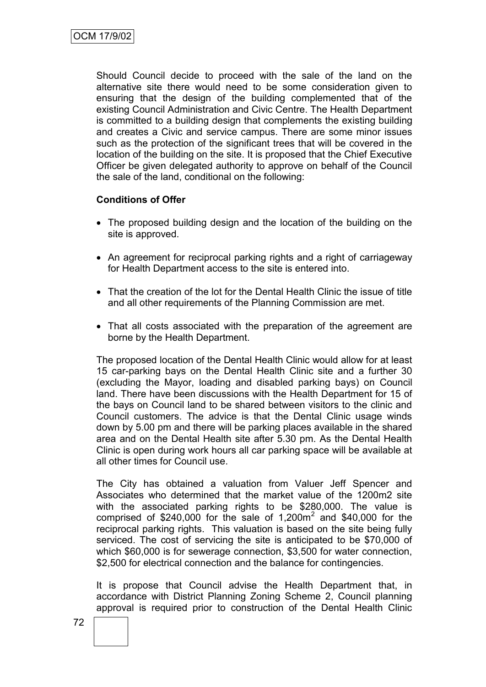Should Council decide to proceed with the sale of the land on the alternative site there would need to be some consideration given to ensuring that the design of the building complemented that of the existing Council Administration and Civic Centre. The Health Department is committed to a building design that complements the existing building and creates a Civic and service campus. There are some minor issues such as the protection of the significant trees that will be covered in the location of the building on the site. It is proposed that the Chief Executive Officer be given delegated authority to approve on behalf of the Council the sale of the land, conditional on the following:

# **Conditions of Offer**

- The proposed building design and the location of the building on the site is approved.
- An agreement for reciprocal parking rights and a right of carriageway for Health Department access to the site is entered into.
- That the creation of the lot for the Dental Health Clinic the issue of title and all other requirements of the Planning Commission are met.
- That all costs associated with the preparation of the agreement are borne by the Health Department.

The proposed location of the Dental Health Clinic would allow for at least 15 car-parking bays on the Dental Health Clinic site and a further 30 (excluding the Mayor, loading and disabled parking bays) on Council land. There have been discussions with the Health Department for 15 of the bays on Council land to be shared between visitors to the clinic and Council customers. The advice is that the Dental Clinic usage winds down by 5.00 pm and there will be parking places available in the shared area and on the Dental Health site after 5.30 pm. As the Dental Health Clinic is open during work hours all car parking space will be available at all other times for Council use.

The City has obtained a valuation from Valuer Jeff Spencer and Associates who determined that the market value of the 1200m2 site with the associated parking rights to be \$280,000. The value is comprised of  $$240,000$  for the sale of 1,200 $m<sup>2</sup>$  and  $$40,000$  for the reciprocal parking rights. This valuation is based on the site being fully serviced. The cost of servicing the site is anticipated to be \$70,000 of which \$60,000 is for sewerage connection, \$3,500 for water connection, \$2,500 for electrical connection and the balance for contingencies.

It is propose that Council advise the Health Department that, in accordance with District Planning Zoning Scheme 2, Council planning approval is required prior to construction of the Dental Health Clinic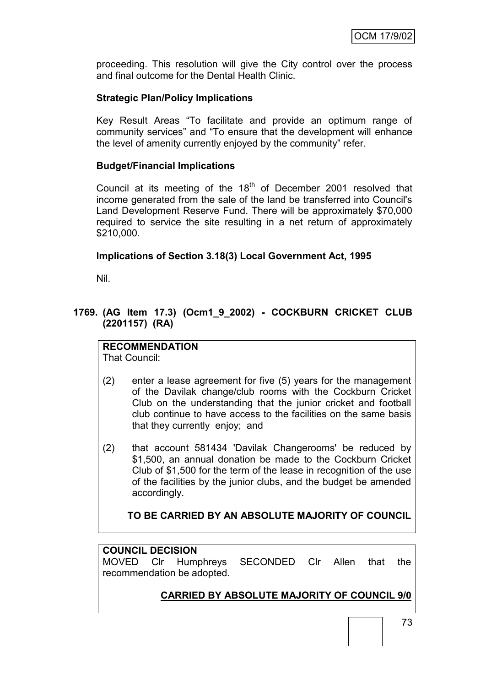proceeding. This resolution will give the City control over the process and final outcome for the Dental Health Clinic.

# **Strategic Plan/Policy Implications**

Key Result Areas "To facilitate and provide an optimum range of community services" and "To ensure that the development will enhance the level of amenity currently enjoyed by the community" refer.

# **Budget/Financial Implications**

Council at its meeting of the  $18<sup>th</sup>$  of December 2001 resolved that income generated from the sale of the land be transferred into Council's Land Development Reserve Fund. There will be approximately \$70,000 required to service the site resulting in a net return of approximately \$210,000.

# **Implications of Section 3.18(3) Local Government Act, 1995**

Nil.

# **1769. (AG Item 17.3) (Ocm1\_9\_2002) - COCKBURN CRICKET CLUB (2201157) (RA)**

#### **RECOMMENDATION**

That Council:

- (2) enter a lease agreement for five (5) years for the management of the Davilak change/club rooms with the Cockburn Cricket Club on the understanding that the junior cricket and football club continue to have access to the facilities on the same basis that they currently enjoy; and
- (2) that account 581434 'Davilak Changerooms' be reduced by \$1,500, an annual donation be made to the Cockburn Cricket Club of \$1,500 for the term of the lease in recognition of the use of the facilities by the junior clubs, and the budget be amended accordingly.

**TO BE CARRIED BY AN ABSOLUTE MAJORITY OF COUNCIL**

#### **COUNCIL DECISION**

MOVED Clr Humphreys SECONDED Clr Allen that the recommendation be adopted.

# **CARRIED BY ABSOLUTE MAJORITY OF COUNCIL 9/0**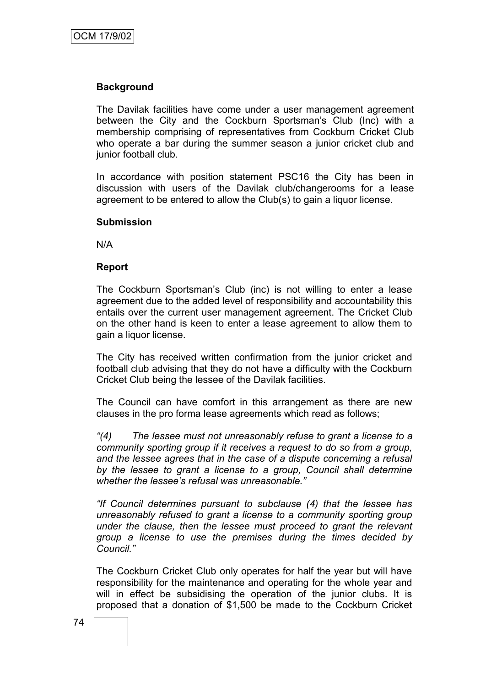# **Background**

The Davilak facilities have come under a user management agreement between the City and the Cockburn Sportsman"s Club (Inc) with a membership comprising of representatives from Cockburn Cricket Club who operate a bar during the summer season a junior cricket club and junior football club.

In accordance with position statement PSC16 the City has been in discussion with users of the Davilak club/changerooms for a lease agreement to be entered to allow the Club(s) to gain a liquor license.

#### **Submission**

N/A

#### **Report**

The Cockburn Sportsman"s Club (inc) is not willing to enter a lease agreement due to the added level of responsibility and accountability this entails over the current user management agreement. The Cricket Club on the other hand is keen to enter a lease agreement to allow them to gain a liquor license.

The City has received written confirmation from the junior cricket and football club advising that they do not have a difficulty with the Cockburn Cricket Club being the lessee of the Davilak facilities.

The Council can have comfort in this arrangement as there are new clauses in the pro forma lease agreements which read as follows;

*"(4) The lessee must not unreasonably refuse to grant a license to a community sporting group if it receives a request to do so from a group, and the lessee agrees that in the case of a dispute concerning a refusal by the lessee to grant a license to a group, Council shall determine whether the lessee"s refusal was unreasonable."*

*"If Council determines pursuant to subclause (4) that the lessee has unreasonably refused to grant a license to a community sporting group under the clause, then the lessee must proceed to grant the relevant group a license to use the premises during the times decided by Council."*

The Cockburn Cricket Club only operates for half the year but will have responsibility for the maintenance and operating for the whole year and will in effect be subsidising the operation of the junior clubs. It is proposed that a donation of \$1,500 be made to the Cockburn Cricket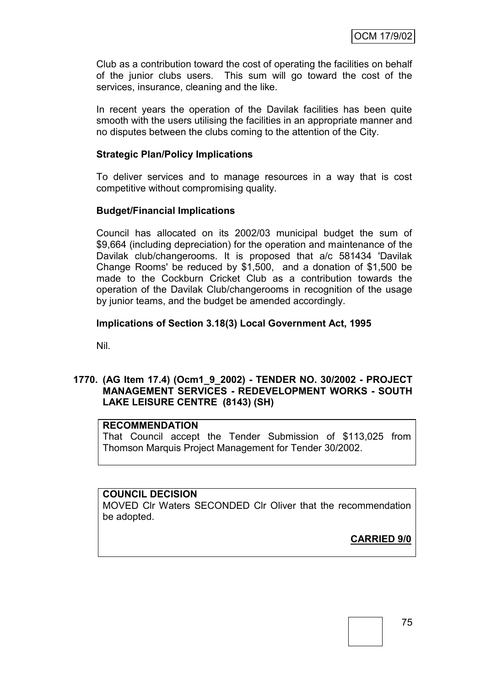Club as a contribution toward the cost of operating the facilities on behalf of the junior clubs users. This sum will go toward the cost of the services, insurance, cleaning and the like.

In recent years the operation of the Davilak facilities has been quite smooth with the users utilising the facilities in an appropriate manner and no disputes between the clubs coming to the attention of the City.

#### **Strategic Plan/Policy Implications**

To deliver services and to manage resources in a way that is cost competitive without compromising quality.

#### **Budget/Financial Implications**

Council has allocated on its 2002/03 municipal budget the sum of \$9,664 (including depreciation) for the operation and maintenance of the Davilak club/changerooms. It is proposed that a/c 581434 'Davilak Change Rooms' be reduced by \$1,500, and a donation of \$1,500 be made to the Cockburn Cricket Club as a contribution towards the operation of the Davilak Club/changerooms in recognition of the usage by junior teams, and the budget be amended accordingly.

#### **Implications of Section 3.18(3) Local Government Act, 1995**

Nil.

# **1770. (AG Item 17.4) (Ocm1\_9\_2002) - TENDER NO. 30/2002 - PROJECT MANAGEMENT SERVICES - REDEVELOPMENT WORKS - SOUTH LAKE LEISURE CENTRE (8143) (SH)**

# **RECOMMENDATION**

That Council accept the Tender Submission of \$113,025 from Thomson Marquis Project Management for Tender 30/2002.

#### **COUNCIL DECISION**

MOVED Clr Waters SECONDED Clr Oliver that the recommendation be adopted.

**CARRIED 9/0**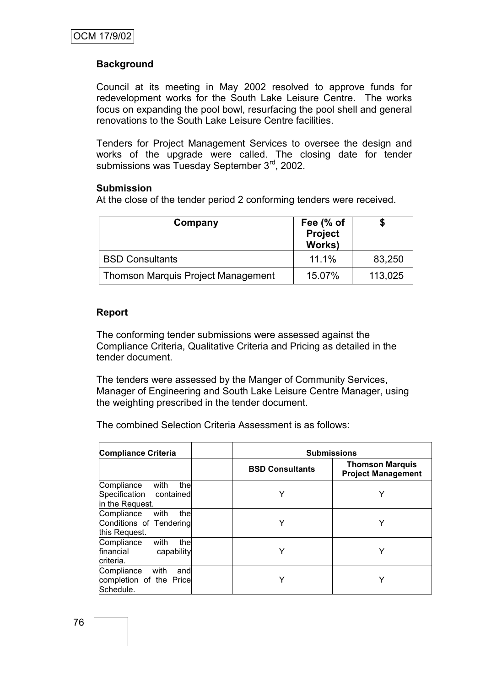# **Background**

Council at its meeting in May 2002 resolved to approve funds for redevelopment works for the South Lake Leisure Centre. The works focus on expanding the pool bowl, resurfacing the pool shell and general renovations to the South Lake Leisure Centre facilities.

Tenders for Project Management Services to oversee the design and works of the upgrade were called. The closing date for tender submissions was Tuesday September  $3^{\text{rd}}$ , 2002.

#### **Submission**

At the close of the tender period 2 conforming tenders were received.

| Company                            | Fee (% of<br><b>Project</b><br>Works) | 5       |
|------------------------------------|---------------------------------------|---------|
| <b>BSD Consultants</b>             | 11.1%                                 | 83,250  |
| Thomson Marquis Project Management | 15.07%                                | 113,025 |

#### **Report**

The conforming tender submissions were assessed against the Compliance Criteria, Qualitative Criteria and Pricing as detailed in the tender document.

The tenders were assessed by the Manger of Community Services, Manager of Engineering and South Lake Leisure Centre Manager, using the weighting prescribed in the tender document.

The combined Selection Criteria Assessment is as follows:

| <b>Compliance Criteria</b>                                              | <b>Submissions</b>     |                                                     |
|-------------------------------------------------------------------------|------------------------|-----------------------------------------------------|
|                                                                         | <b>BSD Consultants</b> | <b>Thomson Marquis</b><br><b>Project Management</b> |
| Compliance<br>with<br>the<br>Specification contained<br>in the Request. |                        | v                                                   |
| Compliance<br>with<br>the<br>Conditions of Tendering<br>this Request.   |                        | v                                                   |
| Compliance<br>with<br>the<br>capability<br>financial<br>criteria.       |                        | v                                                   |
| Compliance<br>with<br>and<br>completion of the Price<br>Schedule.       |                        | v                                                   |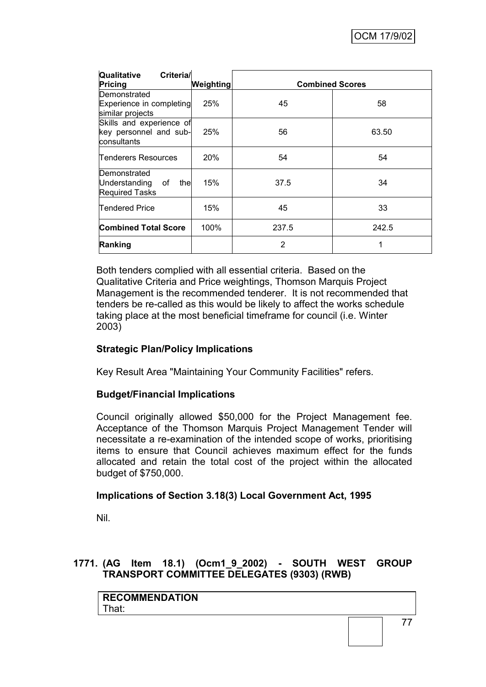| Criteria/<br>Qualitative<br>Pricing                                 | <b>Weighting</b> | <b>Combined Scores</b> |       |
|---------------------------------------------------------------------|------------------|------------------------|-------|
| Demonstrated<br>Experience in completing<br>similar projects        | <b>25%</b>       | 45                     | 58    |
| Skills and experience of<br>key personnel and sub-<br>consultants   | 25%              | 56                     | 63.50 |
| <b>Tenderers Resources</b>                                          | <b>20%</b>       | 54                     | 54    |
| Demonstrated<br>Understanding<br>the<br>of<br><b>Required Tasks</b> | 15%              | 37.5                   | 34    |
| <b>Tendered Price</b>                                               | 15%              | 45                     | 33    |
| <b>Combined Total Score</b>                                         | 100%             | 237.5                  | 242.5 |
| Ranking                                                             |                  | 2                      |       |

Both tenders complied with all essential criteria. Based on the Qualitative Criteria and Price weightings, Thomson Marquis Project Management is the recommended tenderer. It is not recommended that tenders be re-called as this would be likely to affect the works schedule taking place at the most beneficial timeframe for council (i.e. Winter 2003)

# **Strategic Plan/Policy Implications**

Key Result Area "Maintaining Your Community Facilities" refers.

# **Budget/Financial Implications**

Council originally allowed \$50,000 for the Project Management fee. Acceptance of the Thomson Marquis Project Management Tender will necessitate a re-examination of the intended scope of works, prioritising items to ensure that Council achieves maximum effect for the funds allocated and retain the total cost of the project within the allocated budget of \$750,000.

# **Implications of Section 3.18(3) Local Government Act, 1995**

Nil.

# **1771. (AG Item 18.1) (Ocm1\_9\_2002) - SOUTH WEST GROUP TRANSPORT COMMITTEE DELEGATES (9303) (RWB)**

**RECOMMENDATION** That: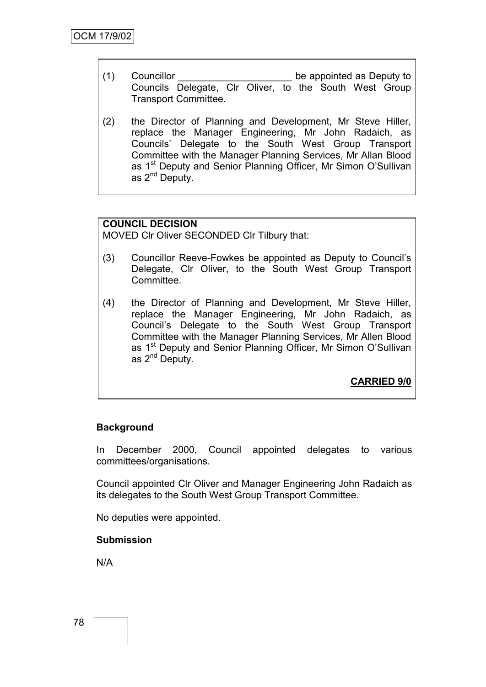- (1) Councillor \_\_\_\_\_\_\_\_\_\_\_\_\_\_\_\_\_\_\_\_\_ be appointed as Deputy to Councils Delegate, Clr Oliver, to the South West Group Transport Committee.
- (2) the Director of Planning and Development, Mr Steve Hiller, replace the Manager Engineering, Mr John Radaich, as Councils" Delegate to the South West Group Transport Committee with the Manager Planning Services, Mr Allan Blood as 1<sup>st</sup> Deputy and Senior Planning Officer, Mr Simon O'Sullivan as 2nd Deputy.

# **COUNCIL DECISION**

MOVED Clr Oliver SECONDED Clr Tilbury that:

- (3) Councillor Reeve-Fowkes be appointed as Deputy to Council"s Delegate, Clr Oliver, to the South West Group Transport Committee.
- (4) the Director of Planning and Development, Mr Steve Hiller, replace the Manager Engineering, Mr John Radaich, as Council"s Delegate to the South West Group Transport Committee with the Manager Planning Services, Mr Allen Blood as 1<sup>st</sup> Deputy and Senior Planning Officer, Mr Simon O'Sullivan as 2nd Deputy.

**CARRIED 9/0**

# **Background**

In December 2000, Council appointed delegates to various committees/organisations.

Council appointed Clr Oliver and Manager Engineering John Radaich as its delegates to the South West Group Transport Committee.

No deputies were appointed.

# **Submission**

N/A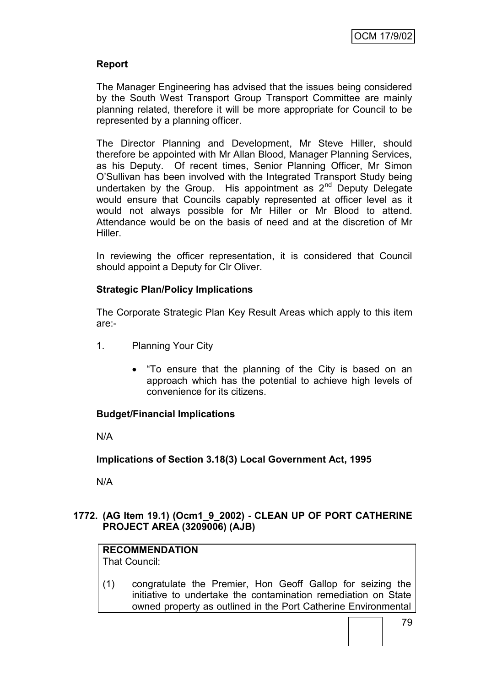# **Report**

The Manager Engineering has advised that the issues being considered by the South West Transport Group Transport Committee are mainly planning related, therefore it will be more appropriate for Council to be represented by a planning officer.

The Director Planning and Development, Mr Steve Hiller, should therefore be appointed with Mr Allan Blood, Manager Planning Services, as his Deputy. Of recent times, Senior Planning Officer, Mr Simon O"Sullivan has been involved with the Integrated Transport Study being undertaken by the Group. His appointment as  $2^{nd}$  Deputy Delegate would ensure that Councils capably represented at officer level as it would not always possible for Mr Hiller or Mr Blood to attend. Attendance would be on the basis of need and at the discretion of Mr **Hiller** 

In reviewing the officer representation, it is considered that Council should appoint a Deputy for Clr Oliver.

# **Strategic Plan/Policy Implications**

The Corporate Strategic Plan Key Result Areas which apply to this item are:-

- 1. Planning Your City
	- "To ensure that the planning of the City is based on an approach which has the potential to achieve high levels of convenience for its citizens.

# **Budget/Financial Implications**

N/A

# **Implications of Section 3.18(3) Local Government Act, 1995**

N/A

# **1772. (AG Item 19.1) (Ocm1\_9\_2002) - CLEAN UP OF PORT CATHERINE PROJECT AREA (3209006) (AJB)**

# **RECOMMENDATION**

That Council:

(1) congratulate the Premier, Hon Geoff Gallop for seizing the initiative to undertake the contamination remediation on State owned property as outlined in the Port Catherine Environmental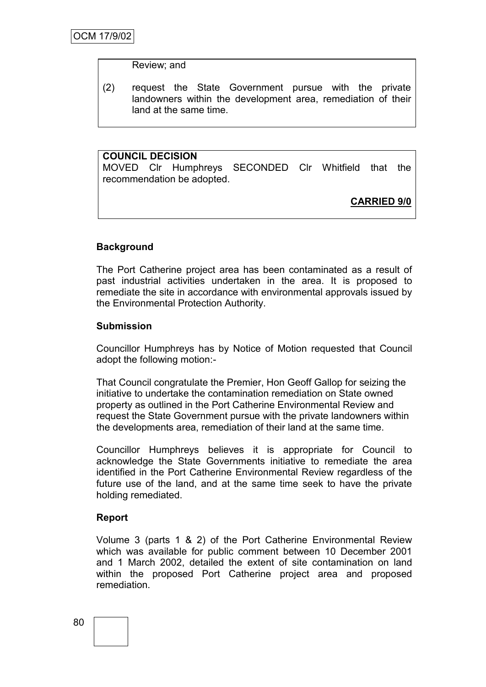#### Review; and

(2) request the State Government pursue with the private landowners within the development area, remediation of their land at the same time.

# **COUNCIL DECISION**

MOVED Clr Humphreys SECONDED Clr Whitfield that the recommendation be adopted.

**CARRIED 9/0**

# **Background**

The Port Catherine project area has been contaminated as a result of past industrial activities undertaken in the area. It is proposed to remediate the site in accordance with environmental approvals issued by the Environmental Protection Authority.

#### **Submission**

Councillor Humphreys has by Notice of Motion requested that Council adopt the following motion:-

That Council congratulate the Premier, Hon Geoff Gallop for seizing the initiative to undertake the contamination remediation on State owned property as outlined in the Port Catherine Environmental Review and request the State Government pursue with the private landowners within the developments area, remediation of their land at the same time.

Councillor Humphreys believes it is appropriate for Council to acknowledge the State Governments initiative to remediate the area identified in the Port Catherine Environmental Review regardless of the future use of the land, and at the same time seek to have the private holding remediated.

# **Report**

Volume 3 (parts 1 & 2) of the Port Catherine Environmental Review which was available for public comment between 10 December 2001 and 1 March 2002, detailed the extent of site contamination on land within the proposed Port Catherine project area and proposed remediation.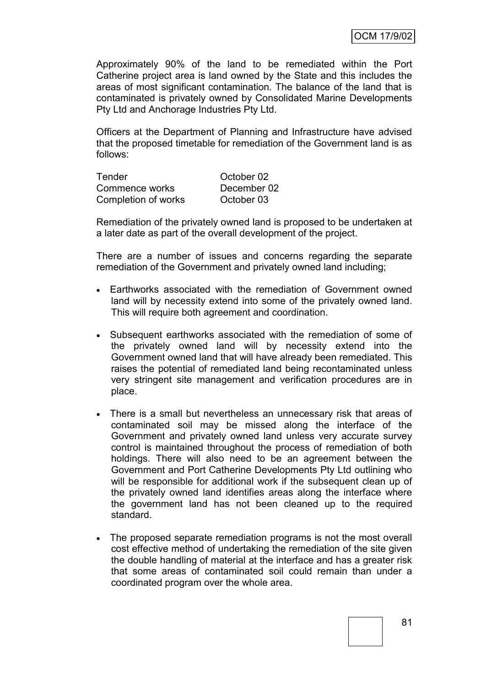Approximately 90% of the land to be remediated within the Port Catherine project area is land owned by the State and this includes the areas of most significant contamination. The balance of the land that is contaminated is privately owned by Consolidated Marine Developments Pty Ltd and Anchorage Industries Pty Ltd.

Officers at the Department of Planning and Infrastructure have advised that the proposed timetable for remediation of the Government land is as follows:

| Tender              | October 02  |
|---------------------|-------------|
| Commence works      | December 02 |
| Completion of works | October 03  |

Remediation of the privately owned land is proposed to be undertaken at a later date as part of the overall development of the project.

There are a number of issues and concerns regarding the separate remediation of the Government and privately owned land including;

- Earthworks associated with the remediation of Government owned land will by necessity extend into some of the privately owned land. This will require both agreement and coordination.
- Subsequent earthworks associated with the remediation of some of the privately owned land will by necessity extend into the Government owned land that will have already been remediated. This raises the potential of remediated land being recontaminated unless very stringent site management and verification procedures are in place.
- There is a small but nevertheless an unnecessary risk that areas of contaminated soil may be missed along the interface of the Government and privately owned land unless very accurate survey control is maintained throughout the process of remediation of both holdings. There will also need to be an agreement between the Government and Port Catherine Developments Pty Ltd outlining who will be responsible for additional work if the subsequent clean up of the privately owned land identifies areas along the interface where the government land has not been cleaned up to the required standard.
- The proposed separate remediation programs is not the most overall cost effective method of undertaking the remediation of the site given the double handling of material at the interface and has a greater risk that some areas of contaminated soil could remain than under a coordinated program over the whole area.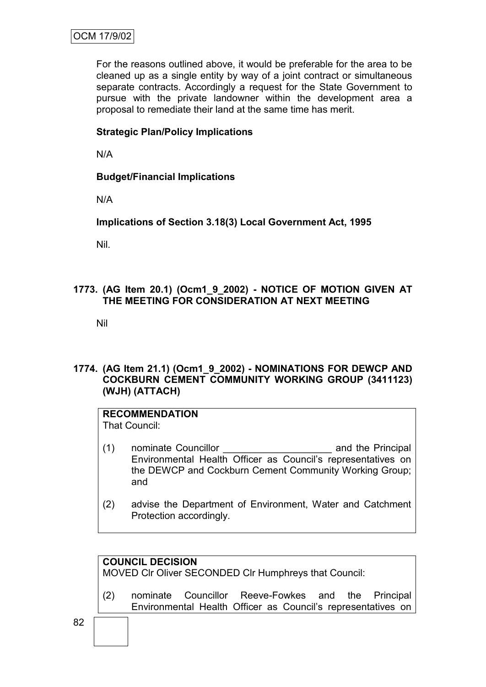For the reasons outlined above, it would be preferable for the area to be cleaned up as a single entity by way of a joint contract or simultaneous separate contracts. Accordingly a request for the State Government to pursue with the private landowner within the development area a proposal to remediate their land at the same time has merit.

# **Strategic Plan/Policy Implications**

N/A

**Budget/Financial Implications**

N/A

**Implications of Section 3.18(3) Local Government Act, 1995**

Nil.

# **1773. (AG Item 20.1) (Ocm1\_9\_2002) - NOTICE OF MOTION GIVEN AT THE MEETING FOR CONSIDERATION AT NEXT MEETING**

Nil

# **1774. (AG Item 21.1) (Ocm1\_9\_2002) - NOMINATIONS FOR DEWCP AND COCKBURN CEMENT COMMUNITY WORKING GROUP (3411123) (WJH) (ATTACH)**

#### **RECOMMENDATION** That Council:

- (1) nominate Councillor example and the Principal Environmental Health Officer as Council"s representatives on the DEWCP and Cockburn Cement Community Working Group; and
- (2) advise the Department of Environment, Water and Catchment Protection accordingly.

# **COUNCIL DECISION** MOVED Clr Oliver SECONDED Clr Humphreys that Council:

(2) nominate Councillor Reeve-Fowkes and the Principal Environmental Health Officer as Council"s representatives on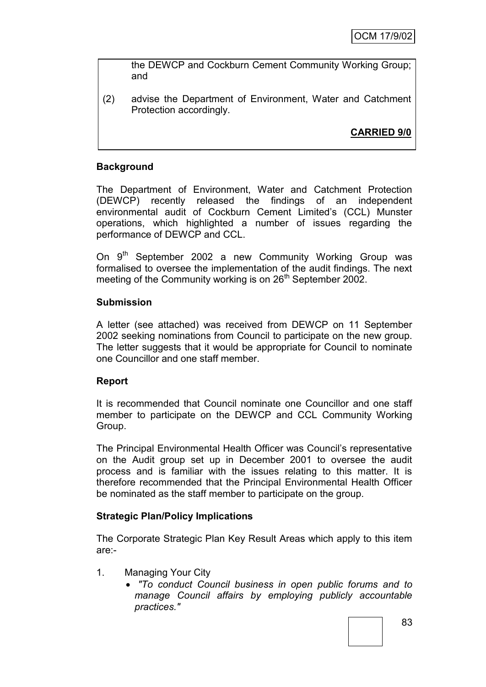the DEWCP and Cockburn Cement Community Working Group; and

(2) advise the Department of Environment, Water and Catchment Protection accordingly.

# **CARRIED 9/0**

# **Background**

The Department of Environment, Water and Catchment Protection (DEWCP) recently released the findings of an independent environmental audit of Cockburn Cement Limited"s (CCL) Munster operations, which highlighted a number of issues regarding the performance of DEWCP and CCL.

On 9<sup>th</sup> September 2002 a new Community Working Group was formalised to oversee the implementation of the audit findings. The next meeting of the Community working is on 26<sup>th</sup> September 2002.

# **Submission**

A letter (see attached) was received from DEWCP on 11 September 2002 seeking nominations from Council to participate on the new group. The letter suggests that it would be appropriate for Council to nominate one Councillor and one staff member.

# **Report**

It is recommended that Council nominate one Councillor and one staff member to participate on the DEWCP and CCL Community Working Group.

The Principal Environmental Health Officer was Council"s representative on the Audit group set up in December 2001 to oversee the audit process and is familiar with the issues relating to this matter. It is therefore recommended that the Principal Environmental Health Officer be nominated as the staff member to participate on the group.

# **Strategic Plan/Policy Implications**

The Corporate Strategic Plan Key Result Areas which apply to this item are:-

- 1. Managing Your City
	- *"To conduct Council business in open public forums and to manage Council affairs by employing publicly accountable practices."*

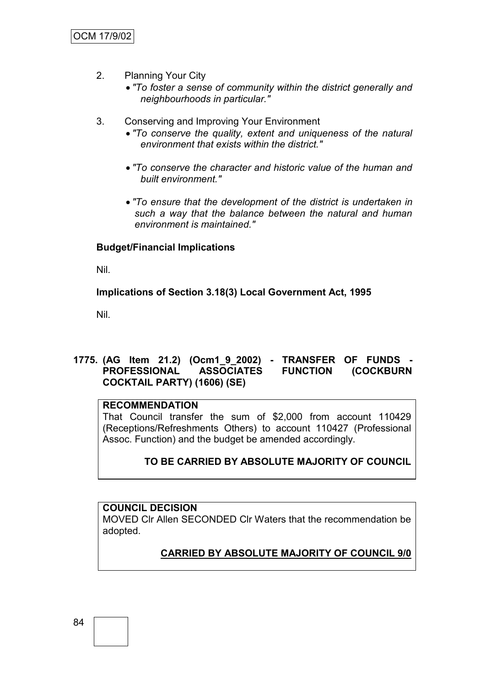- 2. Planning Your City
	- *"To foster a sense of community within the district generally and neighbourhoods in particular."*
- 3. Conserving and Improving Your Environment
	- *"To conserve the quality, extent and uniqueness of the natural environment that exists within the district."*
	- *"To conserve the character and historic value of the human and built environment."*
	- *"To ensure that the development of the district is undertaken in such a way that the balance between the natural and human environment is maintained."*

#### **Budget/Financial Implications**

Nil.

**Implications of Section 3.18(3) Local Government Act, 1995**

Nil.

# **1775. (AG Item 21.2) (Ocm1\_9\_2002) - TRANSFER OF FUNDS - PROFESSIONAL ASSOCIATES FUNCTION (COCKBURN COCKTAIL PARTY) (1606) (SE)**

#### **RECOMMENDATION**

That Council transfer the sum of \$2,000 from account 110429 (Receptions/Refreshments Others) to account 110427 (Professional Assoc. Function) and the budget be amended accordingly.

# **TO BE CARRIED BY ABSOLUTE MAJORITY OF COUNCIL**

**COUNCIL DECISION** MOVED Clr Allen SECONDED Clr Waters that the recommendation be adopted.

# **CARRIED BY ABSOLUTE MAJORITY OF COUNCIL 9/0**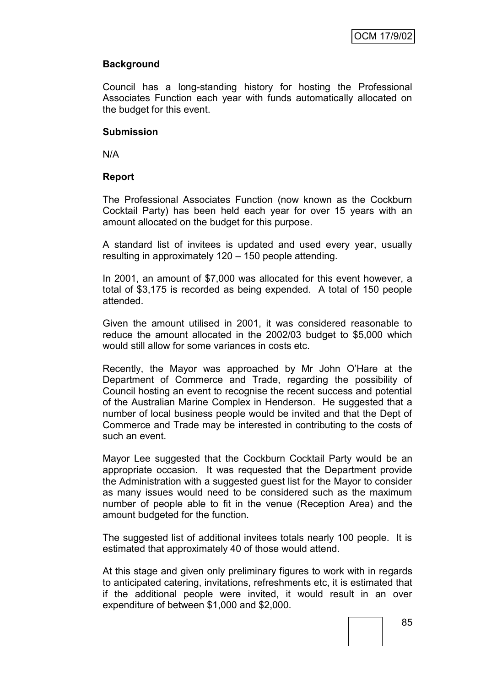# **Background**

Council has a long-standing history for hosting the Professional Associates Function each year with funds automatically allocated on the budget for this event.

# **Submission**

N/A

# **Report**

The Professional Associates Function (now known as the Cockburn Cocktail Party) has been held each year for over 15 years with an amount allocated on the budget for this purpose.

A standard list of invitees is updated and used every year, usually resulting in approximately 120 – 150 people attending.

In 2001, an amount of \$7,000 was allocated for this event however, a total of \$3,175 is recorded as being expended. A total of 150 people attended.

Given the amount utilised in 2001, it was considered reasonable to reduce the amount allocated in the 2002/03 budget to \$5,000 which would still allow for some variances in costs etc.

Recently, the Mayor was approached by Mr John O"Hare at the Department of Commerce and Trade, regarding the possibility of Council hosting an event to recognise the recent success and potential of the Australian Marine Complex in Henderson. He suggested that a number of local business people would be invited and that the Dept of Commerce and Trade may be interested in contributing to the costs of such an event.

Mayor Lee suggested that the Cockburn Cocktail Party would be an appropriate occasion. It was requested that the Department provide the Administration with a suggested guest list for the Mayor to consider as many issues would need to be considered such as the maximum number of people able to fit in the venue (Reception Area) and the amount budgeted for the function.

The suggested list of additional invitees totals nearly 100 people. It is estimated that approximately 40 of those would attend.

At this stage and given only preliminary figures to work with in regards to anticipated catering, invitations, refreshments etc, it is estimated that if the additional people were invited, it would result in an over expenditure of between \$1,000 and \$2,000.

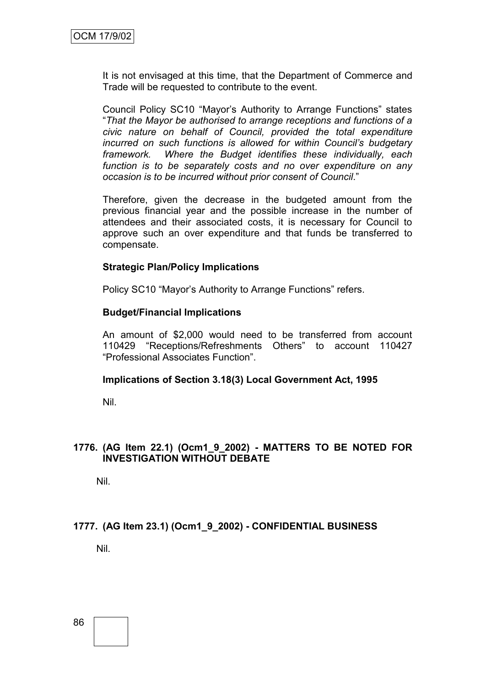It is not envisaged at this time, that the Department of Commerce and Trade will be requested to contribute to the event.

Council Policy SC10 "Mayor"s Authority to Arrange Functions" states "*That the Mayor be authorised to arrange receptions and functions of a civic nature on behalf of Council, provided the total expenditure incurred on such functions is allowed for within Council"s budgetary framework. Where the Budget identifies these individually, each function is to be separately costs and no over expenditure on any occasion is to be incurred without prior consent of Council*."

Therefore, given the decrease in the budgeted amount from the previous financial year and the possible increase in the number of attendees and their associated costs, it is necessary for Council to approve such an over expenditure and that funds be transferred to compensate.

# **Strategic Plan/Policy Implications**

Policy SC10 "Mayor"s Authority to Arrange Functions" refers.

# **Budget/Financial Implications**

An amount of \$2,000 would need to be transferred from account 110429 "Receptions/Refreshments Others" to account 110427 "Professional Associates Function".

# **Implications of Section 3.18(3) Local Government Act, 1995**

Nil.

# **1776. (AG Item 22.1) (Ocm1\_9\_2002) - MATTERS TO BE NOTED FOR INVESTIGATION WITHOUT DEBATE**

Nil.

# **1777. (AG Item 23.1) (Ocm1\_9\_2002) - CONFIDENTIAL BUSINESS**

Nil.